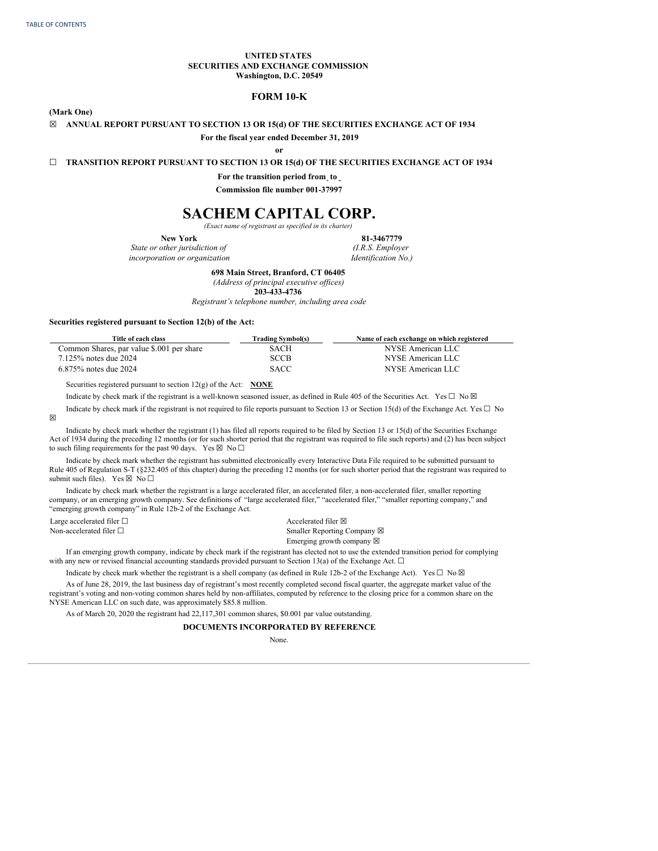### **UNITED STATES SECURITIES AND EXCHANGE COMMISSION Washington, D.C. 20549**

# **FORM 10-K**

**(Mark One)**

#### **☒ ANNUAL REPORT PURSUANT TO SECTION 13 OR 15(d) OF THE SECURITIES EXCHANGE ACT OF 1934**

**For the fiscal year ended December 31, 2019**

**or**

**☐ TRANSITION REPORT PURSUANT TO SECTION 13 OR 15(d) OF THE SECURITIES EXCHANGE ACT OF 1934**

**For the transition period from to**

**Commission file number 001-37997**

# **SACHEM CAPITAL CORP.**

*(Exact name of registrant as specified in its charter)* **New York 81-3467779**

*State or other jurisdiction of incorporation or organization*

*(I.R.S. Employer Identification No.)*

**698 Main Street, Branford, CT 06405**

*(Address of principal executive of ices)*

**203-433-4736**

*Registrant's telephone number, including area code*

#### **Securities registered pursuant to Section 12(b) of the Act:**

| Title of each class                       | <b>Trading Symbol(s)</b> | Name of each exchange on which registered |
|-------------------------------------------|--------------------------|-------------------------------------------|
| Common Shares, par value \$.001 per share | SACH                     | NYSE American LLC                         |
| 7.125% notes due 2024                     | <b>SCCB</b>              | NYSE American LLC                         |
| $6.875\%$ notes due 2024                  | <b>SACC</b>              | NYSE American LLC                         |

Securities registered pursuant to section 12(g) of the Act: **NONE**

Indicate by check mark if the registrant is a well-known seasoned issuer, as defined in Rule 405 of the Securities Act. Yes  $\Box$  No  $\boxtimes$ 

Indicate by check mark if the registrant is not required to file reports pursuant to Section 13 or Section 15(d) of the Exchange Act. Yes  $\Box$  No

Indicate by check mark whether the registrant (1) has filed all reports required to be filed by Section 13 or 15(d) of the Securities Exchange Act of 1934 during the preceding 12 months (or for such shorter period that the registrant was required to file such reports) and (2) has been subject to such filing requirements for the past 90 days. Yes  $\boxtimes$  No  $\Box$ 

Indicate by check mark whether the registrant has submitted electronically every Interactive Data File required to be submitted pursuant to Rule 405 of Regulation S-T (§232.405 of this chapter) during the preceding 12 months (or for such shorter period that the registrant was required to submit such files). Yes  $\boxtimes$  No  $\square$ 

Indicate by check mark whether the registrant is a large accelerated filer, an accelerated filer, a non-accelerated filer, smaller reporting company, or an emerging growth company. See definitions of "large accelerated filer," "accelerated filer," "smaller reporting company," and "emerging growth company" in Rule 12b-2 of the Exchange Act.

Large accelerated filer  $\Box$ Non-accelerated filer  $\Box$ 

☒

| Accelerated filer $\boxtimes$       |
|-------------------------------------|
| Smaller Reporting Company ⊠         |
| Emerging growth company $\boxtimes$ |

If an emerging growth company, indicate by check mark if the registrant has elected not to use the extended transition period for complying with any new or revised financial accounting standards provided pursuant to Section 13(a) of the Exchange Act.  $\Box$ 

Indicate by check mark whether the registrant is a shell company (as defined in Rule 12b-2 of the Exchange Act). Yes  $\Box$  No  $\boxtimes$ 

As of June 28, 2019, the last business day of registrant's most recently completed second fiscal quarter, the aggregate market value of the registrant's voting and non-voting common shares held by non-affiliates, computed by reference to the closing price for a common share on the NYSE American LLC on such date, was approximately \$85.8 million.

As of March 20, 2020 the registrant had 22,117,301 common shares, \$0.001 par value outstanding.

# **DOCUMENTS INCORPORATED BY REFERENCE**

None.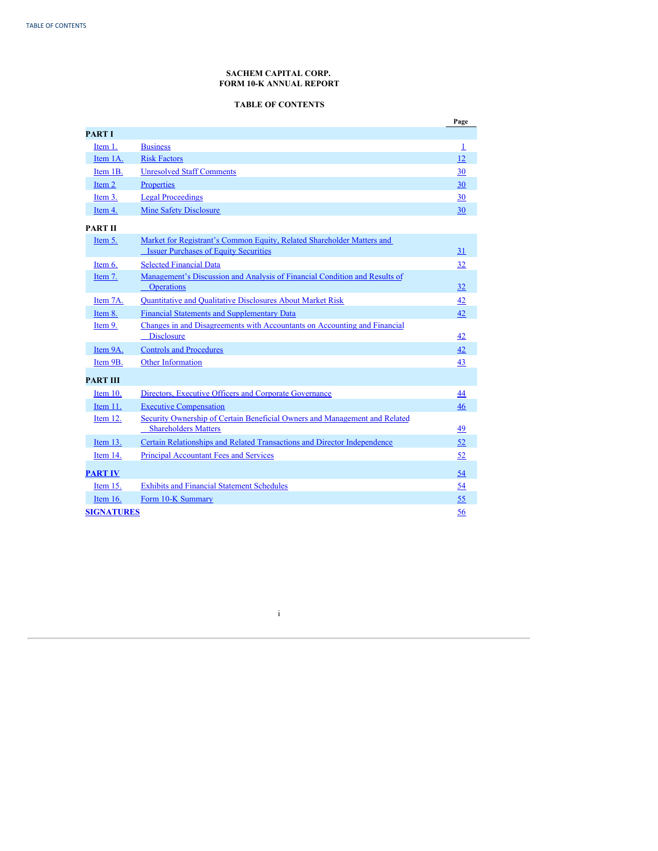# **SACHEM CAPITAL CORP. FORM 10-K ANNUAL REPORT**

# **TABLE OF CONTENTS**

<span id="page-1-0"></span>

|                   |                                                                                                           | Page         |
|-------------------|-----------------------------------------------------------------------------------------------------------|--------------|
| <b>PART I</b>     |                                                                                                           |              |
| Item 1.           | <b>Business</b>                                                                                           | $\mathbf{1}$ |
| Item 1A.          | <b>Risk Factors</b>                                                                                       | 12           |
| Item 1B.          | <b>Unresolved Staff Comments</b>                                                                          | 30           |
| Item 2            | Properties                                                                                                | 30           |
| Item 3.           | <b>Legal Proceedings</b>                                                                                  | 30           |
| Item 4.           | <b>Mine Safety Disclosure</b>                                                                             | 30           |
| <b>PART II</b>    |                                                                                                           |              |
| Item 5.           | Market for Registrant's Common Equity, Related Shareholder Matters and                                    |              |
|                   | <b>Issuer Purchases of Equity Securities</b>                                                              | 31           |
| Item 6.           | <b>Selected Financial Data</b>                                                                            | 32           |
| Item 7.           | Management's Discussion and Analysis of Financial Condition and Results of<br><b>Operations</b>           | 32           |
| Item 7A.          | <b>Ouantitative and Oualitative Disclosures About Market Risk</b>                                         | 42           |
| Item 8.           | <b>Financial Statements and Supplementary Data</b>                                                        | 42           |
| Item 9.           | Changes in and Disagreements with Accountants on Accounting and Financial<br><b>Disclosure</b>            | 42           |
| Item 9A.          | <b>Controls and Procedures</b>                                                                            | 42           |
| Item 9B.          | <b>Other Information</b>                                                                                  | 43           |
| <b>PART III</b>   |                                                                                                           |              |
| Item 10.          | Directors, Executive Officers and Corporate Governance                                                    | 44           |
| Item 11.          | <b>Executive Compensation</b>                                                                             | 46           |
| Item 12.          | Security Ownership of Certain Beneficial Owners and Management and Related<br><b>Shareholders Matters</b> | 49           |
| Item 13.          | Certain Relationships and Related Transactions and Director Independence                                  | 52           |
| Item 14.          | <b>Principal Accountant Fees and Services</b>                                                             | 52           |
| <b>PART IV</b>    |                                                                                                           | 54           |
| Item 15.          | <b>Exhibits and Financial Statement Schedules</b>                                                         | 54           |
| Item $16$ .       | Form 10-K Summary                                                                                         | 55           |
| <b>SIGNATURES</b> |                                                                                                           | 56           |

i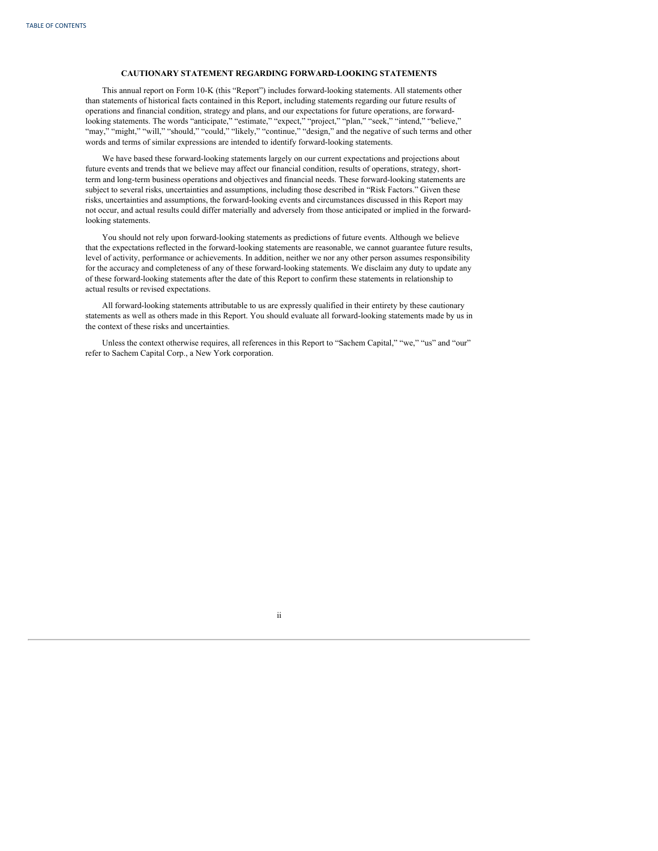# **CAUTIONARY STATEMENT REGARDING FORWARD-LOOKING STATEMENTS**

This annual report on Form 10-K (this "Report") includes forward-looking statements. All statements other than statements of historical facts contained in this Report, including statements regarding our future results of operations and financial condition, strategy and plans, and our expectations for future operations, are forwardlooking statements. The words "anticipate," "estimate," "expect," "project," "plan," "seek," "intend," "believe," "may," "might," "will," "should," "could," "likely," "continue," "design," and the negative of such terms and other words and terms of similar expressions are intended to identify forward-looking statements.

We have based these forward-looking statements largely on our current expectations and projections about future events and trends that we believe may affect our financial condition, results of operations, strategy, shortterm and long-term business operations and objectives and financial needs. These forward-looking statements are subject to several risks, uncertainties and assumptions, including those described in "Risk Factors." Given these risks, uncertainties and assumptions, the forward-looking events and circumstances discussed in this Report may not occur, and actual results could differ materially and adversely from those anticipated or implied in the forwardlooking statements.

You should not rely upon forward-looking statements as predictions of future events. Although we believe that the expectations reflected in the forward-looking statements are reasonable, we cannot guarantee future results, level of activity, performance or achievements. In addition, neither we nor any other person assumes responsibility for the accuracy and completeness of any of these forward-looking statements. We disclaim any duty to update any of these forward-looking statements after the date of this Report to confirm these statements in relationship to actual results or revised expectations.

All forward-looking statements attributable to us are expressly qualified in their entirety by these cautionary statements as well as others made in this Report. You should evaluate all forward-looking statements made by us in the context of these risks and uncertainties.

Unless the context otherwise requires, all references in this Report to "Sachem Capital," "we," "us" and "our" refer to Sachem Capital Corp., a New York corporation.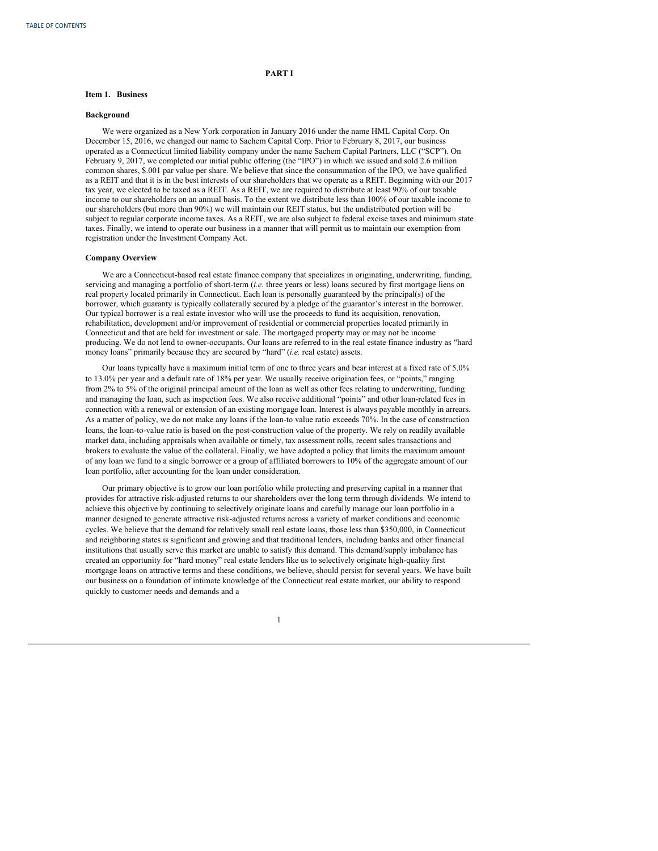# **PART I**

# <span id="page-3-0"></span>**Item 1. Business**

#### **Background**

We were organized as a New York corporation in January 2016 under the name HML Capital Corp. On December 15, 2016, we changed our name to Sachem Capital Corp. Prior to February 8, 2017, our business operated as a Connecticut limited liability company under the name Sachem Capital Partners, LLC ("SCP"). On February 9, 2017, we completed our initial public offering (the "IPO") in which we issued and sold 2.6 million common shares, \$.001 par value per share. We believe that since the consummation of the IPO, we have qualified as a REIT and that it is in the best interests of our shareholders that we operate as a REIT. Beginning with our 2017 tax year, we elected to be taxed as a REIT. As a REIT, we are required to distribute at least 90% of our taxable income to our shareholders on an annual basis. To the extent we distribute less than 100% of our taxable income to our shareholders (but more than 90%) we will maintain our REIT status, but the undistributed portion will be subject to regular corporate income taxes. As a REIT, we are also subject to federal excise taxes and minimum state taxes. Finally, we intend to operate our business in a manner that will permit us to maintain our exemption from registration under the Investment Company Act.

# **Company Overview**

We are a Connecticut-based real estate finance company that specializes in originating, underwriting, funding, servicing and managing a portfolio of short-term (*i.e.* three years or less) loans secured by first mortgage liens on real property located primarily in Connecticut. Each loan is personally guaranteed by the principal(s) of the borrower, which guaranty is typically collaterally secured by a pledge of the guarantor's interest in the borrower. Our typical borrower is a real estate investor who will use the proceeds to fund its acquisition, renovation, rehabilitation, development and/or improvement of residential or commercial properties located primarily in Connecticut and that are held for investment or sale. The mortgaged property may or may not be income producing. We do not lend to owner-occupants. Our loans are referred to in the real estate finance industry as "hard money loans" primarily because they are secured by "hard" (*i.e.* real estate) assets.

Our loans typically have a maximum initial term of one to three years and bear interest at a fixed rate of 5.0% to 13.0% per year and a default rate of 18% per year. We usually receive origination fees, or "points," ranging from 2% to 5% of the original principal amount of the loan as well as other fees relating to underwriting, funding and managing the loan, such as inspection fees. We also receive additional "points" and other loan-related fees in connection with a renewal or extension of an existing mortgage loan. Interest is always payable monthly in arrears. As a matter of policy, we do not make any loans if the loan-to value ratio exceeds 70%. In the case of construction loans, the loan-to-value ratio is based on the post-construction value of the property. We rely on readily available market data, including appraisals when available or timely, tax assessment rolls, recent sales transactions and brokers to evaluate the value of the collateral. Finally, we have adopted a policy that limits the maximum amount of any loan we fund to a single borrower or a group of affiliated borrowers to 10% of the aggregate amount of our loan portfolio, after accounting for the loan under consideration.

Our primary objective is to grow our loan portfolio while protecting and preserving capital in a manner that provides for attractive risk-adjusted returns to our shareholders over the long term through dividends. We intend to achieve this objective by continuing to selectively originate loans and carefully manage our loan portfolio in a manner designed to generate attractive risk-adjusted returns across a variety of market conditions and economic cycles. We believe that the demand for relatively small real estate loans, those less than \$350,000, in Connecticut and neighboring states is significant and growing and that traditional lenders, including banks and other financial institutions that usually serve this market are unable to satisfy this demand. This demand/supply imbalance has created an opportunity for "hard money" real estate lenders like us to selectively originate high-quality first mortgage loans on attractive terms and these conditions, we believe, should persist for several years. We have built our business on a foundation of intimate knowledge of the Connecticut real estate market, our ability to respond quickly to customer needs and demands and a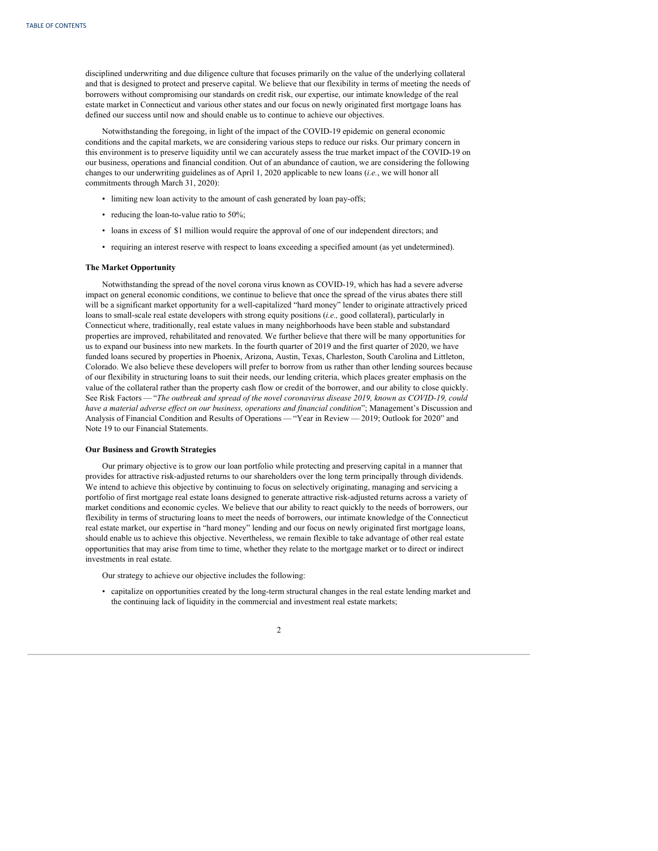disciplined underwriting and due diligence culture that focuses primarily on the value of the underlying collateral and that is designed to protect and preserve capital. We believe that our flexibility in terms of meeting the needs of borrowers without compromising our standards on credit risk, our expertise, our intimate knowledge of the real estate market in Connecticut and various other states and our focus on newly originated first mortgage loans has defined our success until now and should enable us to continue to achieve our objectives.

Notwithstanding the foregoing, in light of the impact of the COVID-19 epidemic on general economic conditions and the capital markets, we are considering various steps to reduce our risks. Our primary concern in this environment is to preserve liquidity until we can accurately assess the true market impact of the COVID-19 on our business, operations and financial condition. Out of an abundance of caution, we are considering the following changes to our underwriting guidelines as of April 1, 2020 applicable to new loans (*i.e.*, we will honor all commitments through March 31, 2020):

- limiting new loan activity to the amount of cash generated by loan pay-offs;
- reducing the loan-to-value ratio to 50%;
- loans in excess of \$1 million would require the approval of one of our independent directors; and
- requiring an interest reserve with respect to loans exceeding a specified amount (as yet undetermined).

### **The Market Opportunity**

Notwithstanding the spread of the novel corona virus known as COVID-19, which has had a severe adverse impact on general economic conditions, we continue to believe that once the spread of the virus abates there still will be a significant market opportunity for a well-capitalized "hard money" lender to originate attractively priced loans to small-scale real estate developers with strong equity positions (*i.e.,* good collateral), particularly in Connecticut where, traditionally, real estate values in many neighborhoods have been stable and substandard properties are improved, rehabilitated and renovated. We further believe that there will be many opportunities for us to expand our business into new markets. In the fourth quarter of 2019 and the first quarter of 2020, we have funded loans secured by properties in Phoenix, Arizona, Austin, Texas, Charleston, South Carolina and Littleton, Colorado. We also believe these developers will prefer to borrow from us rather than other lending sources because of our flexibility in structuring loans to suit their needs, our lending criteria, which places greater emphasis on the value of the collateral rather than the property cash flow or credit of the borrower, and our ability to close quickly. See Risk Factors — "*The outbreak and spread of the novel coronavirus disease 2019, known as COVID-19, could have a material adverse ef ect on our business, operations and financial condition*"; Management's Discussion and Analysis of Financial Condition and Results of Operations — "Year in Review — 2019; Outlook for 2020" and Note 19 to our Financial Statements.

#### **Our Business and Growth Strategies**

Our primary objective is to grow our loan portfolio while protecting and preserving capital in a manner that provides for attractive risk-adjusted returns to our shareholders over the long term principally through dividends. We intend to achieve this objective by continuing to focus on selectively originating, managing and servicing a portfolio of first mortgage real estate loans designed to generate attractive risk-adjusted returns across a variety of market conditions and economic cycles. We believe that our ability to react quickly to the needs of borrowers, our flexibility in terms of structuring loans to meet the needs of borrowers, our intimate knowledge of the Connecticut real estate market, our expertise in "hard money" lending and our focus on newly originated first mortgage loans, should enable us to achieve this objective. Nevertheless, we remain flexible to take advantage of other real estate opportunities that may arise from time to time, whether they relate to the mortgage market or to direct or indirect investments in real estate.

Our strategy to achieve our objective includes the following:

• capitalize on opportunities created by the long-term structural changes in the real estate lending market and the continuing lack of liquidity in the commercial and investment real estate markets;

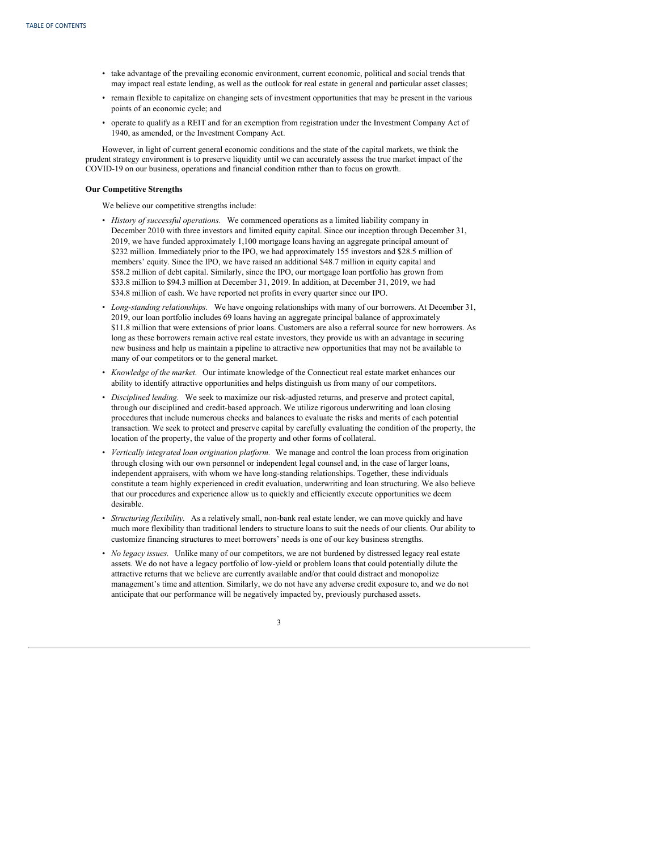- take advantage of the prevailing economic environment, current economic, political and social trends that may impact real estate lending, as well as the outlook for real estate in general and particular asset classes;
- remain flexible to capitalize on changing sets of investment opportunities that may be present in the various points of an economic cycle; and
- operate to qualify as a REIT and for an exemption from registration under the Investment Company Act of 1940, as amended, or the Investment Company Act.

However, in light of current general economic conditions and the state of the capital markets, we think the prudent strategy environment is to preserve liquidity until we can accurately assess the true market impact of the COVID-19 on our business, operations and financial condition rather than to focus on growth.

# **Our Competitive Strengths**

We believe our competitive strengths include:

- *History of successful operations.* We commenced operations as a limited liability company in December 2010 with three investors and limited equity capital. Since our inception through December 31, 2019, we have funded approximately 1,100 mortgage loans having an aggregate principal amount of \$232 million. Immediately prior to the IPO, we had approximately 155 investors and \$28.5 million of members' equity. Since the IPO, we have raised an additional \$48.7 million in equity capital and \$58.2 million of debt capital. Similarly, since the IPO, our mortgage loan portfolio has grown from \$33.8 million to \$94.3 million at December 31, 2019. In addition, at December 31, 2019, we had \$34.8 million of cash. We have reported net profits in every quarter since our IPO.
- *Long-standing relationships.* We have ongoing relationships with many of our borrowers. At December 31, 2019, our loan portfolio includes 69 loans having an aggregate principal balance of approximately \$11.8 million that were extensions of prior loans. Customers are also a referral source for new borrowers. As long as these borrowers remain active real estate investors, they provide us with an advantage in securing new business and help us maintain a pipeline to attractive new opportunities that may not be available to many of our competitors or to the general market.
- *Knowledge of the market.* Our intimate knowledge of the Connecticut real estate market enhances our ability to identify attractive opportunities and helps distinguish us from many of our competitors.
- *Disciplined lending.* We seek to maximize our risk-adjusted returns, and preserve and protect capital, through our disciplined and credit-based approach. We utilize rigorous underwriting and loan closing procedures that include numerous checks and balances to evaluate the risks and merits of each potential transaction. We seek to protect and preserve capital by carefully evaluating the condition of the property, the location of the property, the value of the property and other forms of collateral.
- *Vertically integrated loan origination platform.* We manage and control the loan process from origination through closing with our own personnel or independent legal counsel and, in the case of larger loans, independent appraisers, with whom we have long-standing relationships. Together, these individuals constitute a team highly experienced in credit evaluation, underwriting and loan structuring. We also believe that our procedures and experience allow us to quickly and efficiently execute opportunities we deem desirable.
- *Structuring flexibility.* As a relatively small, non-bank real estate lender, we can move quickly and have much more flexibility than traditional lenders to structure loans to suit the needs of our clients. Our ability to customize financing structures to meet borrowers' needs is one of our key business strengths.
- *No legacy issues.* Unlike many of our competitors, we are not burdened by distressed legacy real estate assets. We do not have a legacy portfolio of low-yield or problem loans that could potentially dilute the attractive returns that we believe are currently available and/or that could distract and monopolize management's time and attention. Similarly, we do not have any adverse credit exposure to, and we do not anticipate that our performance will be negatively impacted by, previously purchased assets.

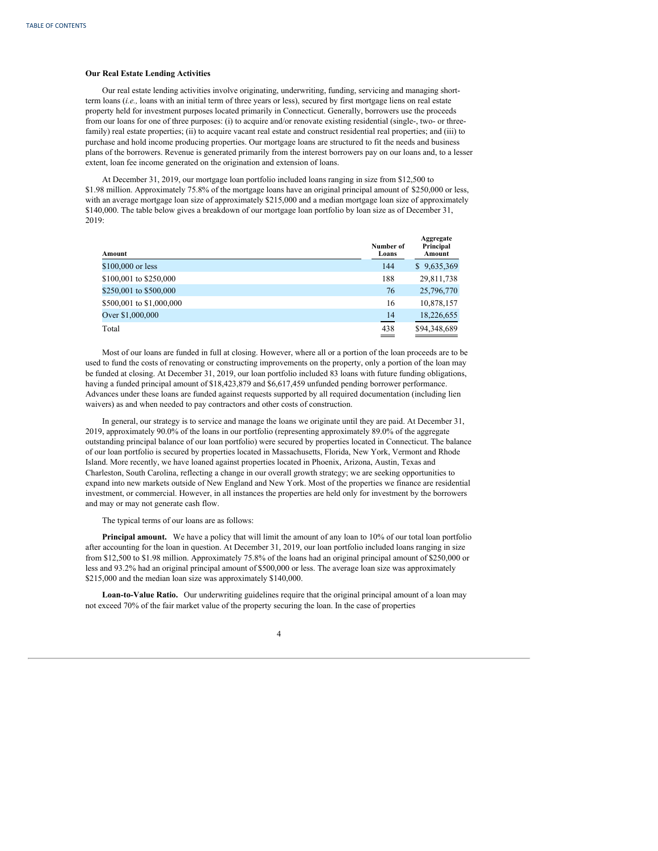# **Our Real Estate Lending Activities**

Our real estate lending activities involve originating, underwriting, funding, servicing and managing shortterm loans (*i.e.,* loans with an initial term of three years or less), secured by first mortgage liens on real estate property held for investment purposes located primarily in Connecticut. Generally, borrowers use the proceeds from our loans for one of three purposes: (i) to acquire and/or renovate existing residential (single-, two- or threefamily) real estate properties; (ii) to acquire vacant real estate and construct residential real properties; and (iii) to purchase and hold income producing properties. Our mortgage loans are structured to fit the needs and business plans of the borrowers. Revenue is generated primarily from the interest borrowers pay on our loans and, to a lesser extent, loan fee income generated on the origination and extension of loans.

At December 31, 2019, our mortgage loan portfolio included loans ranging in size from \$12,500 to \$1.98 million. Approximately 75.8% of the mortgage loans have an original principal amount of \$250,000 or less, with an average mortgage loan size of approximately \$215,000 and a median mortgage loan size of approximately \$140,000. The table below gives a breakdown of our mortgage loan portfolio by loan size as of December 31, 2019:

| Amount                   | Number of<br>Loans | Aggregate<br>Principal<br>Amount |
|--------------------------|--------------------|----------------------------------|
| \$100,000 or less        | 144                | \$9,635,369                      |
| \$100,001 to \$250,000   | 188                | 29,811,738                       |
| \$250,001 to \$500,000   | 76                 | 25,796,770                       |
| \$500,001 to \$1,000,000 | 16                 | 10,878,157                       |
| Over \$1,000,000         | 14                 | 18,226,655                       |
| Total                    | 438                | \$94,348,689                     |

Most of our loans are funded in full at closing. However, where all or a portion of the loan proceeds are to be used to fund the costs of renovating or constructing improvements on the property, only a portion of the loan may be funded at closing. At December 31, 2019, our loan portfolio included 83 loans with future funding obligations, having a funded principal amount of \$18,423,879 and \$6,617,459 unfunded pending borrower performance. Advances under these loans are funded against requests supported by all required documentation (including lien waivers) as and when needed to pay contractors and other costs of construction.

In general, our strategy is to service and manage the loans we originate until they are paid. At December 31, 2019, approximately 90.0% of the loans in our portfolio (representing approximately 89.0% of the aggregate outstanding principal balance of our loan portfolio) were secured by properties located in Connecticut. The balance of our loan portfolio is secured by properties located in Massachusetts, Florida, New York, Vermont and Rhode Island. More recently, we have loaned against properties located in Phoenix, Arizona, Austin, Texas and Charleston, South Carolina, reflecting a change in our overall growth strategy; we are seeking opportunities to expand into new markets outside of New England and New York. Most of the properties we finance are residential investment, or commercial. However, in all instances the properties are held only for investment by the borrowers and may or may not generate cash flow.

#### The typical terms of our loans are as follows:

**Principal amount.** We have a policy that will limit the amount of any loan to 10% of our total loan portfolio after accounting for the loan in question. At December 31, 2019, our loan portfolio included loans ranging in size from \$12,500 to \$1.98 million. Approximately 75.8% of the loans had an original principal amount of \$250,000 or less and 93.2% had an original principal amount of \$500,000 or less. The average loan size was approximately \$215,000 and the median loan size was approximately \$140,000.

**Loan-to-Value Ratio.** Our underwriting guidelines require that the original principal amount of a loan may not exceed 70% of the fair market value of the property securing the loan. In the case of properties

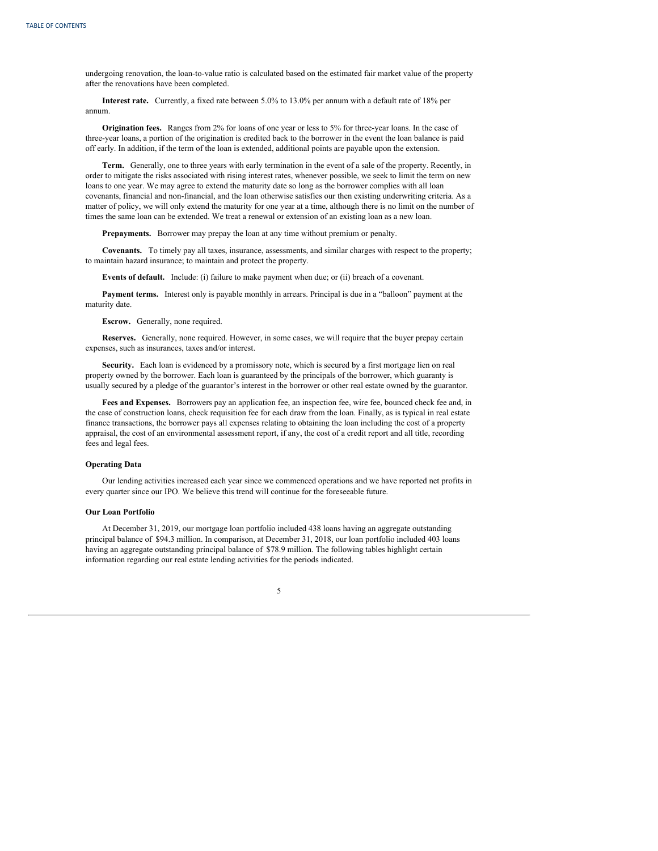undergoing renovation, the loan-to-value ratio is calculated based on the estimated fair market value of the property after the renovations have been completed.

**Interest rate.** Currently, a fixed rate between 5.0% to 13.0% per annum with a default rate of 18% per annum.

**Origination fees.** Ranges from 2% for loans of one year or less to 5% for three-year loans. In the case of three-year loans, a portion of the origination is credited back to the borrower in the event the loan balance is paid off early. In addition, if the term of the loan is extended, additional points are payable upon the extension.

**Term.** Generally, one to three years with early termination in the event of a sale of the property. Recently, in order to mitigate the risks associated with rising interest rates, whenever possible, we seek to limit the term on new loans to one year. We may agree to extend the maturity date so long as the borrower complies with all loan covenants, financial and non-financial, and the loan otherwise satisfies our then existing underwriting criteria. As a matter of policy, we will only extend the maturity for one year at a time, although there is no limit on the number of times the same loan can be extended. We treat a renewal or extension of an existing loan as a new loan.

**Prepayments.** Borrower may prepay the loan at any time without premium or penalty.

**Covenants.** To timely pay all taxes, insurance, assessments, and similar charges with respect to the property; to maintain hazard insurance; to maintain and protect the property.

**Events of default.** Include: (i) failure to make payment when due; or (ii) breach of a covenant.

**Payment terms.** Interest only is payable monthly in arrears. Principal is due in a "balloon" payment at the maturity date.

**Escrow.** Generally, none required.

**Reserves.** Generally, none required. However, in some cases, we will require that the buyer prepay certain expenses, such as insurances, taxes and/or interest.

Security. Each loan is evidenced by a promissory note, which is secured by a first mortgage lien on real property owned by the borrower. Each loan is guaranteed by the principals of the borrower, which guaranty is usually secured by a pledge of the guarantor's interest in the borrower or other real estate owned by the guarantor.

**Fees and Expenses.** Borrowers pay an application fee, an inspection fee, wire fee, bounced check fee and, in the case of construction loans, check requisition fee for each draw from the loan. Finally, as is typical in real estate finance transactions, the borrower pays all expenses relating to obtaining the loan including the cost of a property appraisal, the cost of an environmental assessment report, if any, the cost of a credit report and all title, recording fees and legal fees.

#### **Operating Data**

Our lending activities increased each year since we commenced operations and we have reported net profits in every quarter since our IPO. We believe this trend will continue for the foreseeable future.

# **Our Loan Portfolio**

At December 31, 2019, our mortgage loan portfolio included 438 loans having an aggregate outstanding principal balance of \$94.3 million. In comparison, at December 31, 2018, our loan portfolio included 403 loans having an aggregate outstanding principal balance of \$78.9 million. The following tables highlight certain information regarding our real estate lending activities for the periods indicated.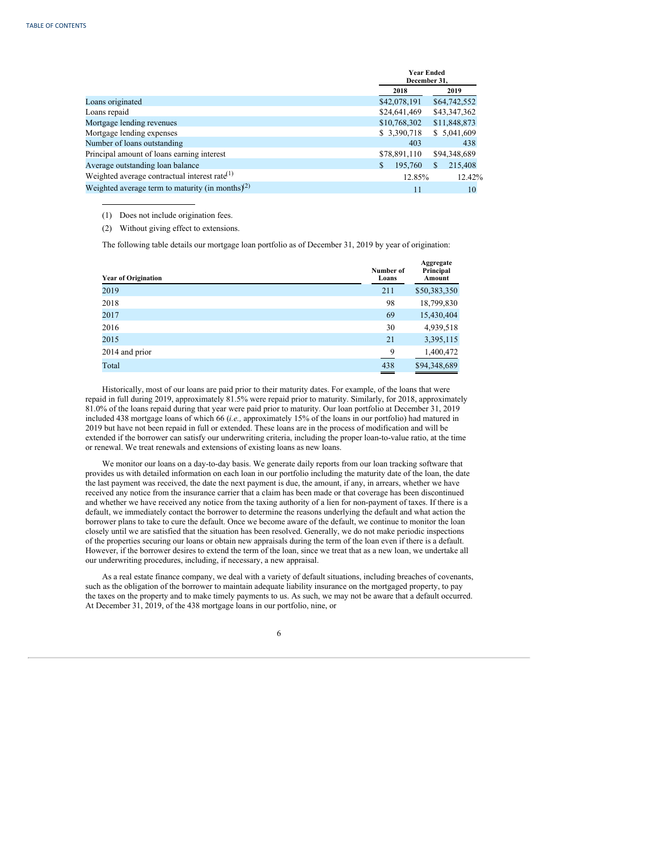|                                                              |              | <b>Year Ended</b><br>December 31, |  |  |
|--------------------------------------------------------------|--------------|-----------------------------------|--|--|
|                                                              | 2018         | 2019                              |  |  |
| Loans originated                                             | \$42,078,191 | \$64,742,552                      |  |  |
| Loans repaid                                                 | \$24,641,469 | \$43,347,362                      |  |  |
| Mortgage lending revenues                                    | \$10,768,302 | \$11,848,873                      |  |  |
| Mortgage lending expenses                                    | \$3,390,718  | \$5,041,609                       |  |  |
| Number of loans outstanding                                  | 403          | 438                               |  |  |
| Principal amount of loans earning interest                   | \$78,891,110 | \$94,348,689                      |  |  |
| Average outstanding loan balance                             | 195,760      | 215,408<br>S                      |  |  |
| Weighted average contractual interest rate $(1)$             | 12.85%       | 12.42%                            |  |  |
| Weighted average term to maturity (in months) <sup>(2)</sup> | 11           | 10                                |  |  |

(1) Does not include origination fees.

(2) Without giving effect to extensions.

The following table details our mortgage loan portfolio as of December 31, 2019 by year of origination:

| <b>Year of Origination</b> | Number of<br>Loans | Aggregate<br>Principal<br>Amount |
|----------------------------|--------------------|----------------------------------|
| 2019                       | 211                | \$50,383,350                     |
| 2018                       | 98                 | 18,799,830                       |
| 2017                       | 69                 | 15,430,404                       |
| 2016                       | 30                 | 4,939,518                        |
| 2015                       | 21                 | 3,395,115                        |
| 2014 and prior             | 9                  | 1,400,472                        |
| Total                      | 438<br>__          | \$94,348,689                     |
|                            |                    |                                  |

Historically, most of our loans are paid prior to their maturity dates. For example, of the loans that were repaid in full during 2019, approximately 81.5% were repaid prior to maturity. Similarly, for 2018, approximately 81.0% of the loans repaid during that year were paid prior to maturity. Our loan portfolio at December 31, 2019 included 438 mortgage loans of which 66 (*i.e.,* approximately 15% of the loans in our portfolio) had matured in 2019 but have not been repaid in full or extended. These loans are in the process of modification and will be extended if the borrower can satisfy our underwriting criteria, including the proper loan-to-value ratio, at the time or renewal. We treat renewals and extensions of existing loans as new loans.

We monitor our loans on a day-to-day basis. We generate daily reports from our loan tracking software that provides us with detailed information on each loan in our portfolio including the maturity date of the loan, the date the last payment was received, the date the next payment is due, the amount, if any, in arrears, whether we have received any notice from the insurance carrier that a claim has been made or that coverage has been discontinued and whether we have received any notice from the taxing authority of a lien for non-payment of taxes. If there is a default, we immediately contact the borrower to determine the reasons underlying the default and what action the borrower plans to take to cure the default. Once we become aware of the default, we continue to monitor the loan closely until we are satisfied that the situation has been resolved. Generally, we do not make periodic inspections of the properties securing our loans or obtain new appraisals during the term of the loan even if there is a default. However, if the borrower desires to extend the term of the loan, since we treat that as a new loan, we undertake all our underwriting procedures, including, if necessary, a new appraisal.

As a real estate finance company, we deal with a variety of default situations, including breaches of covenants, such as the obligation of the borrower to maintain adequate liability insurance on the mortgaged property, to pay the taxes on the property and to make timely payments to us. As such, we may not be aware that a default occurred. At December 31, 2019, of the 438 mortgage loans in our portfolio, nine, or

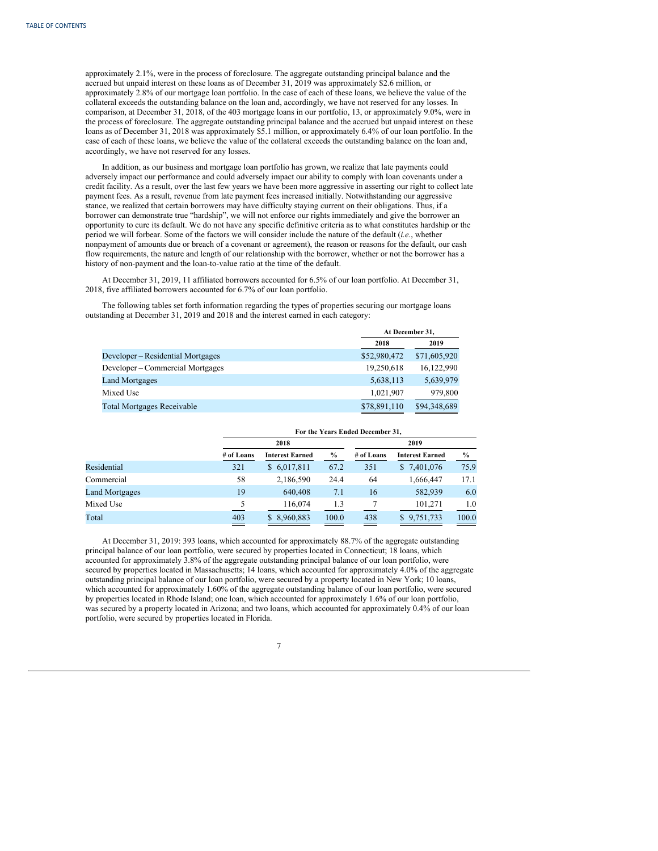approximately 2.1%, were in the process of foreclosure. The aggregate outstanding principal balance and the accrued but unpaid interest on these loans as of December 31, 2019 was approximately \$2.6 million, or approximately 2.8% of our mortgage loan portfolio. In the case of each of these loans, we believe the value of the collateral exceeds the outstanding balance on the loan and, accordingly, we have not reserved for any losses. In comparison, at December 31, 2018, of the 403 mortgage loans in our portfolio, 13, or approximately 9.0%, were in the process of foreclosure. The aggregate outstanding principal balance and the accrued but unpaid interest on these loans as of December 31, 2018 was approximately \$5.1 million, or approximately 6.4% of our loan portfolio. In the case of each of these loans, we believe the value of the collateral exceeds the outstanding balance on the loan and, accordingly, we have not reserved for any losses.

In addition, as our business and mortgage loan portfolio has grown, we realize that late payments could adversely impact our performance and could adversely impact our ability to comply with loan covenants under a credit facility. As a result, over the last few years we have been more aggressive in asserting our right to collect late payment fees. As a result, revenue from late payment fees increased initially. Notwithstanding our aggressive stance, we realized that certain borrowers may have difficulty staying current on their obligations. Thus, if a borrower can demonstrate true "hardship", we will not enforce our rights immediately and give the borrower an opportunity to cure its default. We do not have any specific definitive criteria as to what constitutes hardship or the period we will forbear. Some of the factors we will consider include the nature of the default (*i.e.*, whether nonpayment of amounts due or breach of a covenant or agreement), the reason or reasons for the default, our cash flow requirements, the nature and length of our relationship with the borrower, whether or not the borrower has a history of non-payment and the loan-to-value ratio at the time of the default.

At December 31, 2019, 11 affiliated borrowers accounted for 6.5% of our loan portfolio. At December 31, 2018, five affiliated borrowers accounted for 6.7% of our loan portfolio.

The following tables set forth information regarding the types of properties securing our mortgage loans outstanding at December 31, 2019 and 2018 and the interest earned in each category:

|                                   |              | At December 31, |  |  |
|-----------------------------------|--------------|-----------------|--|--|
|                                   | 2018         | 2019            |  |  |
| Developer – Residential Mortgages | \$52,980,472 | \$71,605,920    |  |  |
| Developer – Commercial Mortgages  | 19.250.618   | 16.122.990      |  |  |
| <b>Land Mortgages</b>             | 5,638,113    | 5,639,979       |  |  |
| Mixed Use                         | 1,021,907    | 979,800         |  |  |
| <b>Total Mortgages Receivable</b> | \$78,891,110 | \$94,348,689    |  |  |

|                       |            | For the Years Ended December 31, |               |            |                        |       |  |
|-----------------------|------------|----------------------------------|---------------|------------|------------------------|-------|--|
|                       |            | 2018                             |               |            | 2019                   |       |  |
|                       | # of Loans | <b>Interest Earned</b>           | $\frac{6}{6}$ | # of Loans | <b>Interest Earned</b> | $\%$  |  |
| Residential           | 321        | \$6,017,811                      | 67.2          | 351        | \$ 7,401,076           | 75.9  |  |
| Commercial            | 58         | 2,186,590                        | 24.4          | 64         | 1,666,447              | 17.1  |  |
| <b>Land Mortgages</b> | 19         | 640,408                          | 7.1           | 16         | 582,939                | 6.0   |  |
| Mixed Use             | 5          | 116,074                          | 1.3           |            | 101,271                | 1.0   |  |
| Total                 | 403        | \$8,960,883                      | 100.0         | 438        | \$9,751,733            | 100.0 |  |

At December 31, 2019: 393 loans, which accounted for approximately 88.7% of the aggregate outstanding principal balance of our loan portfolio, were secured by properties located in Connecticut; 18 loans, which accounted for approximately 3.8% of the aggregate outstanding principal balance of our loan portfolio, were secured by properties located in Massachusetts; 14 loans, which accounted for approximately 4.0% of the aggregate outstanding principal balance of our loan portfolio, were secured by a property located in New York; 10 loans, which accounted for approximately 1.60% of the aggregate outstanding balance of our loan portfolio, were secured by properties located in Rhode Island; one loan, which accounted for approximately 1.6% of our loan portfolio, was secured by a property located in Arizona; and two loans, which accounted for approximately 0.4% of our loan portfolio, were secured by properties located in Florida.

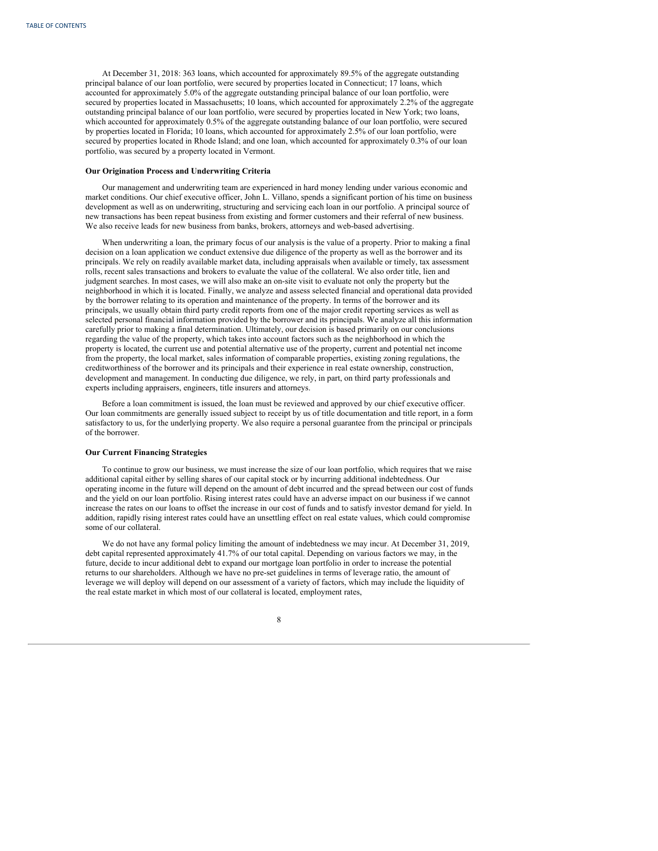At December 31, 2018: 363 loans, which accounted for approximately 89.5% of the aggregate outstanding principal balance of our loan portfolio, were secured by properties located in Connecticut; 17 loans, which accounted for approximately 5.0% of the aggregate outstanding principal balance of our loan portfolio, were secured by properties located in Massachusetts; 10 loans, which accounted for approximately 2.2% of the aggregate outstanding principal balance of our loan portfolio, were secured by properties located in New York; two loans, which accounted for approximately 0.5% of the aggregate outstanding balance of our loan portfolio, were secured by properties located in Florida; 10 loans, which accounted for approximately 2.5% of our loan portfolio, were secured by properties located in Rhode Island; and one loan, which accounted for approximately 0.3% of our loan portfolio, was secured by a property located in Vermont.

#### **Our Origination Process and Underwriting Criteria**

Our management and underwriting team are experienced in hard money lending under various economic and market conditions. Our chief executive officer, John L. Villano, spends a significant portion of his time on business development as well as on underwriting, structuring and servicing each loan in our portfolio. A principal source of new transactions has been repeat business from existing and former customers and their referral of new business. We also receive leads for new business from banks, brokers, attorneys and web-based advertising.

When underwriting a loan, the primary focus of our analysis is the value of a property. Prior to making a final decision on a loan application we conduct extensive due diligence of the property as well as the borrower and its principals. We rely on readily available market data, including appraisals when available or timely, tax assessment rolls, recent sales transactions and brokers to evaluate the value of the collateral. We also order title, lien and judgment searches. In most cases, we will also make an on-site visit to evaluate not only the property but the neighborhood in which it is located. Finally, we analyze and assess selected financial and operational data provided by the borrower relating to its operation and maintenance of the property. In terms of the borrower and its principals, we usually obtain third party credit reports from one of the major credit reporting services as well as selected personal financial information provided by the borrower and its principals. We analyze all this information carefully prior to making a final determination. Ultimately, our decision is based primarily on our conclusions regarding the value of the property, which takes into account factors such as the neighborhood in which the property is located, the current use and potential alternative use of the property, current and potential net income from the property, the local market, sales information of comparable properties, existing zoning regulations, the creditworthiness of the borrower and its principals and their experience in real estate ownership, construction, development and management. In conducting due diligence, we rely, in part, on third party professionals and experts including appraisers, engineers, title insurers and attorneys.

Before a loan commitment is issued, the loan must be reviewed and approved by our chief executive officer. Our loan commitments are generally issued subject to receipt by us of title documentation and title report, in a form satisfactory to us, for the underlying property. We also require a personal guarantee from the principal or principals of the borrower.

#### **Our Current Financing Strategies**

To continue to grow our business, we must increase the size of our loan portfolio, which requires that we raise additional capital either by selling shares of our capital stock or by incurring additional indebtedness. Our operating income in the future will depend on the amount of debt incurred and the spread between our cost of funds and the yield on our loan portfolio. Rising interest rates could have an adverse impact on our business if we cannot increase the rates on our loans to offset the increase in our cost of funds and to satisfy investor demand for yield. In addition, rapidly rising interest rates could have an unsettling effect on real estate values, which could compromise some of our collateral.

We do not have any formal policy limiting the amount of indebtedness we may incur. At December 31, 2019, debt capital represented approximately 41.7% of our total capital. Depending on various factors we may, in the future, decide to incur additional debt to expand our mortgage loan portfolio in order to increase the potential returns to our shareholders. Although we have no pre-set guidelines in terms of leverage ratio, the amount of leverage we will deploy will depend on our assessment of a variety of factors, which may include the liquidity of the real estate market in which most of our collateral is located, employment rates,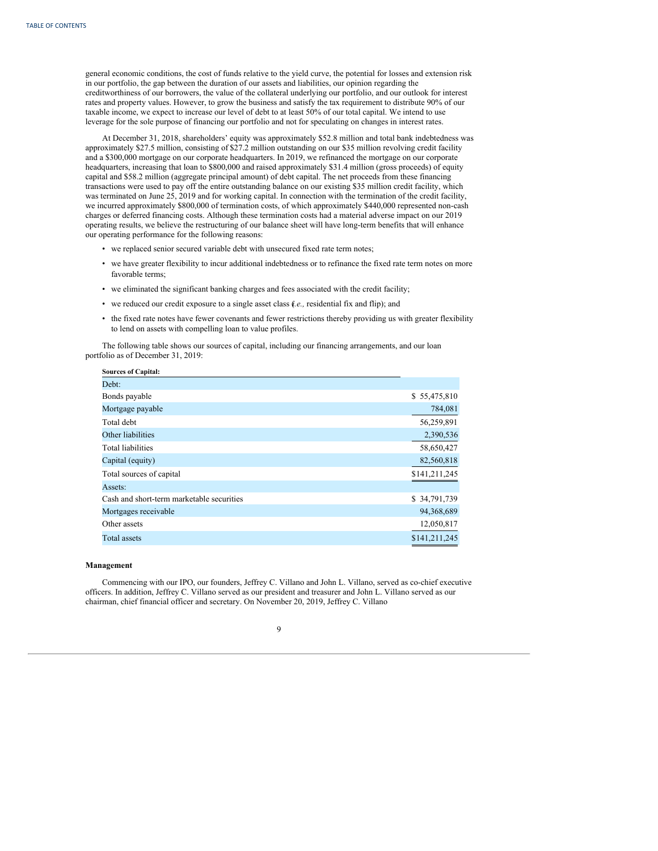general economic conditions, the cost of funds relative to the yield curve, the potential for losses and extension risk in our portfolio, the gap between the duration of our assets and liabilities, our opinion regarding the creditworthiness of our borrowers, the value of the collateral underlying our portfolio, and our outlook for interest rates and property values. However, to grow the business and satisfy the tax requirement to distribute 90% of our taxable income, we expect to increase our level of debt to at least 50% of our total capital. We intend to use leverage for the sole purpose of financing our portfolio and not for speculating on changes in interest rates.

At December 31, 2018, shareholders' equity was approximately \$52.8 million and total bank indebtedness was approximately \$27.5 million, consisting of \$27.2 million outstanding on our \$35 million revolving credit facility and a \$300,000 mortgage on our corporate headquarters. In 2019, we refinanced the mortgage on our corporate headquarters, increasing that loan to \$800,000 and raised approximately \$31.4 million (gross proceeds) of equity capital and \$58.2 million (aggregate principal amount) of debt capital. The net proceeds from these financing transactions were used to pay off the entire outstanding balance on our existing \$35 million credit facility, which was terminated on June 25, 2019 and for working capital. In connection with the termination of the credit facility, we incurred approximately \$800,000 of termination costs, of which approximately \$440,000 represented non-cash charges or deferred financing costs. Although these termination costs had a material adverse impact on our 2019 operating results, we believe the restructuring of our balance sheet will have long-term benefits that will enhance our operating performance for the following reasons:

- we replaced senior secured variable debt with unsecured fixed rate term notes;
- we have greater flexibility to incur additional indebtedness or to refinance the fixed rate term notes on more favorable terms;
- we eliminated the significant banking charges and fees associated with the credit facility;
- we reduced our credit exposure to a single asset class (*i.e.,* residential fix and flip); and
- the fixed rate notes have fewer covenants and fewer restrictions thereby providing us with greater flexibility to lend on assets with compelling loan to value profiles.

The following table shows our sources of capital, including our financing arrangements, and our loan portfolio as of December 31, 2019:

| \$55,475,810  |
|---------------|
| 784,081       |
| 56,259,891    |
| 2,390,536     |
| 58,650,427    |
| 82,560,818    |
| \$141,211,245 |
|               |
| \$34,791,739  |
| 94,368,689    |
| 12,050,817    |
| \$141,211,245 |
|               |

# **Management**

**Sources of Capital:**

Commencing with our IPO, our founders, Jeffrey C. Villano and John L. Villano, served as co-chief executive officers. In addition, Jeffrey C. Villano served as our president and treasurer and John L. Villano served as our chairman, chief financial officer and secretary. On November 20, 2019, Jeffrey C. Villano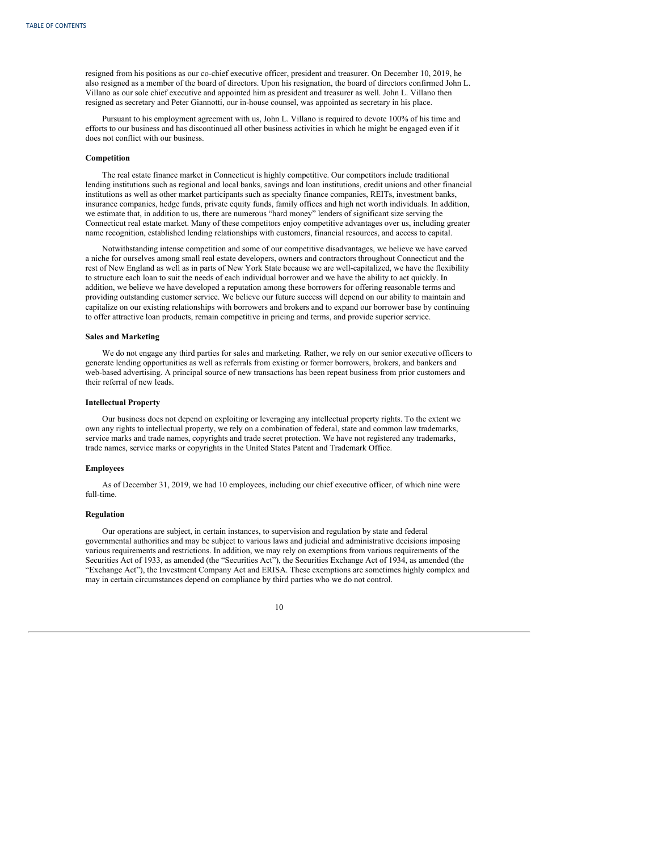resigned from his positions as our co-chief executive officer, president and treasurer. On December 10, 2019, he also resigned as a member of the board of directors. Upon his resignation, the board of directors confirmed John L. Villano as our sole chief executive and appointed him as president and treasurer as well. John L. Villano then resigned as secretary and Peter Giannotti, our in-house counsel, was appointed as secretary in his place.

Pursuant to his employment agreement with us, John L. Villano is required to devote 100% of his time and efforts to our business and has discontinued all other business activities in which he might be engaged even if it does not conflict with our business.

#### **Competition**

The real estate finance market in Connecticut is highly competitive. Our competitors include traditional lending institutions such as regional and local banks, savings and loan institutions, credit unions and other financial institutions as well as other market participants such as specialty finance companies, REITs, investment banks, insurance companies, hedge funds, private equity funds, family offices and high net worth individuals. In addition, we estimate that, in addition to us, there are numerous "hard money" lenders of significant size serving the Connecticut real estate market. Many of these competitors enjoy competitive advantages over us, including greater name recognition, established lending relationships with customers, financial resources, and access to capital.

Notwithstanding intense competition and some of our competitive disadvantages, we believe we have carved a niche for ourselves among small real estate developers, owners and contractors throughout Connecticut and the rest of New England as well as in parts of New York State because we are well-capitalized, we have the flexibility to structure each loan to suit the needs of each individual borrower and we have the ability to act quickly. In addition, we believe we have developed a reputation among these borrowers for offering reasonable terms and providing outstanding customer service. We believe our future success will depend on our ability to maintain and capitalize on our existing relationships with borrowers and brokers and to expand our borrower base by continuing to offer attractive loan products, remain competitive in pricing and terms, and provide superior service.

#### **Sales and Marketing**

We do not engage any third parties for sales and marketing. Rather, we rely on our senior executive officers to generate lending opportunities as well as referrals from existing or former borrowers, brokers, and bankers and web-based advertising. A principal source of new transactions has been repeat business from prior customers and their referral of new leads.

# **Intellectual Property**

Our business does not depend on exploiting or leveraging any intellectual property rights. To the extent we own any rights to intellectual property, we rely on a combination of federal, state and common law trademarks, service marks and trade names, copyrights and trade secret protection. We have not registered any trademarks, trade names, service marks or copyrights in the United States Patent and Trademark Office.

#### **Employees**

As of December 31, 2019, we had 10 employees, including our chief executive officer, of which nine were full-time.

#### **Regulation**

Our operations are subject, in certain instances, to supervision and regulation by state and federal governmental authorities and may be subject to various laws and judicial and administrative decisions imposing various requirements and restrictions. In addition, we may rely on exemptions from various requirements of the Securities Act of 1933, as amended (the "Securities Act"), the Securities Exchange Act of 1934, as amended (the "Exchange Act"), the Investment Company Act and ERISA. These exemptions are sometimes highly complex and may in certain circumstances depend on compliance by third parties who we do not control.

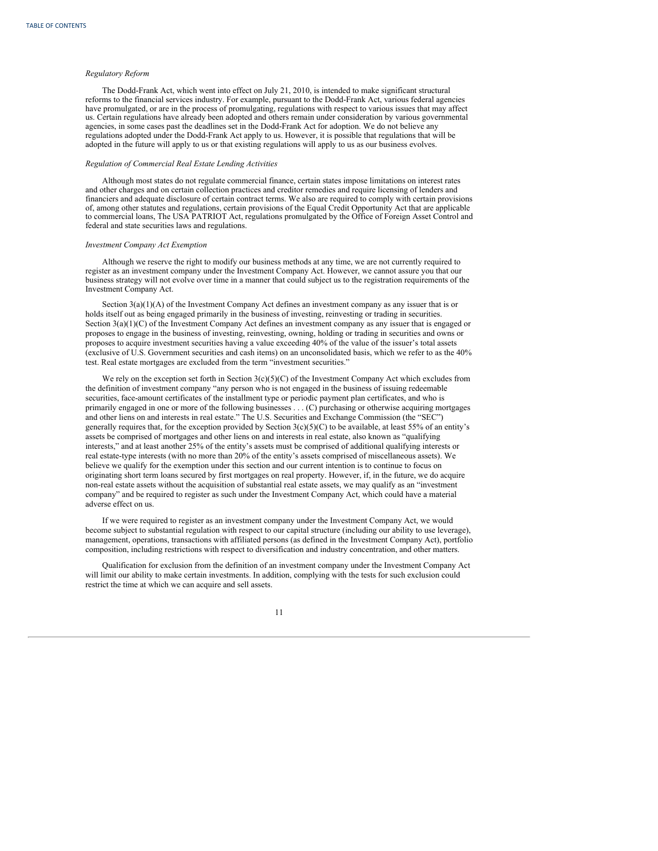#### *Regulatory Reform*

The Dodd-Frank Act, which went into effect on July 21, 2010, is intended to make significant structural reforms to the financial services industry. For example, pursuant to the Dodd-Frank Act, various federal agencies have promulgated, or are in the process of promulgating, regulations with respect to various issues that may affect us. Certain regulations have already been adopted and others remain under consideration by various governmental agencies, in some cases past the deadlines set in the Dodd-Frank Act for adoption. We do not believe any regulations adopted under the Dodd-Frank Act apply to us. However, it is possible that regulations that will be adopted in the future will apply to us or that existing regulations will apply to us as our business evolves.

# *Regulation of Commercial Real Estate Lending Activities*

Although most states do not regulate commercial finance, certain states impose limitations on interest rates and other charges and on certain collection practices and creditor remedies and require licensing of lenders and financiers and adequate disclosure of certain contract terms. We also are required to comply with certain provisions of, among other statutes and regulations, certain provisions of the Equal Credit Opportunity Act that are applicable to commercial loans, The USA PATRIOT Act, regulations promulgated by the Office of Foreign Asset Control and federal and state securities laws and regulations.

#### *Investment Company Act Exemption*

Although we reserve the right to modify our business methods at any time, we are not currently required to register as an investment company under the Investment Company Act. However, we cannot assure you that our business strategy will not evolve over time in a manner that could subject us to the registration requirements of the Investment Company Act.

Section 3(a)(1)(A) of the Investment Company Act defines an investment company as any issuer that is or holds itself out as being engaged primarily in the business of investing, reinvesting or trading in securities. Section 3(a)(1)(C) of the Investment Company Act defines an investment company as any issuer that is engaged or proposes to engage in the business of investing, reinvesting, owning, holding or trading in securities and owns or proposes to acquire investment securities having a value exceeding 40% of the value of the issuer's total assets (exclusive of U.S. Government securities and cash items) on an unconsolidated basis, which we refer to as the 40% test. Real estate mortgages are excluded from the term "investment securities."

We rely on the exception set forth in Section 3(c)(5)(C) of the Investment Company Act which excludes from the definition of investment company "any person who is not engaged in the business of issuing redeemable securities, face-amount certificates of the installment type or periodic payment plan certificates, and who is primarily engaged in one or more of the following businesses . . . (C) purchasing or otherwise acquiring mortgages and other liens on and interests in real estate." The U.S. Securities and Exchange Commission (the "SEC") generally requires that, for the exception provided by Section  $3(c)(5)(C)$  to be available, at least 55% of an entity's assets be comprised of mortgages and other liens on and interests in real estate, also known as "qualifying interests," and at least another 25% of the entity's assets must be comprised of additional qualifying interests or real estate-type interests (with no more than 20% of the entity's assets comprised of miscellaneous assets). We believe we qualify for the exemption under this section and our current intention is to continue to focus on originating short term loans secured by first mortgages on real property. However, if, in the future, we do acquire non-real estate assets without the acquisition of substantial real estate assets, we may qualify as an "investment company" and be required to register as such under the Investment Company Act, which could have a material adverse effect on us.

If we were required to register as an investment company under the Investment Company Act, we would become subject to substantial regulation with respect to our capital structure (including our ability to use leverage), management, operations, transactions with affiliated persons (as defined in the Investment Company Act), portfolio composition, including restrictions with respect to diversification and industry concentration, and other matters.

Qualification for exclusion from the definition of an investment company under the Investment Company Act will limit our ability to make certain investments. In addition, complying with the tests for such exclusion could restrict the time at which we can acquire and sell assets.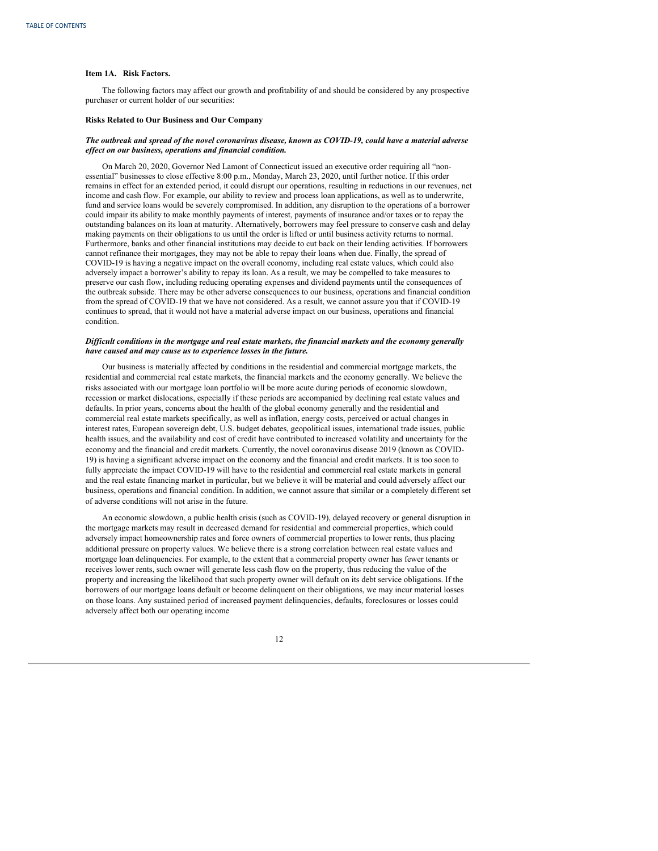### <span id="page-14-0"></span>**Item 1A. Risk Factors.**

The following factors may affect our growth and profitability of and should be considered by any prospective purchaser or current holder of our securities:

### **Risks Related to Our Business and Our Company**

#### The outbreak and spread of the novel coronavirus disease, known as COVID-19, could have a material adverse *ef ect on our business, operations and financial condition.*

On March 20, 2020, Governor Ned Lamont of Connecticut issued an executive order requiring all "nonessential" businesses to close effective 8:00 p.m., Monday, March 23, 2020, until further notice. If this order remains in effect for an extended period, it could disrupt our operations, resulting in reductions in our revenues, net income and cash flow. For example, our ability to review and process loan applications, as well as to underwrite, fund and service loans would be severely compromised. In addition, any disruption to the operations of a borrower could impair its ability to make monthly payments of interest, payments of insurance and/or taxes or to repay the outstanding balances on its loan at maturity. Alternatively, borrowers may feel pressure to conserve cash and delay making payments on their obligations to us until the order is lifted or until business activity returns to normal. Furthermore, banks and other financial institutions may decide to cut back on their lending activities. If borrowers cannot refinance their mortgages, they may not be able to repay their loans when due. Finally, the spread of COVID-19 is having a negative impact on the overall economy, including real estate values, which could also adversely impact a borrower's ability to repay its loan. As a result, we may be compelled to take measures to preserve our cash flow, including reducing operating expenses and dividend payments until the consequences of the outbreak subside. There may be other adverse consequences to our business, operations and financial condition from the spread of COVID-19 that we have not considered. As a result, we cannot assure you that if COVID-19 continues to spread, that it would not have a material adverse impact on our business, operations and financial condition.

#### Difficult conditions in the mortgage and real estate markets, the financial markets and the economy generally *have caused and may cause us to experience losses in the future.*

Our business is materially affected by conditions in the residential and commercial mortgage markets, the residential and commercial real estate markets, the financial markets and the economy generally. We believe the risks associated with our mortgage loan portfolio will be more acute during periods of economic slowdown, recession or market dislocations, especially if these periods are accompanied by declining real estate values and defaults. In prior years, concerns about the health of the global economy generally and the residential and commercial real estate markets specifically, as well as inflation, energy costs, perceived or actual changes in interest rates, European sovereign debt, U.S. budget debates, geopolitical issues, international trade issues, public health issues, and the availability and cost of credit have contributed to increased volatility and uncertainty for the economy and the financial and credit markets. Currently, the novel coronavirus disease 2019 (known as COVID-19) is having a significant adverse impact on the economy and the financial and credit markets. It is too soon to fully appreciate the impact COVID-19 will have to the residential and commercial real estate markets in general and the real estate financing market in particular, but we believe it will be material and could adversely affect our business, operations and financial condition. In addition, we cannot assure that similar or a completely different set of adverse conditions will not arise in the future.

An economic slowdown, a public health crisis (such as COVID-19), delayed recovery or general disruption in the mortgage markets may result in decreased demand for residential and commercial properties, which could adversely impact homeownership rates and force owners of commercial properties to lower rents, thus placing additional pressure on property values. We believe there is a strong correlation between real estate values and mortgage loan delinquencies. For example, to the extent that a commercial property owner has fewer tenants or receives lower rents, such owner will generate less cash flow on the property, thus reducing the value of the property and increasing the likelihood that such property owner will default on its debt service obligations. If the borrowers of our mortgage loans default or become delinquent on their obligations, we may incur material losses on those loans. Any sustained period of increased payment delinquencies, defaults, foreclosures or losses could adversely affect both our operating income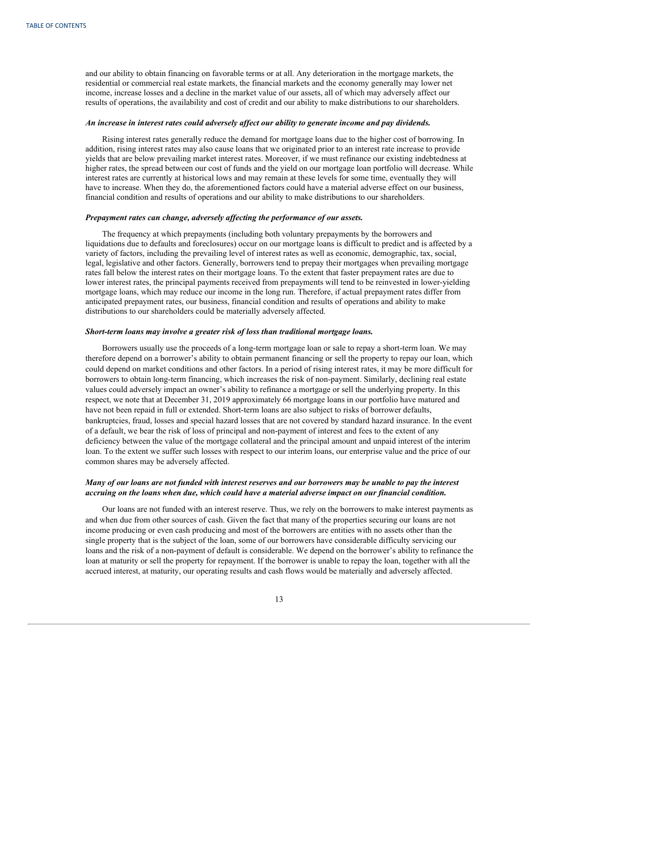and our ability to obtain financing on favorable terms or at all. Any deterioration in the mortgage markets, the residential or commercial real estate markets, the financial markets and the economy generally may lower net income, increase losses and a decline in the market value of our assets, all of which may adversely affect our results of operations, the availability and cost of credit and our ability to make distributions to our shareholders.

#### *An increase in interest rates could adversely af ect our ability to generate income and pay dividends.*

Rising interest rates generally reduce the demand for mortgage loans due to the higher cost of borrowing. In addition, rising interest rates may also cause loans that we originated prior to an interest rate increase to provide yields that are below prevailing market interest rates. Moreover, if we must refinance our existing indebtedness at higher rates, the spread between our cost of funds and the yield on our mortgage loan portfolio will decrease. While interest rates are currently at historical lows and may remain at these levels for some time, eventually they will have to increase. When they do, the aforementioned factors could have a material adverse effect on our business, financial condition and results of operations and our ability to make distributions to our shareholders.

### *Prepayment rates can change, adversely af ecting the performance of our assets.*

The frequency at which prepayments (including both voluntary prepayments by the borrowers and liquidations due to defaults and foreclosures) occur on our mortgage loans is difficult to predict and is affected by a variety of factors, including the prevailing level of interest rates as well as economic, demographic, tax, social, legal, legislative and other factors. Generally, borrowers tend to prepay their mortgages when prevailing mortgage rates fall below the interest rates on their mortgage loans. To the extent that faster prepayment rates are due to lower interest rates, the principal payments received from prepayments will tend to be reinvested in lower-yielding mortgage loans, which may reduce our income in the long run. Therefore, if actual prepayment rates differ from anticipated prepayment rates, our business, financial condition and results of operations and ability to make distributions to our shareholders could be materially adversely affected.

#### *Short-term loans may involve a greater risk of loss than traditional mortgage loans.*

Borrowers usually use the proceeds of a long-term mortgage loan or sale to repay a short-term loan. We may therefore depend on a borrower's ability to obtain permanent financing or sell the property to repay our loan, which could depend on market conditions and other factors. In a period of rising interest rates, it may be more difficult for borrowers to obtain long-term financing, which increases the risk of non-payment. Similarly, declining real estate values could adversely impact an owner's ability to refinance a mortgage or sell the underlying property. In this respect, we note that at December 31, 2019 approximately 66 mortgage loans in our portfolio have matured and have not been repaid in full or extended. Short-term loans are also subject to risks of borrower defaults, bankruptcies, fraud, losses and special hazard losses that are not covered by standard hazard insurance. In the event of a default, we bear the risk of loss of principal and non-payment of interest and fees to the extent of any deficiency between the value of the mortgage collateral and the principal amount and unpaid interest of the interim loan. To the extent we suffer such losses with respect to our interim loans, our enterprise value and the price of our common shares may be adversely affected.

# Many of our loans are not funded with interest reserves and our borrowers may be unable to pay the interest *accruing on the loans when due, which could have a material adverse impact on our financial condition.*

Our loans are not funded with an interest reserve. Thus, we rely on the borrowers to make interest payments as and when due from other sources of cash. Given the fact that many of the properties securing our loans are not income producing or even cash producing and most of the borrowers are entities with no assets other than the single property that is the subject of the loan, some of our borrowers have considerable difficulty servicing our loans and the risk of a non-payment of default is considerable. We depend on the borrower's ability to refinance the loan at maturity or sell the property for repayment. If the borrower is unable to repay the loan, together with all the accrued interest, at maturity, our operating results and cash flows would be materially and adversely affected.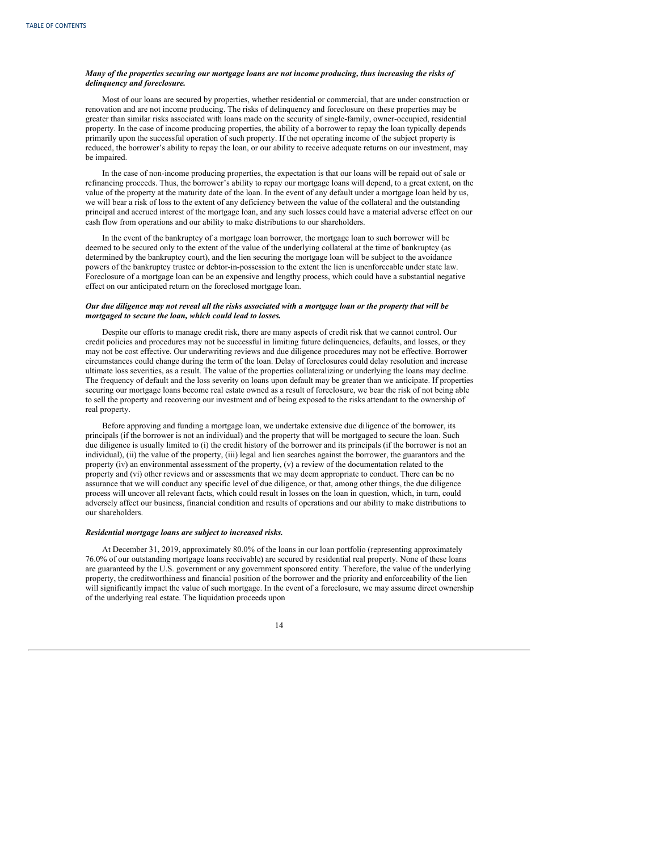# *Many of the properties securing our mortgage loans are not income producing, thus increasing the risks of delinquency and foreclosure.*

Most of our loans are secured by properties, whether residential or commercial, that are under construction or renovation and are not income producing. The risks of delinquency and foreclosure on these properties may be greater than similar risks associated with loans made on the security of single-family, owner-occupied, residential property. In the case of income producing properties, the ability of a borrower to repay the loan typically depends primarily upon the successful operation of such property. If the net operating income of the subject property is reduced, the borrower's ability to repay the loan, or our ability to receive adequate returns on our investment, may be impaired.

In the case of non-income producing properties, the expectation is that our loans will be repaid out of sale or refinancing proceeds. Thus, the borrower's ability to repay our mortgage loans will depend, to a great extent, on the value of the property at the maturity date of the loan. In the event of any default under a mortgage loan held by us, we will bear a risk of loss to the extent of any deficiency between the value of the collateral and the outstanding principal and accrued interest of the mortgage loan, and any such losses could have a material adverse effect on our cash flow from operations and our ability to make distributions to our shareholders.

In the event of the bankruptcy of a mortgage loan borrower, the mortgage loan to such borrower will be deemed to be secured only to the extent of the value of the underlying collateral at the time of bankruptcy (as determined by the bankruptcy court), and the lien securing the mortgage loan will be subject to the avoidance powers of the bankruptcy trustee or debtor-in-possession to the extent the lien is unenforceable under state law. Foreclosure of a mortgage loan can be an expensive and lengthy process, which could have a substantial negative effect on our anticipated return on the foreclosed mortgage loan.

# Our due diligence may not reveal all the risks associated with a mortgage loan or the property that will be *mortgaged to secure the loan, which could lead to losses.*

Despite our efforts to manage credit risk, there are many aspects of credit risk that we cannot control. Our credit policies and procedures may not be successful in limiting future delinquencies, defaults, and losses, or they may not be cost effective. Our underwriting reviews and due diligence procedures may not be effective. Borrower circumstances could change during the term of the loan. Delay of foreclosures could delay resolution and increase ultimate loss severities, as a result. The value of the properties collateralizing or underlying the loans may decline. The frequency of default and the loss severity on loans upon default may be greater than we anticipate. If properties securing our mortgage loans become real estate owned as a result of foreclosure, we bear the risk of not being able to sell the property and recovering our investment and of being exposed to the risks attendant to the ownership of real property.

Before approving and funding a mortgage loan, we undertake extensive due diligence of the borrower, its principals (if the borrower is not an individual) and the property that will be mortgaged to secure the loan. Such due diligence is usually limited to (i) the credit history of the borrower and its principals (if the borrower is not an individual), (ii) the value of the property, (iii) legal and lien searches against the borrower, the guarantors and the property (iv) an environmental assessment of the property, (v) a review of the documentation related to the property and (vi) other reviews and or assessments that we may deem appropriate to conduct. There can be no assurance that we will conduct any specific level of due diligence, or that, among other things, the due diligence process will uncover all relevant facts, which could result in losses on the loan in question, which, in turn, could adversely affect our business, financial condition and results of operations and our ability to make distributions to our shareholders.

#### *Residential mortgage loans are subject to increased risks.*

At December 31, 2019, approximately 80.0% of the loans in our loan portfolio (representing approximately 76.0% of our outstanding mortgage loans receivable) are secured by residential real property. None of these loans are guaranteed by the U.S. government or any government sponsored entity. Therefore, the value of the underlying property, the creditworthiness and financial position of the borrower and the priority and enforceability of the lien will significantly impact the value of such mortgage. In the event of a foreclosure, we may assume direct ownership of the underlying real estate. The liquidation proceeds upon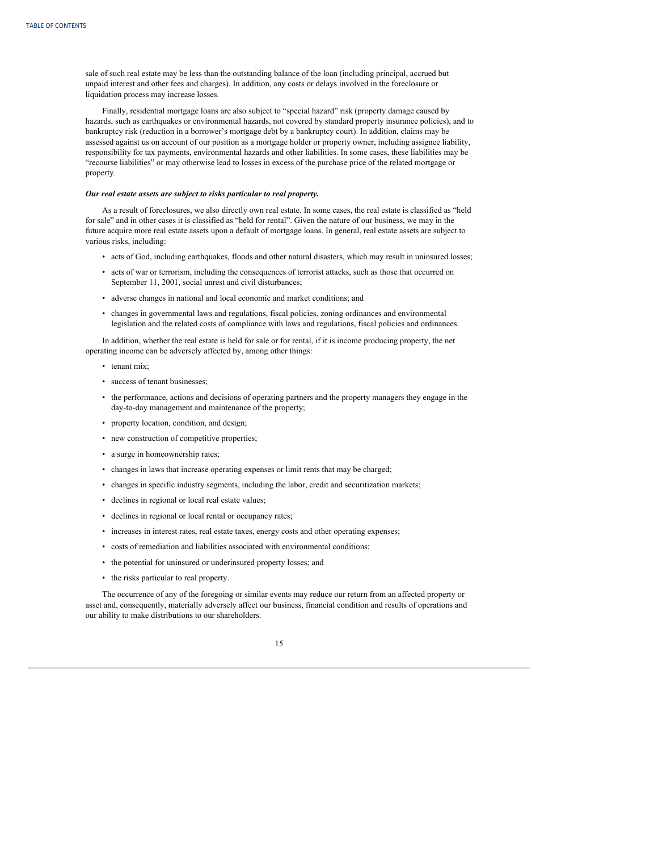sale of such real estate may be less than the outstanding balance of the loan (including principal, accrued but unpaid interest and other fees and charges). In addition, any costs or delays involved in the foreclosure or liquidation process may increase losses.

Finally, residential mortgage loans are also subject to "special hazard" risk (property damage caused by hazards, such as earthquakes or environmental hazards, not covered by standard property insurance policies), and to bankruptcy risk (reduction in a borrower's mortgage debt by a bankruptcy court). In addition, claims may be assessed against us on account of our position as a mortgage holder or property owner, including assignee liability, responsibility for tax payments, environmental hazards and other liabilities. In some cases, these liabilities may be "recourse liabilities" or may otherwise lead to losses in excess of the purchase price of the related mortgage or property.

### *Our real estate assets are subject to risks particular to real property.*

As a result of foreclosures, we also directly own real estate. In some cases, the real estate is classified as "held for sale" and in other cases it is classified as "held for rental". Given the nature of our business, we may in the future acquire more real estate assets upon a default of mortgage loans. In general, real estate assets are subject to various risks, including:

- acts of God, including earthquakes, floods and other natural disasters, which may result in uninsured losses;
- acts of war or terrorism, including the consequences of terrorist attacks, such as those that occurred on September 11, 2001, social unrest and civil disturbances;
- adverse changes in national and local economic and market conditions; and
- changes in governmental laws and regulations, fiscal policies, zoning ordinances and environmental legislation and the related costs of compliance with laws and regulations, fiscal policies and ordinances.

In addition, whether the real estate is held for sale or for rental, if it is income producing property, the net operating income can be adversely affected by, among other things:

- tenant mix;
- success of tenant businesses;
- the performance, actions and decisions of operating partners and the property managers they engage in the day-to-day management and maintenance of the property;
- property location, condition, and design;
- new construction of competitive properties;
- a surge in homeownership rates;
- changes in laws that increase operating expenses or limit rents that may be charged;
- changes in specific industry segments, including the labor, credit and securitization markets;
- declines in regional or local real estate values;
- declines in regional or local rental or occupancy rates;
- increases in interest rates, real estate taxes, energy costs and other operating expenses;
- costs of remediation and liabilities associated with environmental conditions;
- the potential for uninsured or underinsured property losses; and
- the risks particular to real property.

The occurrence of any of the foregoing or similar events may reduce our return from an affected property or asset and, consequently, materially adversely affect our business, financial condition and results of operations and our ability to make distributions to our shareholders.

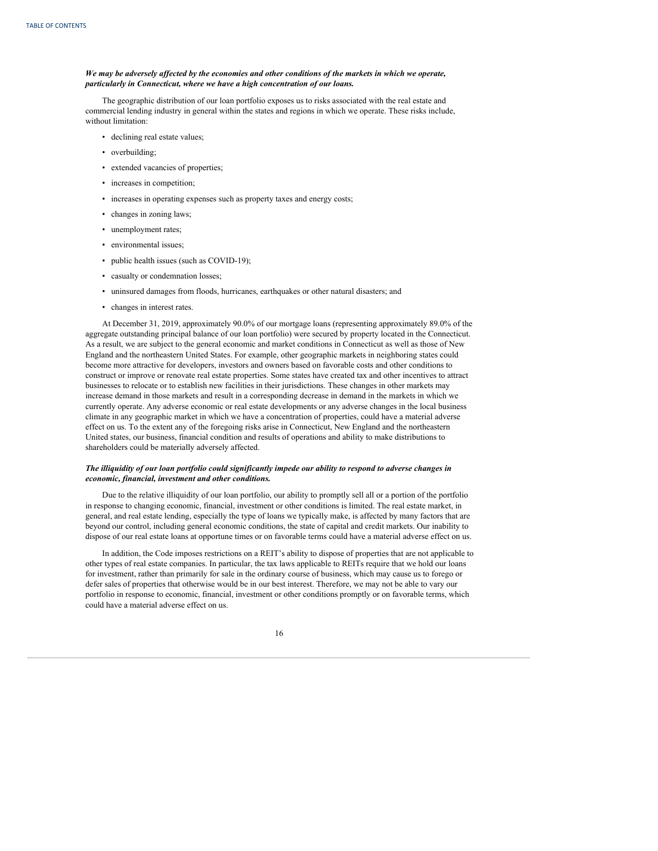# We may be adversely affected by the economies and other conditions of the markets in which we operate, *particularly in Connecticut, where we have a high concentration of our loans.*

The geographic distribution of our loan portfolio exposes us to risks associated with the real estate and commercial lending industry in general within the states and regions in which we operate. These risks include, without limitation:

- declining real estate values;
- overbuilding;
- extended vacancies of properties;
- increases in competition;
- increases in operating expenses such as property taxes and energy costs;
- changes in zoning laws;
- unemployment rates;
- environmental issues;
- public health issues (such as COVID-19);
- casualty or condemnation losses;
- uninsured damages from floods, hurricanes, earthquakes or other natural disasters; and
- changes in interest rates.

At December 31, 2019, approximately 90.0% of our mortgage loans (representing approximately 89.0% of the aggregate outstanding principal balance of our loan portfolio) were secured by property located in the Connecticut. As a result, we are subject to the general economic and market conditions in Connecticut as well as those of New England and the northeastern United States. For example, other geographic markets in neighboring states could become more attractive for developers, investors and owners based on favorable costs and other conditions to construct or improve or renovate real estate properties. Some states have created tax and other incentives to attract businesses to relocate or to establish new facilities in their jurisdictions. These changes in other markets may increase demand in those markets and result in a corresponding decrease in demand in the markets in which we currently operate. Any adverse economic or real estate developments or any adverse changes in the local business climate in any geographic market in which we have a concentration of properties, could have a material adverse effect on us. To the extent any of the foregoing risks arise in Connecticut, New England and the northeastern United states, our business, financial condition and results of operations and ability to make distributions to shareholders could be materially adversely affected.

# The illiquidity of our loan portfolio could significantly impede our ability to respond to adverse changes in *economic, financial, investment and other conditions.*

Due to the relative illiquidity of our loan portfolio, our ability to promptly sell all or a portion of the portfolio in response to changing economic, financial, investment or other conditions is limited. The real estate market, in general, and real estate lending, especially the type of loans we typically make, is affected by many factors that are beyond our control, including general economic conditions, the state of capital and credit markets. Our inability to dispose of our real estate loans at opportune times or on favorable terms could have a material adverse effect on us.

In addition, the Code imposes restrictions on a REIT's ability to dispose of properties that are not applicable to other types of real estate companies. In particular, the tax laws applicable to REITs require that we hold our loans for investment, rather than primarily for sale in the ordinary course of business, which may cause us to forego or defer sales of properties that otherwise would be in our best interest. Therefore, we may not be able to vary our portfolio in response to economic, financial, investment or other conditions promptly or on favorable terms, which could have a material adverse effect on us.

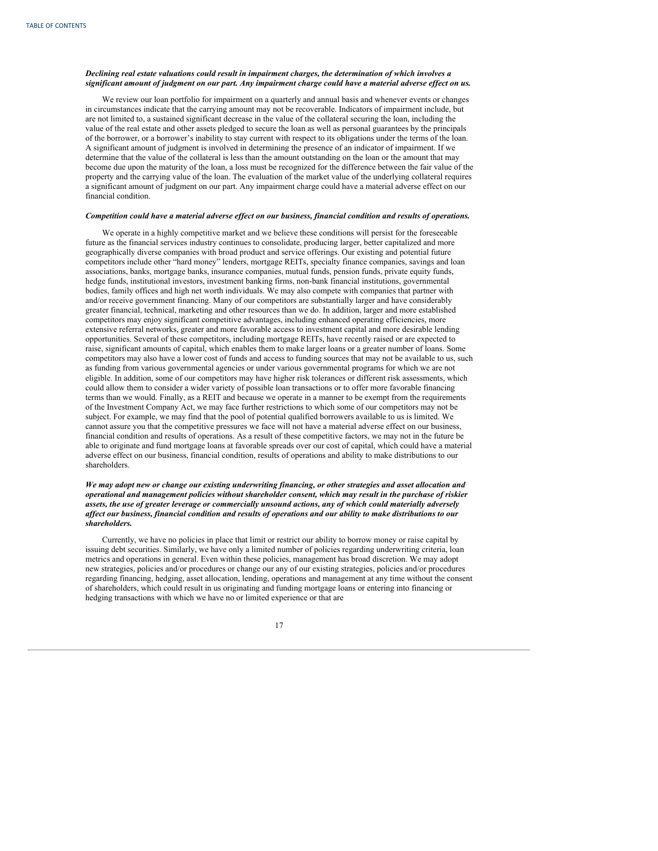# *Declining real estate valuations could result in impairment charges, the determination of which involves a* significant amount of judgment on our part. Any impairment charge could have a material adverse effect on us.

We review our loan portfolio for impairment on a quarterly and annual basis and whenever events or changes in circumstances indicate that the carrying amount may not be recoverable. Indicators of impairment include, but are not limited to, a sustained significant decrease in the value of the collateral securing the loan, including the value of the real estate and other assets pledged to secure the loan as well as personal guarantees by the principals of the borrower, or a borrower's inability to stay current with respect to its obligations under the terms of the loan. A significant amount of judgment is involved in determining the presence of an indicator of impairment. If we determine that the value of the collateral is less than the amount outstanding on the loan or the amount that may become due upon the maturity of the loan, a loss must be recognized for the difference between the fair value of the property and the carrying value of the loan. The evaluation of the market value of the underlying collateral requires a significant amount of judgment on our part. Any impairment charge could have a material adverse effect on our financial condition.

#### Competition could have a material adverse effect on our business, financial condition and results of operations.

We operate in a highly competitive market and we believe these conditions will persist for the foreseeable future as the financial services industry continues to consolidate, producing larger, better capitalized and more geographically diverse companies with broad product and service offerings. Our existing and potential future competitors include other "hard money" lenders, mortgage REITs, specialty finance companies, savings and loan associations, banks, mortgage banks, insurance companies, mutual funds, pension funds, private equity funds, hedge funds, institutional investors, investment banking firms, non-bank financial institutions, governmental bodies, family offices and high net worth individuals. We may also compete with companies that partner with and/or receive government financing. Many of our competitors are substantially larger and have considerably greater financial, technical, marketing and other resources than we do. In addition, larger and more established competitors may enjoy significant competitive advantages, including enhanced operating efficiencies, more extensive referral networks, greater and more favorable access to investment capital and more desirable lending opportunities. Several of these competitors, including mortgage REITs, have recently raised or are expected to raise, significant amounts of capital, which enables them to make larger loans or a greater number of loans. Some competitors may also have a lower cost of funds and access to funding sources that may not be available to us, such as funding from various governmental agencies or under various governmental programs for which we are not eligible. In addition, some of our competitors may have higher risk tolerances or different risk assessments, which could allow them to consider a wider variety of possible loan transactions or to offer more favorable financing terms than we would. Finally, as a REIT and because we operate in a manner to be exempt from the requirements of the Investment Company Act, we may face further restrictions to which some of our competitors may not be subject. For example, we may find that the pool of potential qualified borrowers available to us is limited. We cannot assure you that the competitive pressures we face will not have a material adverse effect on our business, financial condition and results of operations. As a result of these competitive factors, we may not in the future be able to originate and fund mortgage loans at favorable spreads over our cost of capital, which could have a material adverse effect on our business, financial condition, results of operations and ability to make distributions to our shareholders.

# We may adopt new or change our existing underwriting financing, or other strategies and asset allocation and *operational and management policies without shareholder consent, which may result in the purchase of riskier assets, the use of greater leverage or commercially unsound actions, any of which could materially adversely* affect our business, financial condition and results of operations and our ability to make distributions to our *shareholders.*

Currently, we have no policies in place that limit or restrict our ability to borrow money or raise capital by issuing debt securities. Similarly, we have only a limited number of policies regarding underwriting criteria, loan metrics and operations in general. Even within these policies, management has broad discretion. We may adopt new strategies, policies and/or procedures or change our any of our existing strategies, policies and/or procedures regarding financing, hedging, asset allocation, lending, operations and management at any time without the consent of shareholders, which could result in us originating and funding mortgage loans or entering into financing or hedging transactions with which we have no or limited experience or that are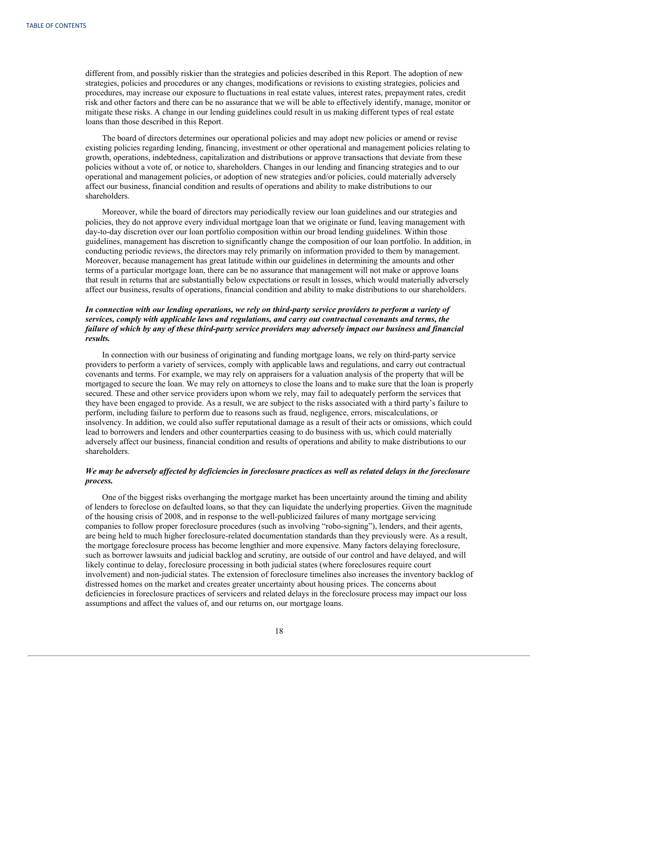different from, and possibly riskier than the strategies and policies described in this Report. The adoption of new strategies, policies and procedures or any changes, modifications or revisions to existing strategies, policies and procedures, may increase our exposure to fluctuations in real estate values, interest rates, prepayment rates, credit risk and other factors and there can be no assurance that we will be able to effectively identify, manage, monitor or mitigate these risks. A change in our lending guidelines could result in us making different types of real estate loans than those described in this Report.

The board of directors determines our operational policies and may adopt new policies or amend or revise existing policies regarding lending, financing, investment or other operational and management policies relating to growth, operations, indebtedness, capitalization and distributions or approve transactions that deviate from these policies without a vote of, or notice to, shareholders. Changes in our lending and financing strategies and to our operational and management policies, or adoption of new strategies and/or policies, could materially adversely affect our business, financial condition and results of operations and ability to make distributions to our shareholders.

Moreover, while the board of directors may periodically review our loan guidelines and our strategies and policies, they do not approve every individual mortgage loan that we originate or fund, leaving management with day-to-day discretion over our loan portfolio composition within our broad lending guidelines. Within those guidelines, management has discretion to significantly change the composition of our loan portfolio. In addition, in conducting periodic reviews, the directors may rely primarily on information provided to them by management. Moreover, because management has great latitude within our guidelines in determining the amounts and other terms of a particular mortgage loan, there can be no assurance that management will not make or approve loans that result in returns that are substantially below expectations or result in losses, which would materially adversely affect our business, results of operations, financial condition and ability to make distributions to our shareholders.

# In connection with our lending operations, we rely on third-party service providers to perform a variety of *services, comply with applicable laws and regulations, and carry out contractual covenants and terms, the* failure of which by any of these third-party service providers may adversely impact our business and financial *results.*

In connection with our business of originating and funding mortgage loans, we rely on third-party service providers to perform a variety of services, comply with applicable laws and regulations, and carry out contractual covenants and terms. For example, we may rely on appraisers for a valuation analysis of the property that will be mortgaged to secure the loan. We may rely on attorneys to close the loans and to make sure that the loan is properly secured. These and other service providers upon whom we rely, may fail to adequately perform the services that they have been engaged to provide. As a result, we are subject to the risks associated with a third party's failure to perform, including failure to perform due to reasons such as fraud, negligence, errors, miscalculations, or insolvency. In addition, we could also suffer reputational damage as a result of their acts or omissions, which could lead to borrowers and lenders and other counterparties ceasing to do business with us, which could materially adversely affect our business, financial condition and results of operations and ability to make distributions to our shareholders.

# We may be adversely affected by deficiencies in foreclosure practices as well as related delays in the foreclosure *process.*

One of the biggest risks overhanging the mortgage market has been uncertainty around the timing and ability of lenders to foreclose on defaulted loans, so that they can liquidate the underlying properties. Given the magnitude of the housing crisis of 2008, and in response to the well-publicized failures of many mortgage servicing companies to follow proper foreclosure procedures (such as involving "robo-signing"), lenders, and their agents, are being held to much higher foreclosure-related documentation standards than they previously were. As a result, the mortgage foreclosure process has become lengthier and more expensive. Many factors delaying foreclosure, such as borrower lawsuits and judicial backlog and scrutiny, are outside of our control and have delayed, and will likely continue to delay, foreclosure processing in both judicial states (where foreclosures require court involvement) and non-judicial states. The extension of foreclosure timelines also increases the inventory backlog of distressed homes on the market and creates greater uncertainty about housing prices. The concerns about deficiencies in foreclosure practices of servicers and related delays in the foreclosure process may impact our loss assumptions and affect the values of, and our returns on, our mortgage loans.

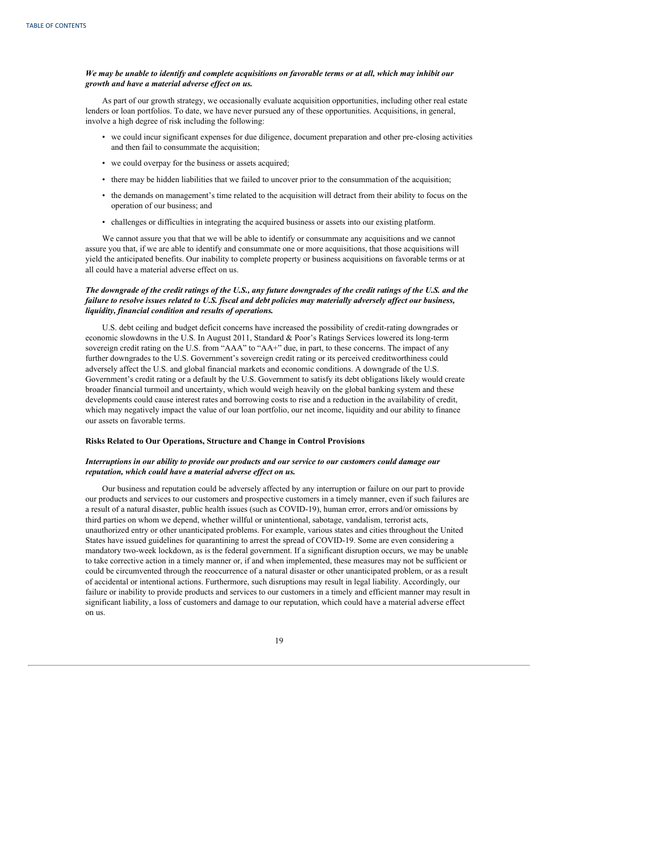# We may be unable to identify and complete acquisitions on favorable terms or at all, which may inhibit our *growth and have a material adverse ef ect on us.*

As part of our growth strategy, we occasionally evaluate acquisition opportunities, including other real estate lenders or loan portfolios. To date, we have never pursued any of these opportunities. Acquisitions, in general, involve a high degree of risk including the following:

- we could incur significant expenses for due diligence, document preparation and other pre-closing activities and then fail to consummate the acquisition;
- we could overpay for the business or assets acquired;
- there may be hidden liabilities that we failed to uncover prior to the consummation of the acquisition;
- the demands on management's time related to the acquisition will detract from their ability to focus on the operation of our business; and
- challenges or difficulties in integrating the acquired business or assets into our existing platform.

We cannot assure you that that we will be able to identify or consummate any acquisitions and we cannot assure you that, if we are able to identify and consummate one or more acquisitions, that those acquisitions will yield the anticipated benefits. Our inability to complete property or business acquisitions on favorable terms or at all could have a material adverse effect on us.

# The downgrade of the credit ratings of the U.S., any future downgrades of the credit ratings of the U.S. and the failure to resolve issues related to U.S. fiscal and debt policies may materially adversely affect our business, *liquidity, financial condition and results of operations.*

U.S. debt ceiling and budget deficit concerns have increased the possibility of credit-rating downgrades or economic slowdowns in the U.S. In August 2011, Standard & Poor's Ratings Services lowered its long-term sovereign credit rating on the U.S. from "AAA" to "AA+" due, in part, to these concerns. The impact of any further downgrades to the U.S. Government's sovereign credit rating or its perceived creditworthiness could adversely affect the U.S. and global financial markets and economic conditions. A downgrade of the U.S. Government's credit rating or a default by the U.S. Government to satisfy its debt obligations likely would create broader financial turmoil and uncertainty, which would weigh heavily on the global banking system and these developments could cause interest rates and borrowing costs to rise and a reduction in the availability of credit, which may negatively impact the value of our loan portfolio, our net income, liquidity and our ability to finance our assets on favorable terms.

#### **Risks Related to Our Operations, Structure and Change in Control Provisions**

# *Interruptions in our ability to provide our products and our service to our customers could damage our reputation, which could have a material adverse ef ect on us.*

Our business and reputation could be adversely affected by any interruption or failure on our part to provide our products and services to our customers and prospective customers in a timely manner, even if such failures are a result of a natural disaster, public health issues (such as COVID-19), human error, errors and/or omissions by third parties on whom we depend, whether willful or unintentional, sabotage, vandalism, terrorist acts, unauthorized entry or other unanticipated problems. For example, various states and cities throughout the United States have issued guidelines for quarantining to arrest the spread of COVID-19. Some are even considering a mandatory two-week lockdown, as is the federal government. If a significant disruption occurs, we may be unable to take corrective action in a timely manner or, if and when implemented, these measures may not be sufficient or could be circumvented through the reoccurrence of a natural disaster or other unanticipated problem, or as a result of accidental or intentional actions. Furthermore, such disruptions may result in legal liability. Accordingly, our failure or inability to provide products and services to our customers in a timely and efficient manner may result in significant liability, a loss of customers and damage to our reputation, which could have a material adverse effect on us.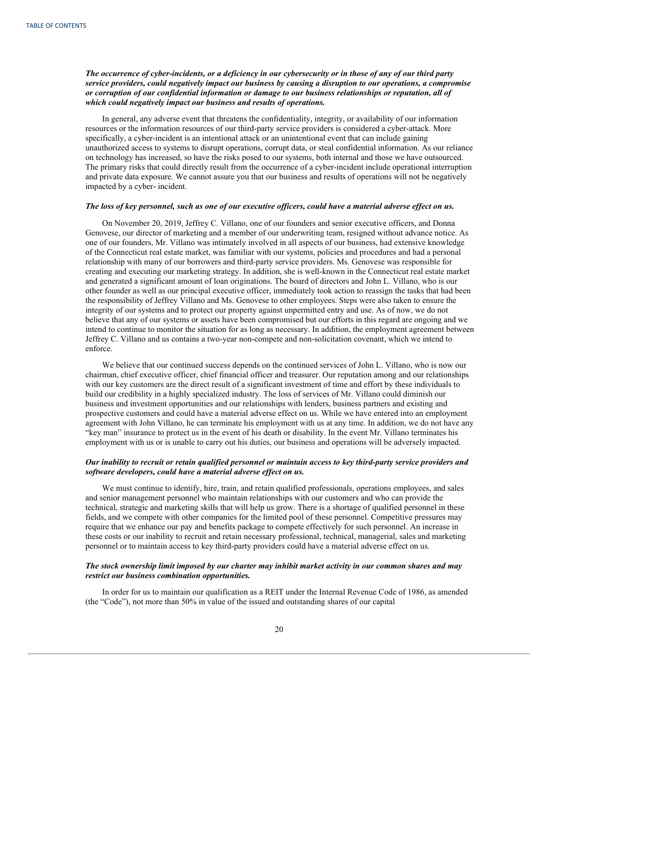The occurrence of cyber-incidents, or a deficiency in our cybersecurity or in those of any of our third party *service providers, could negatively impact our business by causing a disruption to our operations, a compromise or corruption of our confidential information or damage to our business relationships or reputation, all of which could negatively impact our business and results of operations.*

In general, any adverse event that threatens the confidentiality, integrity, or availability of our information resources or the information resources of our third-party service providers is considered a cyber-attack. More specifically, a cyber-incident is an intentional attack or an unintentional event that can include gaining unauthorized access to systems to disrupt operations, corrupt data, or steal confidential information. As our reliance on technology has increased, so have the risks posed to our systems, both internal and those we have outsourced. The primary risks that could directly result from the occurrence of a cyber-incident include operational interruption and private data exposure. We cannot assure you that our business and results of operations will not be negatively impacted by a cyber- incident.

#### The loss of key personnel, such as one of our executive officers, could have a material adverse effect on us.

On November 20, 2019, Jeffrey C. Villano, one of our founders and senior executive officers, and Donna Genovese, our director of marketing and a member of our underwriting team, resigned without advance notice. As one of our founders, Mr. Villano was intimately involved in all aspects of our business, had extensive knowledge of the Connecticut real estate market, was familiar with our systems, policies and procedures and had a personal relationship with many of our borrowers and third-party service providers. Ms. Genovese was responsible for creating and executing our marketing strategy. In addition, she is well-known in the Connecticut real estate market and generated a significant amount of loan originations. The board of directors and John L. Villano, who is our other founder as well as our principal executive officer, immediately took action to reassign the tasks that had been the responsibility of Jeffrey Villano and Ms. Genovese to other employees. Steps were also taken to ensure the integrity of our systems and to protect our property against unpermitted entry and use. As of now, we do not believe that any of our systems or assets have been compromised but our efforts in this regard are ongoing and we intend to continue to monitor the situation for as long as necessary. In addition, the employment agreement between Jeffrey C. Villano and us contains a two-year non-compete and non-solicitation covenant, which we intend to enforce.

We believe that our continued success depends on the continued services of John L. Villano, who is now our chairman, chief executive officer, chief financial officer and treasurer. Our reputation among and our relationships with our key customers are the direct result of a significant investment of time and effort by these individuals to build our credibility in a highly specialized industry. The loss of services of Mr. Villano could diminish our business and investment opportunities and our relationships with lenders, business partners and existing and prospective customers and could have a material adverse effect on us. While we have entered into an employment agreement with John Villano, he can terminate his employment with us at any time. In addition, we do not have any "key man" insurance to protect us in the event of his death or disability. In the event Mr. Villano terminates his employment with us or is unable to carry out his duties, our business and operations will be adversely impacted.

### Our inability to recruit or retain qualified personnel or maintain access to key third-party service providers and *software developers, could have a material adverse ef ect on us.*

We must continue to identify, hire, train, and retain qualified professionals, operations employees, and sales and senior management personnel who maintain relationships with our customers and who can provide the technical, strategic and marketing skills that will help us grow. There is a shortage of qualified personnel in these fields, and we compete with other companies for the limited pool of these personnel. Competitive pressures may require that we enhance our pay and benefits package to compete effectively for such personnel. An increase in these costs or our inability to recruit and retain necessary professional, technical, managerial, sales and marketing personnel or to maintain access to key third-party providers could have a material adverse effect on us.

# The stock ownership limit imposed by our charter may inhibit market activity in our common shares and may *restrict our business combination opportunities.*

In order for us to maintain our qualification as a REIT under the Internal Revenue Code of 1986, as amended (the "Code"), not more than 50% in value of the issued and outstanding shares of our capital

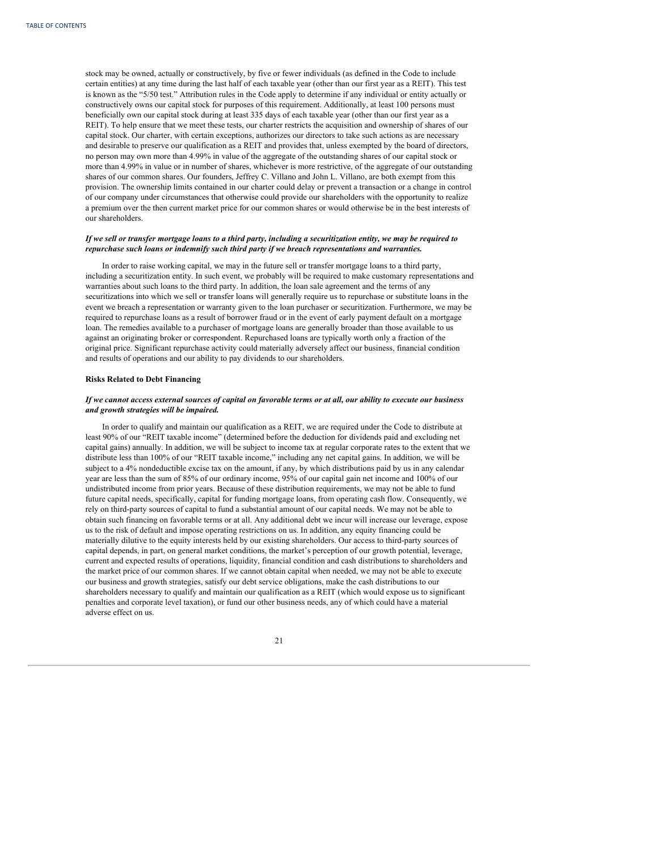stock may be owned, actually or constructively, by five or fewer individuals (as defined in the Code to include certain entities) at any time during the last half of each taxable year (other than our first year as a REIT). This test is known as the "5/50 test." Attribution rules in the Code apply to determine if any individual or entity actually or constructively owns our capital stock for purposes of this requirement. Additionally, at least 100 persons must beneficially own our capital stock during at least 335 days of each taxable year (other than our first year as a REIT). To help ensure that we meet these tests, our charter restricts the acquisition and ownership of shares of our capital stock. Our charter, with certain exceptions, authorizes our directors to take such actions as are necessary and desirable to preserve our qualification as a REIT and provides that, unless exempted by the board of directors, no person may own more than 4.99% in value of the aggregate of the outstanding shares of our capital stock or more than 4.99% in value or in number of shares, whichever is more restrictive, of the aggregate of our outstanding shares of our common shares. Our founders, Jeffrey C. Villano and John L. Villano, are both exempt from this provision. The ownership limits contained in our charter could delay or prevent a transaction or a change in control of our company under circumstances that otherwise could provide our shareholders with the opportunity to realize a premium over the then current market price for our common shares or would otherwise be in the best interests of our shareholders.

# If we sell or transfer mortgage loans to a third party, including a securitization entity, we may be required to *repurchase such loans or indemnify such third party if we breach representations and warranties.*

In order to raise working capital, we may in the future sell or transfer mortgage loans to a third party, including a securitization entity. In such event, we probably will be required to make customary representations and warranties about such loans to the third party. In addition, the loan sale agreement and the terms of any securitizations into which we sell or transfer loans will generally require us to repurchase or substitute loans in the event we breach a representation or warranty given to the loan purchaser or securitization. Furthermore, we may be required to repurchase loans as a result of borrower fraud or in the event of early payment default on a mortgage loan. The remedies available to a purchaser of mortgage loans are generally broader than those available to us against an originating broker or correspondent. Repurchased loans are typically worth only a fraction of the original price. Significant repurchase activity could materially adversely affect our business, financial condition and results of operations and our ability to pay dividends to our shareholders.

### **Risks Related to Debt Financing**

# If we cannot access external sources of capital on favorable terms or at all, our ability to execute our business *and growth strategies will be impaired.*

In order to qualify and maintain our qualification as a REIT, we are required under the Code to distribute at least 90% of our "REIT taxable income" (determined before the deduction for dividends paid and excluding net capital gains) annually. In addition, we will be subject to income tax at regular corporate rates to the extent that we distribute less than 100% of our "REIT taxable income," including any net capital gains. In addition, we will be subject to a 4% nondeductible excise tax on the amount, if any, by which distributions paid by us in any calendar year are less than the sum of 85% of our ordinary income, 95% of our capital gain net income and 100% of our undistributed income from prior years. Because of these distribution requirements, we may not be able to fund future capital needs, specifically, capital for funding mortgage loans, from operating cash flow. Consequently, we rely on third-party sources of capital to fund a substantial amount of our capital needs. We may not be able to obtain such financing on favorable terms or at all. Any additional debt we incur will increase our leverage, expose us to the risk of default and impose operating restrictions on us. In addition, any equity financing could be materially dilutive to the equity interests held by our existing shareholders. Our access to third-party sources of capital depends, in part, on general market conditions, the market's perception of our growth potential, leverage, current and expected results of operations, liquidity, financial condition and cash distributions to shareholders and the market price of our common shares. If we cannot obtain capital when needed, we may not be able to execute our business and growth strategies, satisfy our debt service obligations, make the cash distributions to our shareholders necessary to qualify and maintain our qualification as a REIT (which would expose us to significant penalties and corporate level taxation), or fund our other business needs, any of which could have a material adverse effect on us.

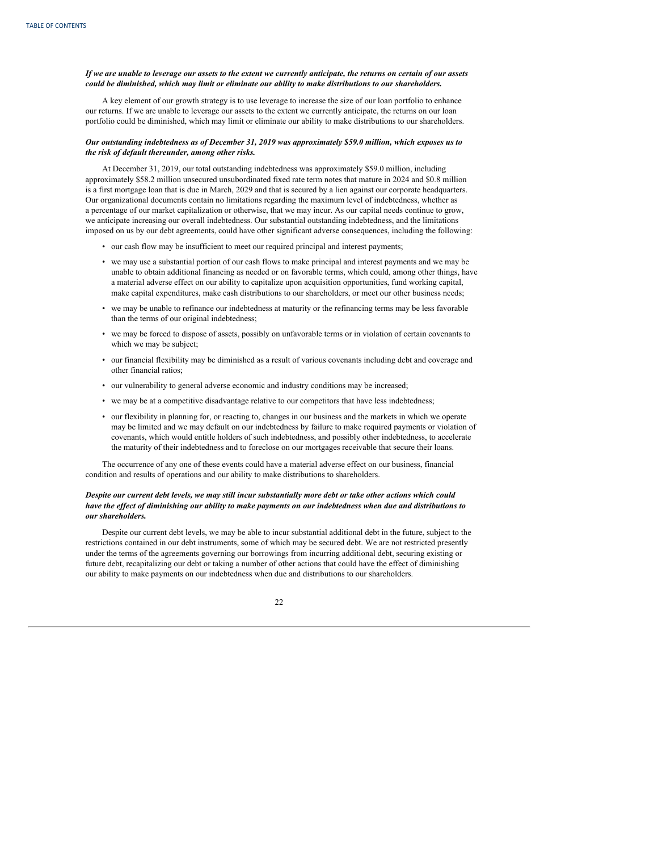# If we are unable to leverage our assets to the extent we currently anticipate, the returns on certain of our assets *could be diminished, which may limit or eliminate our ability to make distributions to our shareholders.*

A key element of our growth strategy is to use leverage to increase the size of our loan portfolio to enhance our returns. If we are unable to leverage our assets to the extent we currently anticipate, the returns on our loan portfolio could be diminished, which may limit or eliminate our ability to make distributions to our shareholders.

# *Our outstanding indebtedness as of December 31, 2019 was approximately \$59.0 million, which exposes us to the risk of default thereunder, among other risks.*

At December 31, 2019, our total outstanding indebtedness was approximately \$59.0 million, including approximately \$58.2 million unsecured unsubordinated fixed rate term notes that mature in 2024 and \$0.8 million is a first mortgage loan that is due in March, 2029 and that is secured by a lien against our corporate headquarters. Our organizational documents contain no limitations regarding the maximum level of indebtedness, whether as a percentage of our market capitalization or otherwise, that we may incur. As our capital needs continue to grow, we anticipate increasing our overall indebtedness. Our substantial outstanding indebtedness, and the limitations imposed on us by our debt agreements, could have other significant adverse consequences, including the following:

- our cash flow may be insufficient to meet our required principal and interest payments;
- we may use a substantial portion of our cash flows to make principal and interest payments and we may be unable to obtain additional financing as needed or on favorable terms, which could, among other things, have a material adverse effect on our ability to capitalize upon acquisition opportunities, fund working capital, make capital expenditures, make cash distributions to our shareholders, or meet our other business needs;
- we may be unable to refinance our indebtedness at maturity or the refinancing terms may be less favorable than the terms of our original indebtedness;
- we may be forced to dispose of assets, possibly on unfavorable terms or in violation of certain covenants to which we may be subject;
- our financial flexibility may be diminished as a result of various covenants including debt and coverage and other financial ratios;
- our vulnerability to general adverse economic and industry conditions may be increased;
- we may be at a competitive disadvantage relative to our competitors that have less indebtedness;
- our flexibility in planning for, or reacting to, changes in our business and the markets in which we operate may be limited and we may default on our indebtedness by failure to make required payments or violation of covenants, which would entitle holders of such indebtedness, and possibly other indebtedness, to accelerate the maturity of their indebtedness and to foreclose on our mortgages receivable that secure their loans.

The occurrence of any one of these events could have a material adverse effect on our business, financial condition and results of operations and our ability to make distributions to shareholders.

# Despite our current debt levels, we may still incur substantially more debt or take other actions which could have the effect of diminishing our ability to make payments on our indebtedness when due and distributions to *our shareholders.*

Despite our current debt levels, we may be able to incur substantial additional debt in the future, subject to the restrictions contained in our debt instruments, some of which may be secured debt. We are not restricted presently under the terms of the agreements governing our borrowings from incurring additional debt, securing existing or future debt, recapitalizing our debt or taking a number of other actions that could have the effect of diminishing our ability to make payments on our indebtedness when due and distributions to our shareholders.

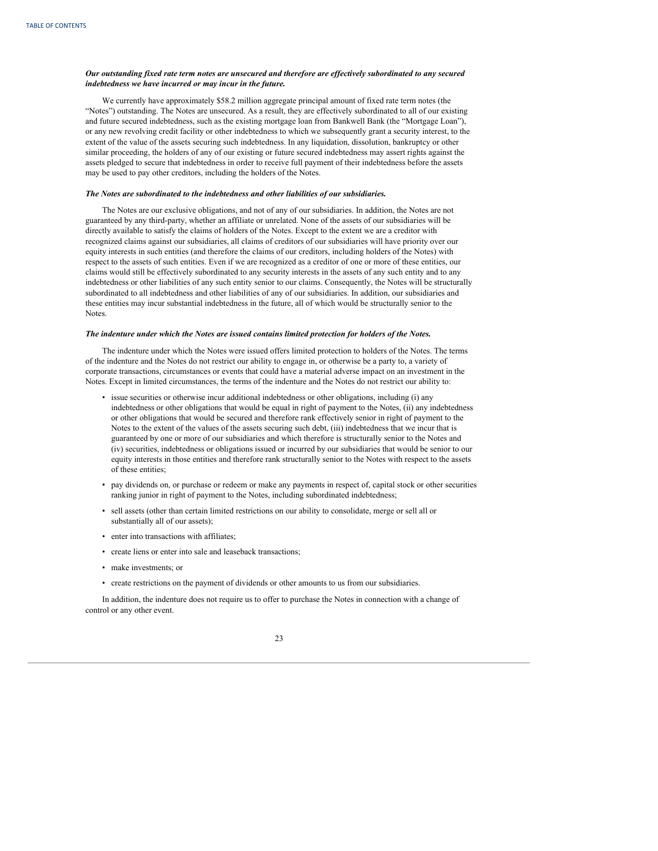# Our outstanding fixed rate term notes are unsecured and therefore are effectively subordinated to any secured *indebtedness we have incurred or may incur in the future.*

We currently have approximately \$58.2 million aggregate principal amount of fixed rate term notes (the "Notes") outstanding. The Notes are unsecured. As a result, they are effectively subordinated to all of our existing and future secured indebtedness, such as the existing mortgage loan from Bankwell Bank (the "Mortgage Loan"), or any new revolving credit facility or other indebtedness to which we subsequently grant a security interest, to the extent of the value of the assets securing such indebtedness. In any liquidation, dissolution, bankruptcy or other similar proceeding, the holders of any of our existing or future secured indebtedness may assert rights against the assets pledged to secure that indebtedness in order to receive full payment of their indebtedness before the assets may be used to pay other creditors, including the holders of the Notes.

#### *The Notes are subordinated to the indebtedness and other liabilities of our subsidiaries.*

The Notes are our exclusive obligations, and not of any of our subsidiaries. In addition, the Notes are not guaranteed by any third-party, whether an affiliate or unrelated. None of the assets of our subsidiaries will be directly available to satisfy the claims of holders of the Notes. Except to the extent we are a creditor with recognized claims against our subsidiaries, all claims of creditors of our subsidiaries will have priority over our equity interests in such entities (and therefore the claims of our creditors, including holders of the Notes) with respect to the assets of such entities. Even if we are recognized as a creditor of one or more of these entities, our claims would still be effectively subordinated to any security interests in the assets of any such entity and to any indebtedness or other liabilities of any such entity senior to our claims. Consequently, the Notes will be structurally subordinated to all indebtedness and other liabilities of any of our subsidiaries. In addition, our subsidiaries and these entities may incur substantial indebtedness in the future, all of which would be structurally senior to the Notes.

#### *The indenture under which the Notes are issued contains limited protection for holders of the Notes.*

The indenture under which the Notes were issued offers limited protection to holders of the Notes. The terms of the indenture and the Notes do not restrict our ability to engage in, or otherwise be a party to, a variety of corporate transactions, circumstances or events that could have a material adverse impact on an investment in the Notes. Except in limited circumstances, the terms of the indenture and the Notes do not restrict our ability to:

- issue securities or otherwise incur additional indebtedness or other obligations, including (i) any indebtedness or other obligations that would be equal in right of payment to the Notes, (ii) any indebtedness or other obligations that would be secured and therefore rank effectively senior in right of payment to the Notes to the extent of the values of the assets securing such debt, (iii) indebtedness that we incur that is guaranteed by one or more of our subsidiaries and which therefore is structurally senior to the Notes and (iv) securities, indebtedness or obligations issued or incurred by our subsidiaries that would be senior to our equity interests in those entities and therefore rank structurally senior to the Notes with respect to the assets of these entities;
- pay dividends on, or purchase or redeem or make any payments in respect of, capital stock or other securities ranking junior in right of payment to the Notes, including subordinated indebtedness;
- sell assets (other than certain limited restrictions on our ability to consolidate, merge or sell all or substantially all of our assets);
- enter into transactions with affiliates;
- create liens or enter into sale and leaseback transactions;
- make investments; or
- create restrictions on the payment of dividends or other amounts to us from our subsidiaries.

In addition, the indenture does not require us to offer to purchase the Notes in connection with a change of control or any other event.

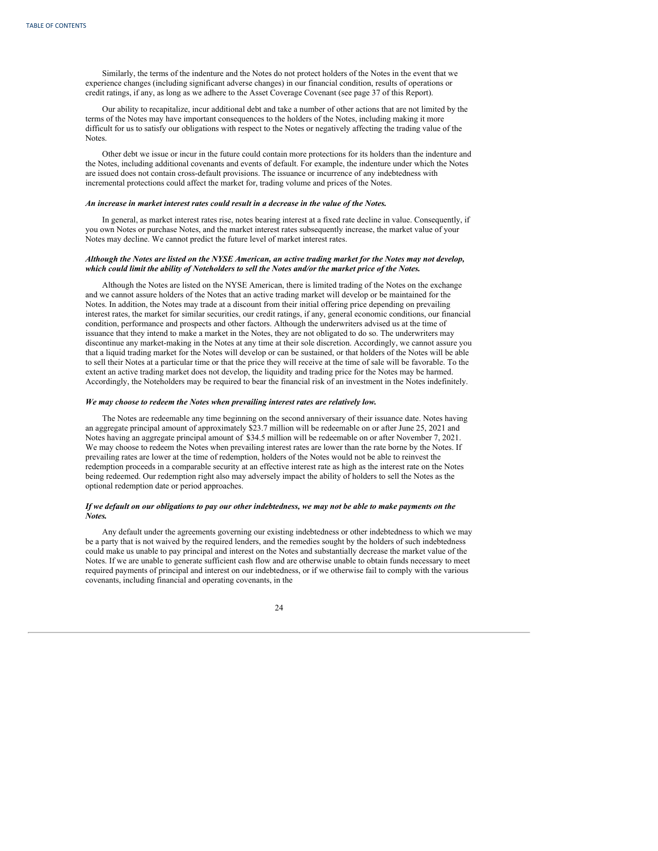Similarly, the terms of the indenture and the Notes do not protect holders of the Notes in the event that we experience changes (including significant adverse changes) in our financial condition, results of operations or credit ratings, if any, as long as we adhere to the Asset Coverage Covenant (see page 37 of this Report).

Our ability to recapitalize, incur additional debt and take a number of other actions that are not limited by the terms of the Notes may have important consequences to the holders of the Notes, including making it more difficult for us to satisfy our obligations with respect to the Notes or negatively affecting the trading value of the Notes.

Other debt we issue or incur in the future could contain more protections for its holders than the indenture and the Notes, including additional covenants and events of default. For example, the indenture under which the Notes are issued does not contain cross-default provisions. The issuance or incurrence of any indebtedness with incremental protections could affect the market for, trading volume and prices of the Notes.

#### *An increase in market interest rates could result in a decrease in the value of the Notes.*

In general, as market interest rates rise, notes bearing interest at a fixed rate decline in value. Consequently, if you own Notes or purchase Notes, and the market interest rates subsequently increase, the market value of your Notes may decline. We cannot predict the future level of market interest rates.

### Although the Notes are listed on the NYSE American, an active trading market for the Notes may not develop, which could limit the ability of Noteholders to sell the Notes and/or the market price of the Notes.

Although the Notes are listed on the NYSE American, there is limited trading of the Notes on the exchange and we cannot assure holders of the Notes that an active trading market will develop or be maintained for the Notes. In addition, the Notes may trade at a discount from their initial offering price depending on prevailing interest rates, the market for similar securities, our credit ratings, if any, general economic conditions, our financial condition, performance and prospects and other factors. Although the underwriters advised us at the time of issuance that they intend to make a market in the Notes, they are not obligated to do so. The underwriters may discontinue any market-making in the Notes at any time at their sole discretion. Accordingly, we cannot assure you that a liquid trading market for the Notes will develop or can be sustained, or that holders of the Notes will be able to sell their Notes at a particular time or that the price they will receive at the time of sale will be favorable. To the extent an active trading market does not develop, the liquidity and trading price for the Notes may be harmed. Accordingly, the Noteholders may be required to bear the financial risk of an investment in the Notes indefinitely.

#### *We may choose to redeem the Notes when prevailing interest rates are relatively low.*

The Notes are redeemable any time beginning on the second anniversary of their issuance date. Notes having an aggregate principal amount of approximately \$23.7 million will be redeemable on or after June 25, 2021 and Notes having an aggregate principal amount of \$34.5 million will be redeemable on or after November 7, 2021. We may choose to redeem the Notes when prevailing interest rates are lower than the rate borne by the Notes. If prevailing rates are lower at the time of redemption, holders of the Notes would not be able to reinvest the redemption proceeds in a comparable security at an effective interest rate as high as the interest rate on the Notes being redeemed. Our redemption right also may adversely impact the ability of holders to sell the Notes as the optional redemption date or period approaches.

# If we default on our obligations to pay our other indebtedness, we may not be able to make payments on the *Notes.*

Any default under the agreements governing our existing indebtedness or other indebtedness to which we may be a party that is not waived by the required lenders, and the remedies sought by the holders of such indebtedness could make us unable to pay principal and interest on the Notes and substantially decrease the market value of the Notes. If we are unable to generate sufficient cash flow and are otherwise unable to obtain funds necessary to meet required payments of principal and interest on our indebtedness, or if we otherwise fail to comply with the various covenants, including financial and operating covenants, in the

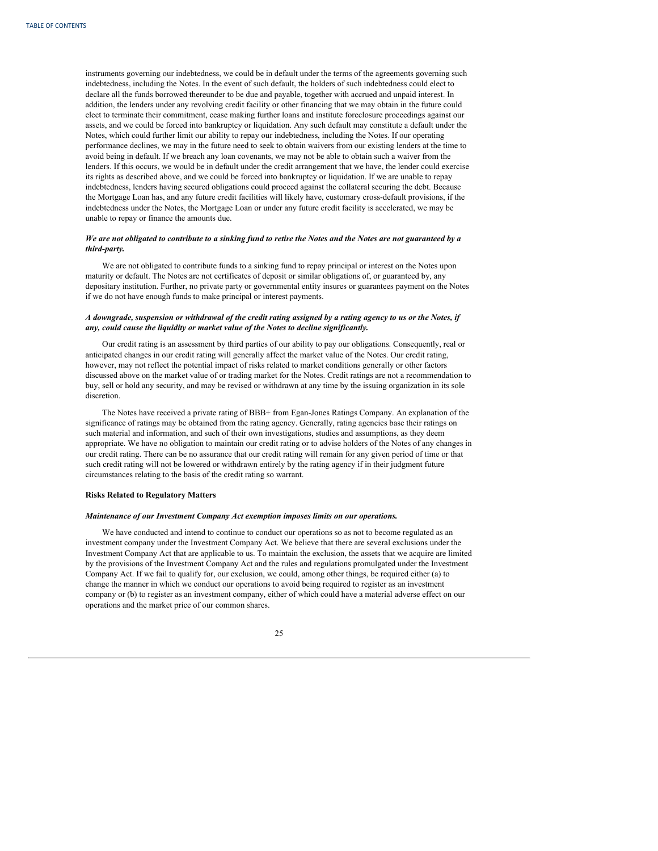instruments governing our indebtedness, we could be in default under the terms of the agreements governing such indebtedness, including the Notes. In the event of such default, the holders of such indebtedness could elect to declare all the funds borrowed thereunder to be due and payable, together with accrued and unpaid interest. In addition, the lenders under any revolving credit facility or other financing that we may obtain in the future could elect to terminate their commitment, cease making further loans and institute foreclosure proceedings against our assets, and we could be forced into bankruptcy or liquidation. Any such default may constitute a default under the Notes, which could further limit our ability to repay our indebtedness, including the Notes. If our operating performance declines, we may in the future need to seek to obtain waivers from our existing lenders at the time to avoid being in default. If we breach any loan covenants, we may not be able to obtain such a waiver from the lenders. If this occurs, we would be in default under the credit arrangement that we have, the lender could exercise its rights as described above, and we could be forced into bankruptcy or liquidation. If we are unable to repay indebtedness, lenders having secured obligations could proceed against the collateral securing the debt. Because the Mortgage Loan has, and any future credit facilities will likely have, customary cross-default provisions, if the indebtedness under the Notes, the Mortgage Loan or under any future credit facility is accelerated, we may be unable to repay or finance the amounts due.

# We are not obligated to contribute to a sinking fund to retire the Notes and the Notes are not guaranteed by a *third-party.*

We are not obligated to contribute funds to a sinking fund to repay principal or interest on the Notes upon maturity or default. The Notes are not certificates of deposit or similar obligations of, or guaranteed by, any depositary institution. Further, no private party or governmental entity insures or guarantees payment on the Notes if we do not have enough funds to make principal or interest payments.

# A downgrade, suspension or withdrawal of the credit rating assigned by a rating agency to us or the Notes, if *any, could cause the liquidity or market value of the Notes to decline significantly.*

Our credit rating is an assessment by third parties of our ability to pay our obligations. Consequently, real or anticipated changes in our credit rating will generally affect the market value of the Notes. Our credit rating, however, may not reflect the potential impact of risks related to market conditions generally or other factors discussed above on the market value of or trading market for the Notes. Credit ratings are not a recommendation to buy, sell or hold any security, and may be revised or withdrawn at any time by the issuing organization in its sole discretion.

The Notes have received a private rating of BBB+ from Egan-Jones Ratings Company. An explanation of the significance of ratings may be obtained from the rating agency. Generally, rating agencies base their ratings on such material and information, and such of their own investigations, studies and assumptions, as they deem appropriate. We have no obligation to maintain our credit rating or to advise holders of the Notes of any changes in our credit rating. There can be no assurance that our credit rating will remain for any given period of time or that such credit rating will not be lowered or withdrawn entirely by the rating agency if in their judgment future circumstances relating to the basis of the credit rating so warrant.

# **Risks Related to Regulatory Matters**

#### *Maintenance of our Investment Company Act exemption imposes limits on our operations.*

We have conducted and intend to continue to conduct our operations so as not to become regulated as an investment company under the Investment Company Act. We believe that there are several exclusions under the Investment Company Act that are applicable to us. To maintain the exclusion, the assets that we acquire are limited by the provisions of the Investment Company Act and the rules and regulations promulgated under the Investment Company Act. If we fail to qualify for, our exclusion, we could, among other things, be required either (a) to change the manner in which we conduct our operations to avoid being required to register as an investment company or (b) to register as an investment company, either of which could have a material adverse effect on our operations and the market price of our common shares.

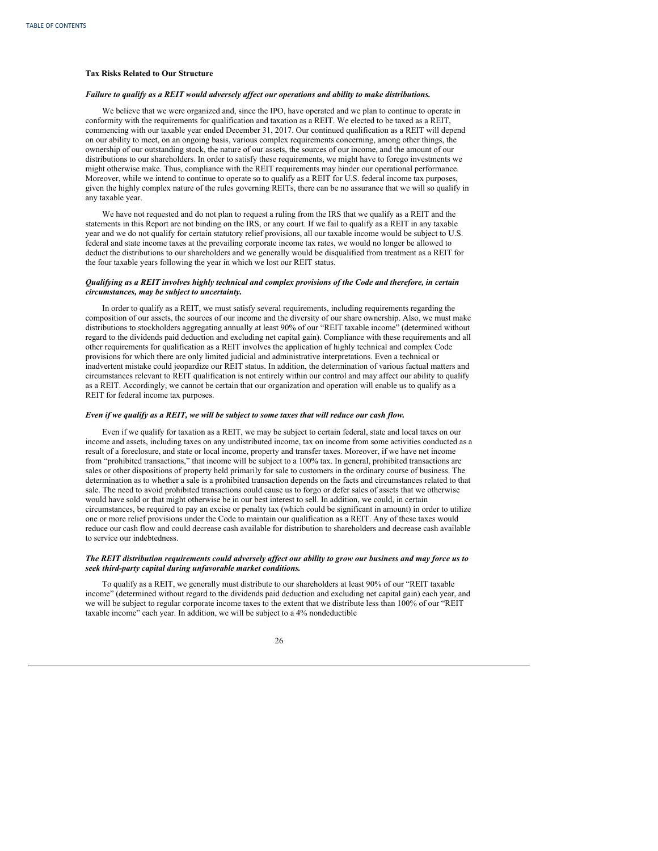### **Tax Risks Related to Our Structure**

# *Failure to qualify as a REIT would adversely af ect our operations and ability to make distributions.*

We believe that we were organized and, since the IPO, have operated and we plan to continue to operate in conformity with the requirements for qualification and taxation as a REIT. We elected to be taxed as a REIT, commencing with our taxable year ended December 31, 2017. Our continued qualification as a REIT will depend on our ability to meet, on an ongoing basis, various complex requirements concerning, among other things, the ownership of our outstanding stock, the nature of our assets, the sources of our income, and the amount of our distributions to our shareholders. In order to satisfy these requirements, we might have to forego investments we might otherwise make. Thus, compliance with the REIT requirements may hinder our operational performance. Moreover, while we intend to continue to operate so to qualify as a REIT for U.S. federal income tax purposes, given the highly complex nature of the rules governing REITs, there can be no assurance that we will so qualify in any taxable year.

We have not requested and do not plan to request a ruling from the IRS that we qualify as a REIT and the statements in this Report are not binding on the IRS, or any court. If we fail to qualify as a REIT in any taxable year and we do not qualify for certain statutory relief provisions, all our taxable income would be subject to U.S. federal and state income taxes at the prevailing corporate income tax rates, we would no longer be allowed to deduct the distributions to our shareholders and we generally would be disqualified from treatment as a REIT for the four taxable years following the year in which we lost our REIT status.

### Qualifying as a REIT involves highly technical and complex provisions of the Code and therefore, in certain *circumstances, may be subject to uncertainty.*

In order to qualify as a REIT, we must satisfy several requirements, including requirements regarding the composition of our assets, the sources of our income and the diversity of our share ownership. Also, we must make distributions to stockholders aggregating annually at least 90% of our "REIT taxable income" (determined without regard to the dividends paid deduction and excluding net capital gain). Compliance with these requirements and all other requirements for qualification as a REIT involves the application of highly technical and complex Code provisions for which there are only limited judicial and administrative interpretations. Even a technical or inadvertent mistake could jeopardize our REIT status. In addition, the determination of various factual matters and circumstances relevant to REIT qualification is not entirely within our control and may affect our ability to qualify as a REIT. Accordingly, we cannot be certain that our organization and operation will enable us to qualify as a REIT for federal income tax purposes.

#### Even if we qualify as a REIT, we will be subject to some taxes that will reduce our cash flow.

Even if we qualify for taxation as a REIT, we may be subject to certain federal, state and local taxes on our income and assets, including taxes on any undistributed income, tax on income from some activities conducted as a result of a foreclosure, and state or local income, property and transfer taxes. Moreover, if we have net income from "prohibited transactions," that income will be subject to a 100% tax. In general, prohibited transactions are sales or other dispositions of property held primarily for sale to customers in the ordinary course of business. The determination as to whether a sale is a prohibited transaction depends on the facts and circumstances related to that sale. The need to avoid prohibited transactions could cause us to forgo or defer sales of assets that we otherwise would have sold or that might otherwise be in our best interest to sell. In addition, we could, in certain circumstances, be required to pay an excise or penalty tax (which could be significant in amount) in order to utilize one or more relief provisions under the Code to maintain our qualification as a REIT. Any of these taxes would reduce our cash flow and could decrease cash available for distribution to shareholders and decrease cash available to service our indebtedness.

### The REIT distribution requirements could adversely affect our ability to grow our business and may force us to *seek third-party capital during unfavorable market conditions.*

To qualify as a REIT, we generally must distribute to our shareholders at least 90% of our "REIT taxable income" (determined without regard to the dividends paid deduction and excluding net capital gain) each year, and we will be subject to regular corporate income taxes to the extent that we distribute less than 100% of our "REIT taxable income" each year. In addition, we will be subject to a 4% nondeductible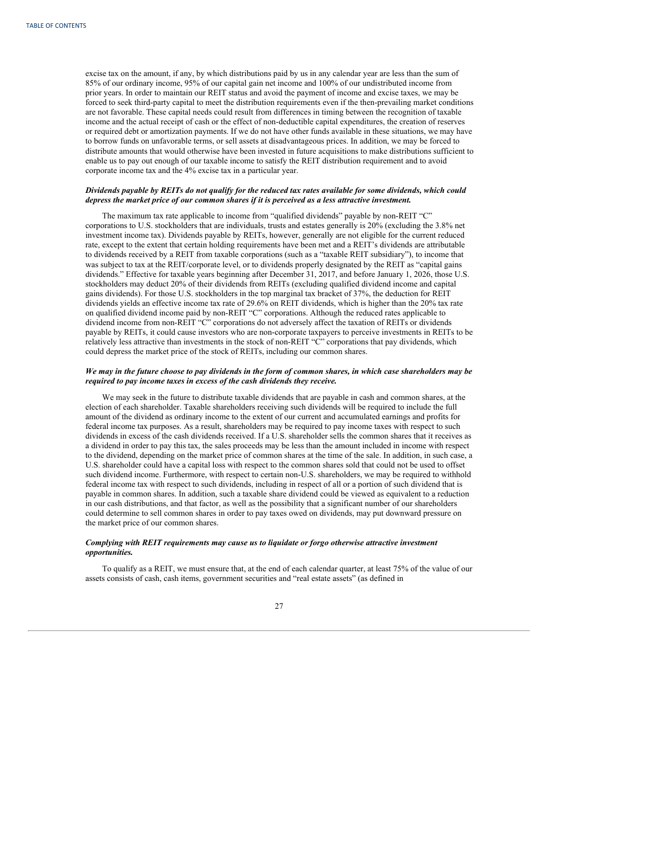excise tax on the amount, if any, by which distributions paid by us in any calendar year are less than the sum of 85% of our ordinary income, 95% of our capital gain net income and 100% of our undistributed income from prior years. In order to maintain our REIT status and avoid the payment of income and excise taxes, we may be forced to seek third-party capital to meet the distribution requirements even if the then-prevailing market conditions are not favorable. These capital needs could result from differences in timing between the recognition of taxable income and the actual receipt of cash or the effect of non-deductible capital expenditures, the creation of reserves or required debt or amortization payments. If we do not have other funds available in these situations, we may have to borrow funds on unfavorable terms, or sell assets at disadvantageous prices. In addition, we may be forced to distribute amounts that would otherwise have been invested in future acquisitions to make distributions sufficient to enable us to pay out enough of our taxable income to satisfy the REIT distribution requirement and to avoid corporate income tax and the 4% excise tax in a particular year.

### Dividends payable by REITs do not qualify for the reduced tax rates available for some dividends, which could *depress the market price of our common shares if it is perceived as a less attractive investment.*

The maximum tax rate applicable to income from "qualified dividends" payable by non-REIT "C" corporations to U.S. stockholders that are individuals, trusts and estates generally is 20% (excluding the 3.8% net investment income tax). Dividends payable by REITs, however, generally are not eligible for the current reduced rate, except to the extent that certain holding requirements have been met and a REIT's dividends are attributable to dividends received by a REIT from taxable corporations (such as a "taxable REIT subsidiary"), to income that was subject to tax at the REIT/corporate level, or to dividends properly designated by the REIT as "capital gains dividends." Effective for taxable years beginning after December 31, 2017, and before January 1, 2026, those U.S. stockholders may deduct 20% of their dividends from REITs (excluding qualified dividend income and capital gains dividends). For those U.S. stockholders in the top marginal tax bracket of 37%, the deduction for REIT dividends yields an effective income tax rate of 29.6% on REIT dividends, which is higher than the 20% tax rate on qualified dividend income paid by non-REIT "C" corporations. Although the reduced rates applicable to dividend income from non-REIT "C" corporations do not adversely affect the taxation of REITs or dividends payable by REITs, it could cause investors who are non-corporate taxpayers to perceive investments in REITs to be relatively less attractive than investments in the stock of non-REIT "C" corporations that pay dividends, which could depress the market price of the stock of REITs, including our common shares.

# We may in the future choose to pay dividends in the form of common shares, in which case shareholders may be *required to pay income taxes in excess of the cash dividends they receive.*

We may seek in the future to distribute taxable dividends that are payable in cash and common shares, at the election of each shareholder. Taxable shareholders receiving such dividends will be required to include the full amount of the dividend as ordinary income to the extent of our current and accumulated earnings and profits for federal income tax purposes. As a result, shareholders may be required to pay income taxes with respect to such dividends in excess of the cash dividends received. If a U.S. shareholder sells the common shares that it receives as a dividend in order to pay this tax, the sales proceeds may be less than the amount included in income with respect to the dividend, depending on the market price of common shares at the time of the sale. In addition, in such case, a U.S. shareholder could have a capital loss with respect to the common shares sold that could not be used to offset such dividend income. Furthermore, with respect to certain non-U.S. shareholders, we may be required to withhold federal income tax with respect to such dividends, including in respect of all or a portion of such dividend that is payable in common shares. In addition, such a taxable share dividend could be viewed as equivalent to a reduction in our cash distributions, and that factor, as well as the possibility that a significant number of our shareholders could determine to sell common shares in order to pay taxes owed on dividends, may put downward pressure on the market price of our common shares.

## *Complying with REIT requirements may cause us to liquidate or forgo otherwise attractive investment opportunities.*

To qualify as a REIT, we must ensure that, at the end of each calendar quarter, at least 75% of the value of our assets consists of cash, cash items, government securities and "real estate assets" (as defined in

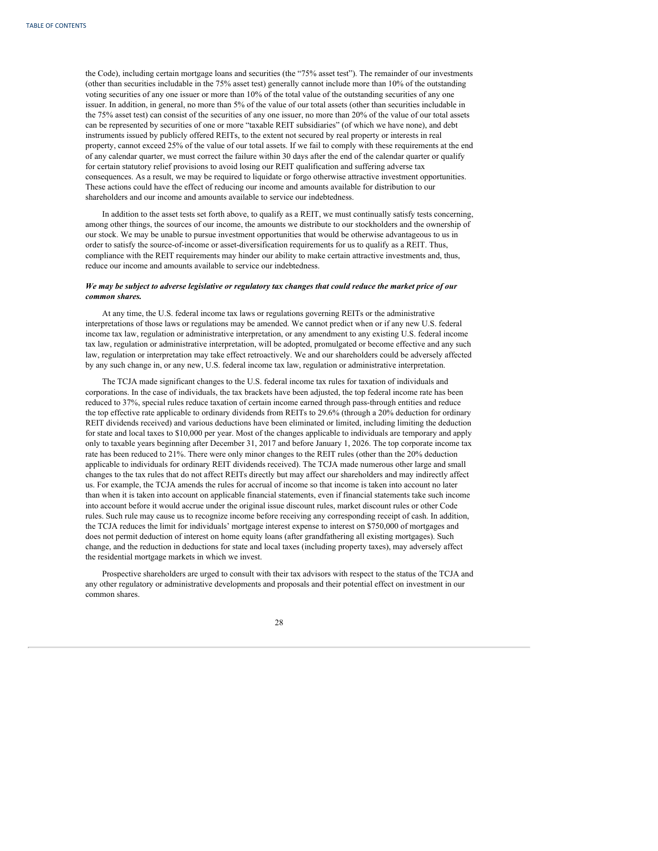the Code), including certain mortgage loans and securities (the "75% asset test"). The remainder of our investments (other than securities includable in the 75% asset test) generally cannot include more than 10% of the outstanding voting securities of any one issuer or more than 10% of the total value of the outstanding securities of any one issuer. In addition, in general, no more than 5% of the value of our total assets (other than securities includable in the 75% asset test) can consist of the securities of any one issuer, no more than 20% of the value of our total assets can be represented by securities of one or more "taxable REIT subsidiaries" (of which we have none), and debt instruments issued by publicly offered REITs, to the extent not secured by real property or interests in real property, cannot exceed 25% of the value of our total assets. If we fail to comply with these requirements at the end of any calendar quarter, we must correct the failure within 30 days after the end of the calendar quarter or qualify for certain statutory relief provisions to avoid losing our REIT qualification and suffering adverse tax consequences. As a result, we may be required to liquidate or forgo otherwise attractive investment opportunities. These actions could have the effect of reducing our income and amounts available for distribution to our shareholders and our income and amounts available to service our indebtedness.

In addition to the asset tests set forth above, to qualify as a REIT, we must continually satisfy tests concerning, among other things, the sources of our income, the amounts we distribute to our stockholders and the ownership of our stock. We may be unable to pursue investment opportunities that would be otherwise advantageous to us in order to satisfy the source-of-income or asset-diversification requirements for us to qualify as a REIT. Thus, compliance with the REIT requirements may hinder our ability to make certain attractive investments and, thus, reduce our income and amounts available to service our indebtedness.

# We may be subject to adverse legislative or regulatory tax changes that could reduce the market price of our *common shares.*

At any time, the U.S. federal income tax laws or regulations governing REITs or the administrative interpretations of those laws or regulations may be amended. We cannot predict when or if any new U.S. federal income tax law, regulation or administrative interpretation, or any amendment to any existing U.S. federal income tax law, regulation or administrative interpretation, will be adopted, promulgated or become effective and any such law, regulation or interpretation may take effect retroactively. We and our shareholders could be adversely affected by any such change in, or any new, U.S. federal income tax law, regulation or administrative interpretation.

The TCJA made significant changes to the U.S. federal income tax rules for taxation of individuals and corporations. In the case of individuals, the tax brackets have been adjusted, the top federal income rate has been reduced to 37%, special rules reduce taxation of certain income earned through pass-through entities and reduce the top effective rate applicable to ordinary dividends from REITs to 29.6% (through a 20% deduction for ordinary REIT dividends received) and various deductions have been eliminated or limited, including limiting the deduction for state and local taxes to \$10,000 per year. Most of the changes applicable to individuals are temporary and apply only to taxable years beginning after December 31, 2017 and before January 1, 2026. The top corporate income tax rate has been reduced to 21%. There were only minor changes to the REIT rules (other than the 20% deduction applicable to individuals for ordinary REIT dividends received). The TCJA made numerous other large and small changes to the tax rules that do not affect REITs directly but may affect our shareholders and may indirectly affect us. For example, the TCJA amends the rules for accrual of income so that income is taken into account no later than when it is taken into account on applicable financial statements, even if financial statements take such income into account before it would accrue under the original issue discount rules, market discount rules or other Code rules. Such rule may cause us to recognize income before receiving any corresponding receipt of cash. In addition, the TCJA reduces the limit for individuals' mortgage interest expense to interest on \$750,000 of mortgages and does not permit deduction of interest on home equity loans (after grandfathering all existing mortgages). Such change, and the reduction in deductions for state and local taxes (including property taxes), may adversely affect the residential mortgage markets in which we invest.

Prospective shareholders are urged to consult with their tax advisors with respect to the status of the TCJA and any other regulatory or administrative developments and proposals and their potential effect on investment in our common shares.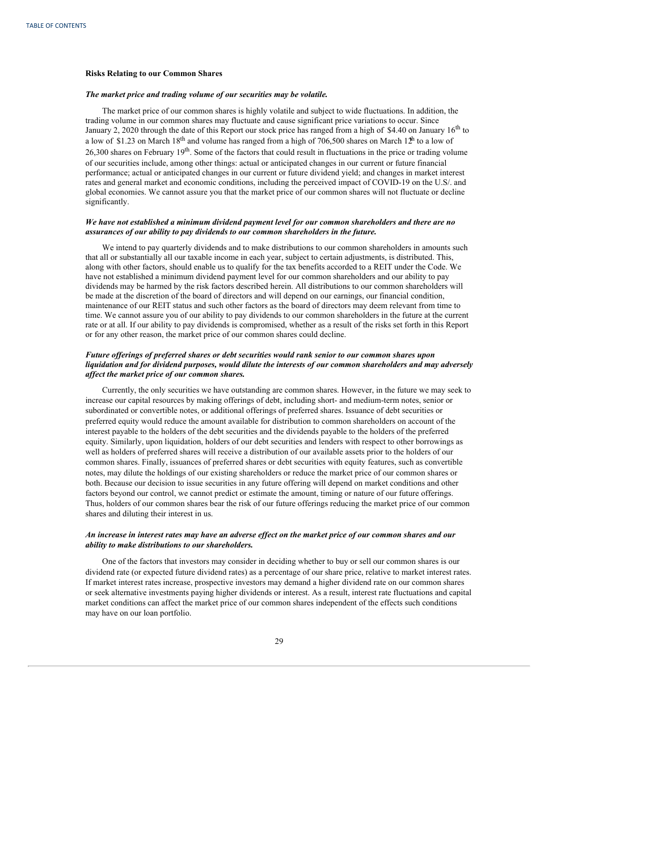### **Risks Relating to our Common Shares**

# *The market price and trading volume of our securities may be volatile.*

The market price of our common shares is highly volatile and subject to wide fluctuations. In addition, the trading volume in our common shares may fluctuate and cause significant price variations to occur. Since January 2, 2020 through the date of this Report our stock price has ranged from a high of \$4.40 on January  $16<sup>th</sup>$  to a low of \$1.23 on March 18<sup>th</sup> and volume has ranged from a high of 706,500 shares on March 1<sup> $\pm$ h</sup> to a low of  $26,300$  shares on February  $19<sup>th</sup>$ . Some of the factors that could result in fluctuations in the price or trading volume of our securities include, among other things: actual or anticipated changes in our current or future financial performance; actual or anticipated changes in our current or future dividend yield; and changes in market interest rates and general market and economic conditions, including the perceived impact of COVID-19 on the U.S/. and global economies. We cannot assure you that the market price of our common shares will not fluctuate or decline significantly.

### *We have not established a minimum dividend payment level for our common shareholders and there are no assurances of our ability to pay dividends to our common shareholders in the future.*

We intend to pay quarterly dividends and to make distributions to our common shareholders in amounts such that all or substantially all our taxable income in each year, subject to certain adjustments, is distributed. This, along with other factors, should enable us to qualify for the tax benefits accorded to a REIT under the Code. We have not established a minimum dividend payment level for our common shareholders and our ability to pay dividends may be harmed by the risk factors described herein. All distributions to our common shareholders will be made at the discretion of the board of directors and will depend on our earnings, our financial condition, maintenance of our REIT status and such other factors as the board of directors may deem relevant from time to time. We cannot assure you of our ability to pay dividends to our common shareholders in the future at the current rate or at all. If our ability to pay dividends is compromised, whether as a result of the risks set forth in this Report or for any other reason, the market price of our common shares could decline.

# *Future of erings of preferred shares or debt securities would rank senior to our common shares upon liquidation and for dividend purposes, would dilute the interests of our common shareholders and may adversely af ect the market price of our common shares.*

Currently, the only securities we have outstanding are common shares. However, in the future we may seek to increase our capital resources by making offerings of debt, including short- and medium-term notes, senior or subordinated or convertible notes, or additional offerings of preferred shares. Issuance of debt securities or preferred equity would reduce the amount available for distribution to common shareholders on account of the interest payable to the holders of the debt securities and the dividends payable to the holders of the preferred equity. Similarly, upon liquidation, holders of our debt securities and lenders with respect to other borrowings as well as holders of preferred shares will receive a distribution of our available assets prior to the holders of our common shares. Finally, issuances of preferred shares or debt securities with equity features, such as convertible notes, may dilute the holdings of our existing shareholders or reduce the market price of our common shares or both. Because our decision to issue securities in any future offering will depend on market conditions and other factors beyond our control, we cannot predict or estimate the amount, timing or nature of our future offerings. Thus, holders of our common shares bear the risk of our future offerings reducing the market price of our common shares and diluting their interest in us.

# An increase in interest rates may have an adverse effect on the market price of our common shares and our *ability to make distributions to our shareholders.*

One of the factors that investors may consider in deciding whether to buy or sell our common shares is our dividend rate (or expected future dividend rates) as a percentage of our share price, relative to market interest rates. If market interest rates increase, prospective investors may demand a higher dividend rate on our common shares or seek alternative investments paying higher dividends or interest. As a result, interest rate fluctuations and capital market conditions can affect the market price of our common shares independent of the effects such conditions may have on our loan portfolio.

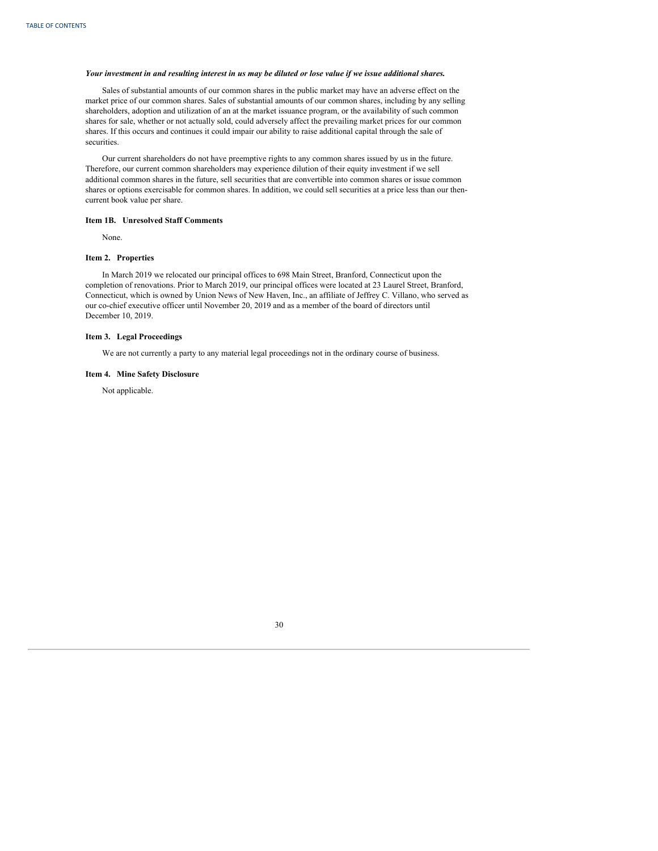# <span id="page-32-0"></span>Your investment in and resulting interest in us may be diluted or lose value if we issue additional shares.

Sales of substantial amounts of our common shares in the public market may have an adverse effect on the market price of our common shares. Sales of substantial amounts of our common shares, including by any selling shareholders, adoption and utilization of an at the market issuance program, or the availability of such common shares for sale, whether or not actually sold, could adversely affect the prevailing market prices for our common shares. If this occurs and continues it could impair our ability to raise additional capital through the sale of securities.

Our current shareholders do not have preemptive rights to any common shares issued by us in the future. Therefore, our current common shareholders may experience dilution of their equity investment if we sell additional common shares in the future, sell securities that are convertible into common shares or issue common shares or options exercisable for common shares. In addition, we could sell securities at a price less than our thencurrent book value per share.

#### **Item 1B. Unresolved Staff Comments**

None.

# **Item 2. Properties**

In March 2019 we relocated our principal offices to 698 Main Street, Branford, Connecticut upon the completion of renovations. Prior to March 2019, our principal offices were located at 23 Laurel Street, Branford, Connecticut, which is owned by Union News of New Haven, Inc., an affiliate of Jeffrey C. Villano, who served as our co-chief executive officer until November 20, 2019 and as a member of the board of directors until December 10, 2019.

# **Item 3. Legal Proceedings**

We are not currently a party to any material legal proceedings not in the ordinary course of business.

# **Item 4. Mine Safety Disclosure**

Not applicable.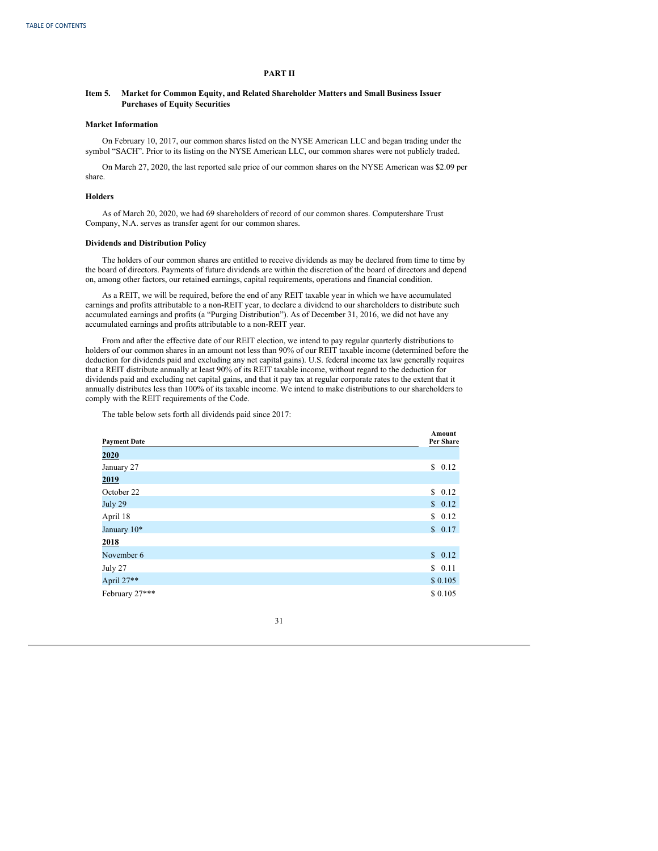# **PART II**

#### <span id="page-33-0"></span>**Item 5. Market for Common Equity, and Related Shareholder Matters and Small Business Issuer Purchases of Equity Securities**

# **Market Information**

On February 10, 2017, our common shares listed on the NYSE American LLC and began trading under the symbol "SACH". Prior to its listing on the NYSE American LLC, our common shares were not publicly traded.

On March 27, 2020, the last reported sale price of our common shares on the NYSE American was \$2.09 per share.

#### **Holders**

As of March 20, 2020, we had 69 shareholders of record of our common shares. Computershare Trust Company, N.A. serves as transfer agent for our common shares.

#### **Dividends and Distribution Policy**

The holders of our common shares are entitled to receive dividends as may be declared from time to time by the board of directors. Payments of future dividends are within the discretion of the board of directors and depend on, among other factors, our retained earnings, capital requirements, operations and financial condition.

As a REIT, we will be required, before the end of any REIT taxable year in which we have accumulated earnings and profits attributable to a non-REIT year, to declare a dividend to our shareholders to distribute such accumulated earnings and profits (a "Purging Distribution"). As of December 31, 2016, we did not have any accumulated earnings and profits attributable to a non-REIT year.

From and after the effective date of our REIT election, we intend to pay regular quarterly distributions to holders of our common shares in an amount not less than 90% of our REIT taxable income (determined before the deduction for dividends paid and excluding any net capital gains). U.S. federal income tax law generally requires that a REIT distribute annually at least 90% of its REIT taxable income, without regard to the deduction for dividends paid and excluding net capital gains, and that it pay tax at regular corporate rates to the extent that it annually distributes less than 100% of its taxable income. We intend to make distributions to our shareholders to comply with the REIT requirements of the Code.

The table below sets forth all dividends paid since 2017:

| <b>Payment Date</b> |          |
|---------------------|----------|
| 2020                |          |
| January 27          | \$0.12   |
| <u>2019</u>         |          |
| October 22          | \$0.12   |
| July 29             | \$0.12   |
| April 18            | \$0.12   |
| January 10*         | \$0.17   |
| 2018                |          |
| November 6          | \$0.12   |
| July 27             | \$0.11   |
| April 27**          | \$0.105  |
| February 27***      | \$ 0.105 |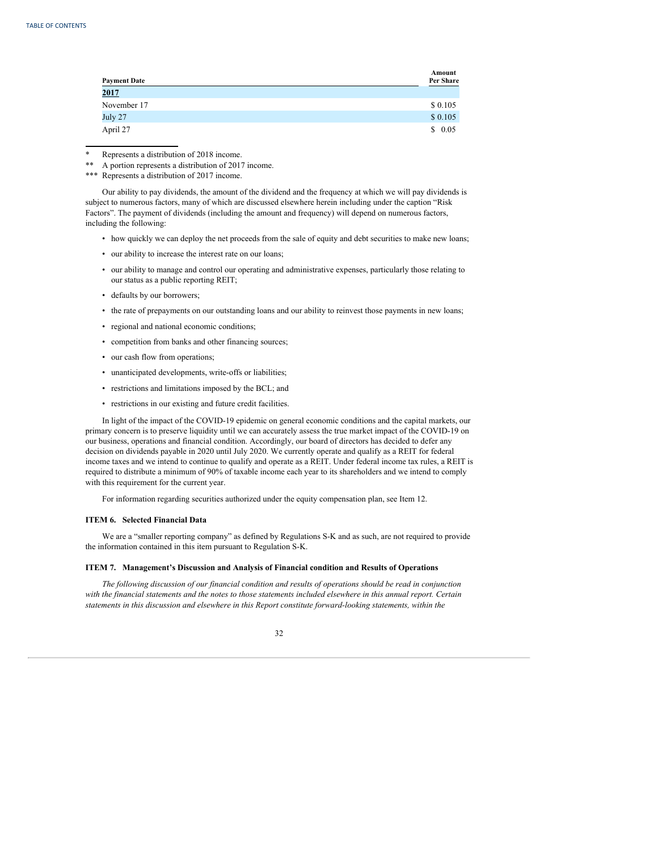<span id="page-34-0"></span>

| <b>Payment Date</b> | Amount<br>Per Share |
|---------------------|---------------------|
| 2017                |                     |
| November 17         | \$0.105             |
| July 27             | \$0.105             |
| April 27            | \$0.05              |

\* Represents a distribution of 2018 income.

\*\*\* Represents a distribution of 2017 income.

Our ability to pay dividends, the amount of the dividend and the frequency at which we will pay dividends is subject to numerous factors, many of which are discussed elsewhere herein including under the caption "Risk Factors". The payment of dividends (including the amount and frequency) will depend on numerous factors, including the following:

- how quickly we can deploy the net proceeds from the sale of equity and debt securities to make new loans;
- our ability to increase the interest rate on our loans;
- our ability to manage and control our operating and administrative expenses, particularly those relating to our status as a public reporting REIT;
- defaults by our borrowers;
- the rate of prepayments on our outstanding loans and our ability to reinvest those payments in new loans;
- regional and national economic conditions;
- competition from banks and other financing sources;
- our cash flow from operations;
- unanticipated developments, write-offs or liabilities;
- restrictions and limitations imposed by the BCL; and
- restrictions in our existing and future credit facilities.

In light of the impact of the COVID-19 epidemic on general economic conditions and the capital markets, our primary concern is to preserve liquidity until we can accurately assess the true market impact of the COVID-19 on our business, operations and financial condition. Accordingly, our board of directors has decided to defer any decision on dividends payable in 2020 until July 2020. We currently operate and qualify as a REIT for federal income taxes and we intend to continue to qualify and operate as a REIT. Under federal income tax rules, a REIT is required to distribute a minimum of 90% of taxable income each year to its shareholders and we intend to comply with this requirement for the current year.

For information regarding securities authorized under the equity compensation plan, see Item 12.

# **ITEM 6. Selected Financial Data**

We are a "smaller reporting company" as defined by Regulations S-K and as such, are not required to provide the information contained in this item pursuant to Regulation S-K.

# **ITEM 7. Management's Discussion and Analysis of Financial condition and Results of Operations**

*The following discussion of our financial condition and results of operations should be read in conjunction* with the financial statements and the notes to those statements included elsewhere in this annual report. Certain *statements in this discussion and elsewhere in this Report constitute forward-looking statements, within the*



<sup>\*\*</sup> A portion represents a distribution of 2017 income.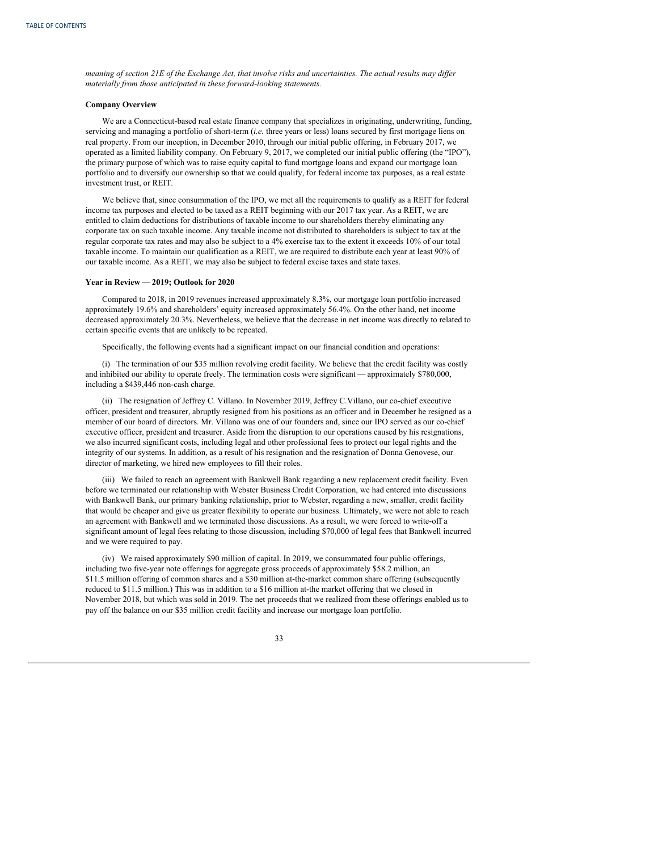meaning of section 21E of the Exchange Act, that involve risks and uncertainties. The actual results may differ *materially from those anticipated in these forward-looking statements.*

# **Company Overview**

We are a Connecticut-based real estate finance company that specializes in originating, underwriting, funding, servicing and managing a portfolio of short-term (*i.e.* three years or less) loans secured by first mortgage liens on real property. From our inception, in December 2010, through our initial public offering, in February 2017, we operated as a limited liability company. On February 9, 2017, we completed our initial public offering (the "IPO"), the primary purpose of which was to raise equity capital to fund mortgage loans and expand our mortgage loan portfolio and to diversify our ownership so that we could qualify, for federal income tax purposes, as a real estate investment trust, or REIT.

We believe that, since consummation of the IPO, we met all the requirements to qualify as a REIT for federal income tax purposes and elected to be taxed as a REIT beginning with our 2017 tax year. As a REIT, we are entitled to claim deductions for distributions of taxable income to our shareholders thereby eliminating any corporate tax on such taxable income. Any taxable income not distributed to shareholders is subject to tax at the regular corporate tax rates and may also be subject to a 4% exercise tax to the extent it exceeds 10% of our total taxable income. To maintain our qualification as a REIT, we are required to distribute each year at least 90% of our taxable income. As a REIT, we may also be subject to federal excise taxes and state taxes.

#### **Year in Review — 2019; Outlook for 2020**

Compared to 2018, in 2019 revenues increased approximately 8.3%, our mortgage loan portfolio increased approximately 19.6% and shareholders' equity increased approximately 56.4%. On the other hand, net income decreased approximately 20.3%. Nevertheless, we believe that the decrease in net income was directly to related to certain specific events that are unlikely to be repeated.

Specifically, the following events had a significant impact on our financial condition and operations:

(i) The termination of our \$35 million revolving credit facility. We believe that the credit facility was costly and inhibited our ability to operate freely. The termination costs were significant — approximately \$780,000, including a \$439,446 non-cash charge.

(ii) The resignation of Jeffrey C. Villano. In November 2019, Jeffrey C.Villano, our co-chief executive officer, president and treasurer, abruptly resigned from his positions as an officer and in December he resigned as a member of our board of directors. Mr. Villano was one of our founders and, since our IPO served as our co-chief executive officer, president and treasurer. Aside from the disruption to our operations caused by his resignations, we also incurred significant costs, including legal and other professional fees to protect our legal rights and the integrity of our systems. In addition, as a result of his resignation and the resignation of Donna Genovese, our director of marketing, we hired new employees to fill their roles.

(iii) We failed to reach an agreement with Bankwell Bank regarding a new replacement credit facility. Even before we terminated our relationship with Webster Business Credit Corporation, we had entered into discussions with Bankwell Bank, our primary banking relationship, prior to Webster, regarding a new, smaller, credit facility that would be cheaper and give us greater flexibility to operate our business. Ultimately, we were not able to reach an agreement with Bankwell and we terminated those discussions. As a result, we were forced to write-off a significant amount of legal fees relating to those discussion, including \$70,000 of legal fees that Bankwell incurred and we were required to pay.

(iv) We raised approximately \$90 million of capital. In 2019, we consummated four public offerings, including two five-year note offerings for aggregate gross proceeds of approximately \$58.2 million, an \$11.5 million offering of common shares and a \$30 million at-the-market common share offering (subsequently reduced to \$11.5 million.) This was in addition to a \$16 million at-the market offering that we closed in November 2018, but which was sold in 2019. The net proceeds that we realized from these offerings enabled us to pay off the balance on our \$35 million credit facility and increase our mortgage loan portfolio.

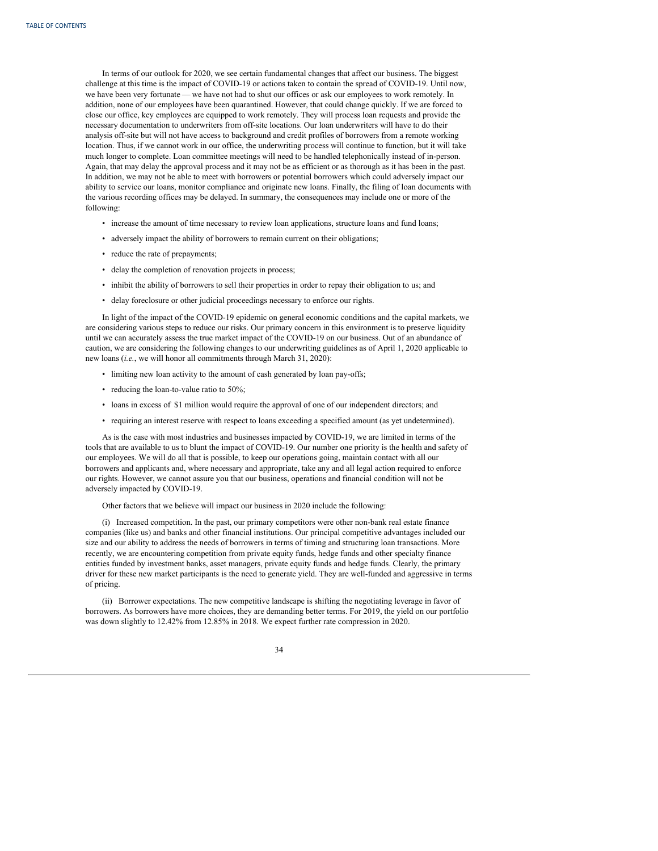In terms of our outlook for 2020, we see certain fundamental changes that affect our business. The biggest challenge at this time is the impact of COVID-19 or actions taken to contain the spread of COVID-19. Until now, we have been very fortunate — we have not had to shut our offices or ask our employees to work remotely. In addition, none of our employees have been quarantined. However, that could change quickly. If we are forced to close our office, key employees are equipped to work remotely. They will process loan requests and provide the necessary documentation to underwriters from off-site locations. Our loan underwriters will have to do their analysis off-site but will not have access to background and credit profiles of borrowers from a remote working location. Thus, if we cannot work in our office, the underwriting process will continue to function, but it will take much longer to complete. Loan committee meetings will need to be handled telephonically instead of in-person. Again, that may delay the approval process and it may not be as efficient or as thorough as it has been in the past. In addition, we may not be able to meet with borrowers or potential borrowers which could adversely impact our ability to service our loans, monitor compliance and originate new loans. Finally, the filing of loan documents with the various recording offices may be delayed. In summary, the consequences may include one or more of the following:

- increase the amount of time necessary to review loan applications, structure loans and fund loans;
- adversely impact the ability of borrowers to remain current on their obligations;
- reduce the rate of prepayments;
- delay the completion of renovation projects in process;
- inhibit the ability of borrowers to sell their properties in order to repay their obligation to us; and
- delay foreclosure or other judicial proceedings necessary to enforce our rights.

In light of the impact of the COVID-19 epidemic on general economic conditions and the capital markets, we are considering various steps to reduce our risks. Our primary concern in this environment is to preserve liquidity until we can accurately assess the true market impact of the COVID-19 on our business. Out of an abundance of caution, we are considering the following changes to our underwriting guidelines as of April 1, 2020 applicable to new loans (*i.e.*, we will honor all commitments through March 31, 2020):

- limiting new loan activity to the amount of cash generated by loan pay-offs;
- reducing the loan-to-value ratio to 50%;
- loans in excess of \$1 million would require the approval of one of our independent directors; and
- requiring an interest reserve with respect to loans exceeding a specified amount (as yet undetermined).

As is the case with most industries and businesses impacted by COVID-19, we are limited in terms of the tools that are available to us to blunt the impact of COVID-19. Our number one priority is the health and safety of our employees. We will do all that is possible, to keep our operations going, maintain contact with all our borrowers and applicants and, where necessary and appropriate, take any and all legal action required to enforce our rights. However, we cannot assure you that our business, operations and financial condition will not be adversely impacted by COVID-19.

Other factors that we believe will impact our business in 2020 include the following:

(i) Increased competition. In the past, our primary competitors were other non-bank real estate finance companies (like us) and banks and other financial institutions. Our principal competitive advantages included our size and our ability to address the needs of borrowers in terms of timing and structuring loan transactions. More recently, we are encountering competition from private equity funds, hedge funds and other specialty finance entities funded by investment banks, asset managers, private equity funds and hedge funds. Clearly, the primary driver for these new market participants is the need to generate yield. They are well-funded and aggressive in terms of pricing.

(ii) Borrower expectations. The new competitive landscape is shifting the negotiating leverage in favor of borrowers. As borrowers have more choices, they are demanding better terms. For 2019, the yield on our portfolio was down slightly to 12.42% from 12.85% in 2018. We expect further rate compression in 2020.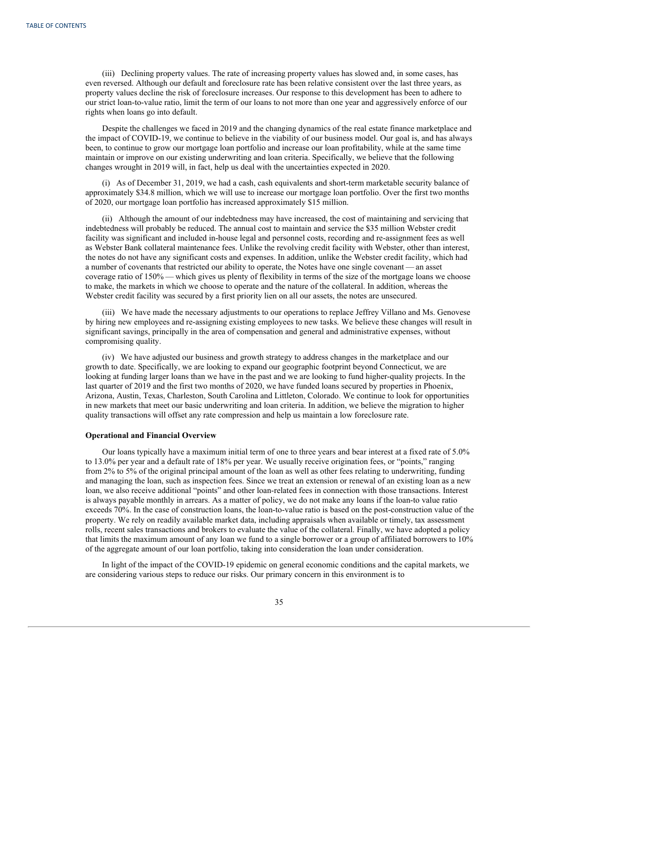(iii) Declining property values. The rate of increasing property values has slowed and, in some cases, has even reversed. Although our default and foreclosure rate has been relative consistent over the last three years, as property values decline the risk of foreclosure increases. Our response to this development has been to adhere to our strict loan-to-value ratio, limit the term of our loans to not more than one year and aggressively enforce of our rights when loans go into default.

Despite the challenges we faced in 2019 and the changing dynamics of the real estate finance marketplace and the impact of COVID-19, we continue to believe in the viability of our business model. Our goal is, and has always been, to continue to grow our mortgage loan portfolio and increase our loan profitability, while at the same time maintain or improve on our existing underwriting and loan criteria. Specifically, we believe that the following changes wrought in 2019 will, in fact, help us deal with the uncertainties expected in 2020.

(i) As of December 31, 2019, we had a cash, cash equivalents and short-term marketable security balance of approximately \$34.8 million, which we will use to increase our mortgage loan portfolio. Over the first two months of 2020, our mortgage loan portfolio has increased approximately \$15 million.

(ii) Although the amount of our indebtedness may have increased, the cost of maintaining and servicing that indebtedness will probably be reduced. The annual cost to maintain and service the \$35 million Webster credit facility was significant and included in-house legal and personnel costs, recording and re-assignment fees as well as Webster Bank collateral maintenance fees. Unlike the revolving credit facility with Webster, other than interest, the notes do not have any significant costs and expenses. In addition, unlike the Webster credit facility, which had a number of covenants that restricted our ability to operate, the Notes have one single covenant — an asset coverage ratio of 150% — which gives us plenty of flexibility in terms of the size of the mortgage loans we choose to make, the markets in which we choose to operate and the nature of the collateral. In addition, whereas the Webster credit facility was secured by a first priority lien on all our assets, the notes are unsecured.

(iii) We have made the necessary adjustments to our operations to replace Jeffrey Villano and Ms. Genovese by hiring new employees and re-assigning existing employees to new tasks. We believe these changes will result in significant savings, principally in the area of compensation and general and administrative expenses, without compromising quality.

(iv) We have adjusted our business and growth strategy to address changes in the marketplace and our growth to date. Specifically, we are looking to expand our geographic footprint beyond Connecticut, we are looking at funding larger loans than we have in the past and we are looking to fund higher-quality projects. In the last quarter of 2019 and the first two months of 2020, we have funded loans secured by properties in Phoenix, Arizona, Austin, Texas, Charleston, South Carolina and Littleton, Colorado. We continue to look for opportunities in new markets that meet our basic underwriting and loan criteria. In addition, we believe the migration to higher quality transactions will offset any rate compression and help us maintain a low foreclosure rate.

### **Operational and Financial Overview**

Our loans typically have a maximum initial term of one to three years and bear interest at a fixed rate of 5.0% to 13.0% per year and a default rate of 18% per year. We usually receive origination fees, or "points," ranging from 2% to 5% of the original principal amount of the loan as well as other fees relating to underwriting, funding and managing the loan, such as inspection fees. Since we treat an extension or renewal of an existing loan as a new loan, we also receive additional "points" and other loan-related fees in connection with those transactions. Interest is always payable monthly in arrears. As a matter of policy, we do not make any loans if the loan-to value ratio exceeds 70%. In the case of construction loans, the loan-to-value ratio is based on the post-construction value of the property. We rely on readily available market data, including appraisals when available or timely, tax assessment rolls, recent sales transactions and brokers to evaluate the value of the collateral. Finally, we have adopted a policy that limits the maximum amount of any loan we fund to a single borrower or a group of affiliated borrowers to 10% of the aggregate amount of our loan portfolio, taking into consideration the loan under consideration.

In light of the impact of the COVID-19 epidemic on general economic conditions and the capital markets, we are considering various steps to reduce our risks. Our primary concern in this environment is to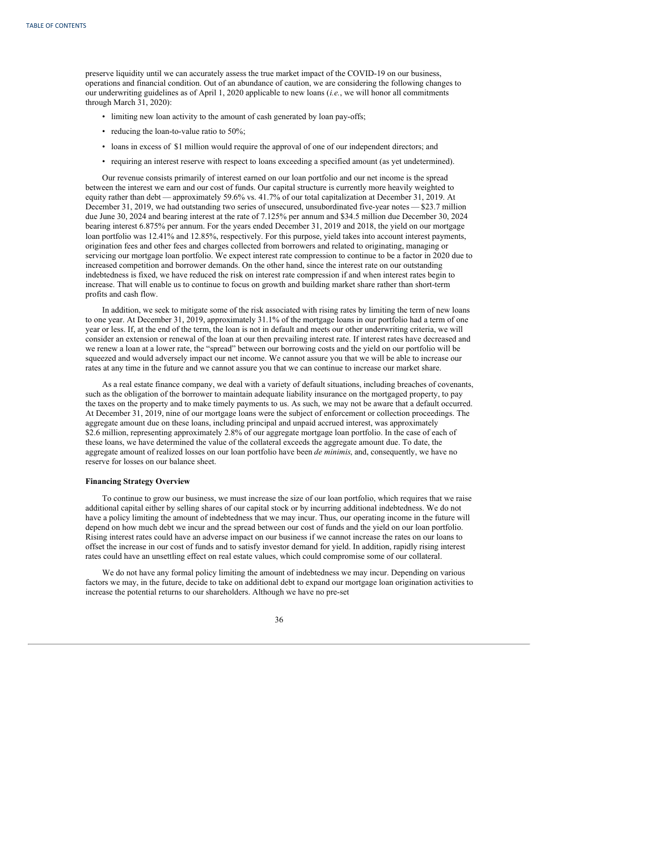preserve liquidity until we can accurately assess the true market impact of the COVID-19 on our business, operations and financial condition. Out of an abundance of caution, we are considering the following changes to our underwriting guidelines as of April 1, 2020 applicable to new loans (*i.e.*, we will honor all commitments through March 31, 2020):

- limiting new loan activity to the amount of cash generated by loan pay-offs;
- reducing the loan-to-value ratio to 50%;
- loans in excess of \$1 million would require the approval of one of our independent directors; and
- requiring an interest reserve with respect to loans exceeding a specified amount (as yet undetermined).

Our revenue consists primarily of interest earned on our loan portfolio and our net income is the spread between the interest we earn and our cost of funds. Our capital structure is currently more heavily weighted to equity rather than debt — approximately 59.6% vs. 41.7% of our total capitalization at December 31, 2019. At December 31, 2019, we had outstanding two series of unsecured, unsubordinated five-year notes — \$23.7 million due June 30, 2024 and bearing interest at the rate of 7.125% per annum and \$34.5 million due December 30, 2024 bearing interest 6.875% per annum. For the years ended December 31, 2019 and 2018, the yield on our mortgage loan portfolio was 12.41% and 12.85%, respectively. For this purpose, yield takes into account interest payments, origination fees and other fees and charges collected from borrowers and related to originating, managing or servicing our mortgage loan portfolio. We expect interest rate compression to continue to be a factor in 2020 due to increased competition and borrower demands. On the other hand, since the interest rate on our outstanding indebtedness is fixed, we have reduced the risk on interest rate compression if and when interest rates begin to increase. That will enable us to continue to focus on growth and building market share rather than short-term profits and cash flow.

In addition, we seek to mitigate some of the risk associated with rising rates by limiting the term of new loans to one year. At December 31, 2019, approximately 31.1% of the mortgage loans in our portfolio had a term of one year or less. If, at the end of the term, the loan is not in default and meets our other underwriting criteria, we will consider an extension or renewal of the loan at our then prevailing interest rate. If interest rates have decreased and we renew a loan at a lower rate, the "spread" between our borrowing costs and the yield on our portfolio will be squeezed and would adversely impact our net income. We cannot assure you that we will be able to increase our rates at any time in the future and we cannot assure you that we can continue to increase our market share.

As a real estate finance company, we deal with a variety of default situations, including breaches of covenants, such as the obligation of the borrower to maintain adequate liability insurance on the mortgaged property, to pay the taxes on the property and to make timely payments to us. As such, we may not be aware that a default occurred. At December 31, 2019, nine of our mortgage loans were the subject of enforcement or collection proceedings. The aggregate amount due on these loans, including principal and unpaid accrued interest, was approximately \$2.6 million, representing approximately 2.8% of our aggregate mortgage loan portfolio. In the case of each of these loans, we have determined the value of the collateral exceeds the aggregate amount due. To date, the aggregate amount of realized losses on our loan portfolio have been *de minimis*, and, consequently, we have no reserve for losses on our balance sheet.

### **Financing Strategy Overview**

To continue to grow our business, we must increase the size of our loan portfolio, which requires that we raise additional capital either by selling shares of our capital stock or by incurring additional indebtedness. We do not have a policy limiting the amount of indebtedness that we may incur. Thus, our operating income in the future will depend on how much debt we incur and the spread between our cost of funds and the yield on our loan portfolio. Rising interest rates could have an adverse impact on our business if we cannot increase the rates on our loans to offset the increase in our cost of funds and to satisfy investor demand for yield. In addition, rapidly rising interest rates could have an unsettling effect on real estate values, which could compromise some of our collateral.

We do not have any formal policy limiting the amount of indebtedness we may incur. Depending on various factors we may, in the future, decide to take on additional debt to expand our mortgage loan origination activities to increase the potential returns to our shareholders. Although we have no pre-set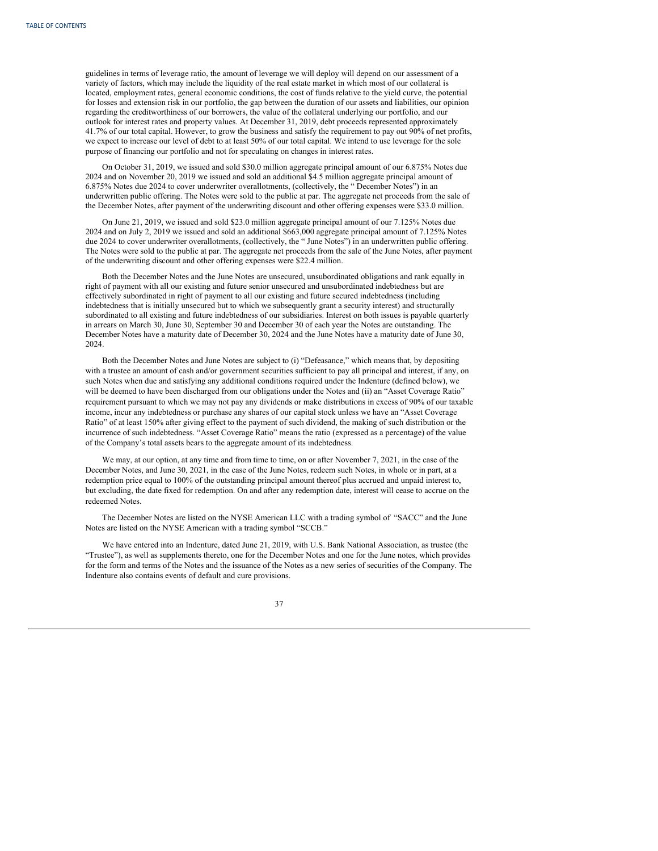guidelines in terms of leverage ratio, the amount of leverage we will deploy will depend on our assessment of a variety of factors, which may include the liquidity of the real estate market in which most of our collateral is located, employment rates, general economic conditions, the cost of funds relative to the yield curve, the potential for losses and extension risk in our portfolio, the gap between the duration of our assets and liabilities, our opinion regarding the creditworthiness of our borrowers, the value of the collateral underlying our portfolio, and our outlook for interest rates and property values. At December 31, 2019, debt proceeds represented approximately 41.7% of our total capital. However, to grow the business and satisfy the requirement to pay out 90% of net profits, we expect to increase our level of debt to at least 50% of our total capital. We intend to use leverage for the sole purpose of financing our portfolio and not for speculating on changes in interest rates.

On October 31, 2019, we issued and sold \$30.0 million aggregate principal amount of our 6.875% Notes due 2024 and on November 20, 2019 we issued and sold an additional \$4.5 million aggregate principal amount of 6.875% Notes due 2024 to cover underwriter overallotments, (collectively, the " December Notes") in an underwritten public offering. The Notes were sold to the public at par. The aggregate net proceeds from the sale of the December Notes, after payment of the underwriting discount and other offering expenses were \$33.0 million.

On June 21, 2019, we issued and sold \$23.0 million aggregate principal amount of our 7.125% Notes due 2024 and on July 2, 2019 we issued and sold an additional \$663,000 aggregate principal amount of 7.125% Notes due 2024 to cover underwriter overallotments, (collectively, the " June Notes") in an underwritten public offering. The Notes were sold to the public at par. The aggregate net proceeds from the sale of the June Notes, after payment of the underwriting discount and other offering expenses were \$22.4 million.

Both the December Notes and the June Notes are unsecured, unsubordinated obligations and rank equally in right of payment with all our existing and future senior unsecured and unsubordinated indebtedness but are effectively subordinated in right of payment to all our existing and future secured indebtedness (including indebtedness that is initially unsecured but to which we subsequently grant a security interest) and structurally subordinated to all existing and future indebtedness of our subsidiaries. Interest on both issues is payable quarterly in arrears on March 30, June 30, September 30 and December 30 of each year the Notes are outstanding. The December Notes have a maturity date of December 30, 2024 and the June Notes have a maturity date of June 30, 2024.

Both the December Notes and June Notes are subject to (i) "Defeasance," which means that, by depositing with a trustee an amount of cash and/or government securities sufficient to pay all principal and interest, if any, on such Notes when due and satisfying any additional conditions required under the Indenture (defined below), we will be deemed to have been discharged from our obligations under the Notes and (ii) an "Asset Coverage Ratio" requirement pursuant to which we may not pay any dividends or make distributions in excess of 90% of our taxable income, incur any indebtedness or purchase any shares of our capital stock unless we have an "Asset Coverage Ratio" of at least 150% after giving effect to the payment of such dividend, the making of such distribution or the incurrence of such indebtedness. "Asset Coverage Ratio" means the ratio (expressed as a percentage) of the value of the Company's total assets bears to the aggregate amount of its indebtedness.

We may, at our option, at any time and from time to time, on or after November 7, 2021, in the case of the December Notes, and June 30, 2021, in the case of the June Notes, redeem such Notes, in whole or in part, at a redemption price equal to 100% of the outstanding principal amount thereof plus accrued and unpaid interest to, but excluding, the date fixed for redemption. On and after any redemption date, interest will cease to accrue on the redeemed Notes.

The December Notes are listed on the NYSE American LLC with a trading symbol of "SACC" and the June Notes are listed on the NYSE American with a trading symbol "SCCB."

We have entered into an Indenture, dated June 21, 2019, with U.S. Bank National Association, as trustee (the "Trustee"), as well as supplements thereto, one for the December Notes and one for the June notes, which provides for the form and terms of the Notes and the issuance of the Notes as a new series of securities of the Company. The Indenture also contains events of default and cure provisions.

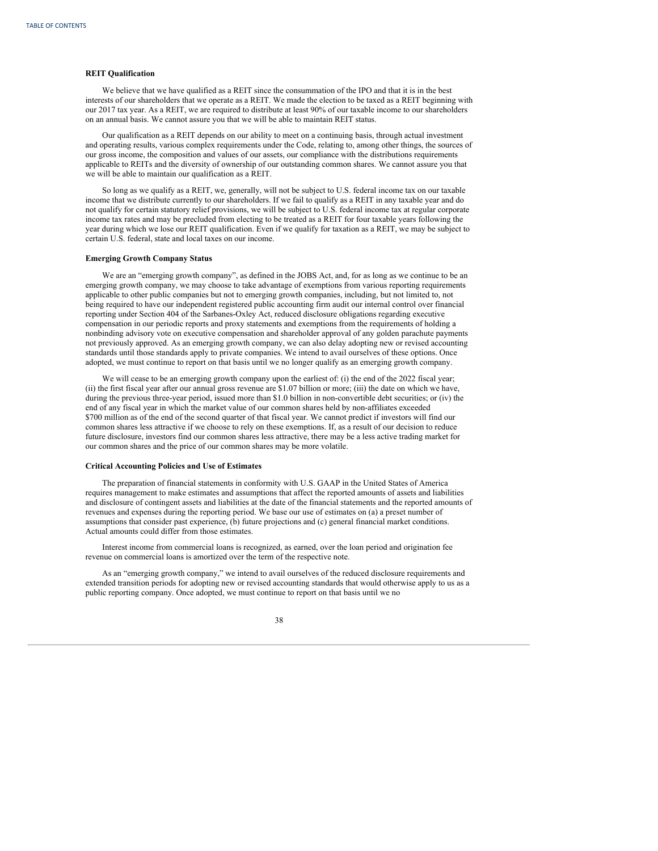## **REIT Qualification**

We believe that we have qualified as a REIT since the consummation of the IPO and that it is in the best interests of our shareholders that we operate as a REIT. We made the election to be taxed as a REIT beginning with our 2017 tax year. As a REIT, we are required to distribute at least 90% of our taxable income to our shareholders on an annual basis. We cannot assure you that we will be able to maintain REIT status.

Our qualification as a REIT depends on our ability to meet on a continuing basis, through actual investment and operating results, various complex requirements under the Code, relating to, among other things, the sources of our gross income, the composition and values of our assets, our compliance with the distributions requirements applicable to REITs and the diversity of ownership of our outstanding common shares. We cannot assure you that we will be able to maintain our qualification as a REIT.

So long as we qualify as a REIT, we, generally, will not be subject to U.S. federal income tax on our taxable income that we distribute currently to our shareholders. If we fail to qualify as a REIT in any taxable year and do not qualify for certain statutory relief provisions, we will be subject to U.S. federal income tax at regular corporate income tax rates and may be precluded from electing to be treated as a REIT for four taxable years following the year during which we lose our REIT qualification. Even if we qualify for taxation as a REIT, we may be subject to certain U.S. federal, state and local taxes on our income.

## **Emerging Growth Company Status**

We are an "emerging growth company", as defined in the JOBS Act, and, for as long as we continue to be an emerging growth company, we may choose to take advantage of exemptions from various reporting requirements applicable to other public companies but not to emerging growth companies, including, but not limited to, not being required to have our independent registered public accounting firm audit our internal control over financial reporting under Section 404 of the Sarbanes-Oxley Act, reduced disclosure obligations regarding executive compensation in our periodic reports and proxy statements and exemptions from the requirements of holding a nonbinding advisory vote on executive compensation and shareholder approval of any golden parachute payments not previously approved. As an emerging growth company, we can also delay adopting new or revised accounting standards until those standards apply to private companies. We intend to avail ourselves of these options. Once adopted, we must continue to report on that basis until we no longer qualify as an emerging growth company.

We will cease to be an emerging growth company upon the earliest of: (i) the end of the 2022 fiscal year; (ii) the first fiscal year after our annual gross revenue are \$1.07 billion or more; (iii) the date on which we have, during the previous three-year period, issued more than \$1.0 billion in non-convertible debt securities; or (iv) the end of any fiscal year in which the market value of our common shares held by non-affiliates exceeded \$700 million as of the end of the second quarter of that fiscal year. We cannot predict if investors will find our common shares less attractive if we choose to rely on these exemptions. If, as a result of our decision to reduce future disclosure, investors find our common shares less attractive, there may be a less active trading market for our common shares and the price of our common shares may be more volatile.

### **Critical Accounting Policies and Use of Estimates**

The preparation of financial statements in conformity with U.S. GAAP in the United States of America requires management to make estimates and assumptions that affect the reported amounts of assets and liabilities and disclosure of contingent assets and liabilities at the date of the financial statements and the reported amounts of revenues and expenses during the reporting period. We base our use of estimates on (a) a preset number of assumptions that consider past experience, (b) future projections and (c) general financial market conditions. Actual amounts could differ from those estimates.

Interest income from commercial loans is recognized, as earned, over the loan period and origination fee revenue on commercial loans is amortized over the term of the respective note.

As an "emerging growth company," we intend to avail ourselves of the reduced disclosure requirements and extended transition periods for adopting new or revised accounting standards that would otherwise apply to us as a public reporting company. Once adopted, we must continue to report on that basis until we no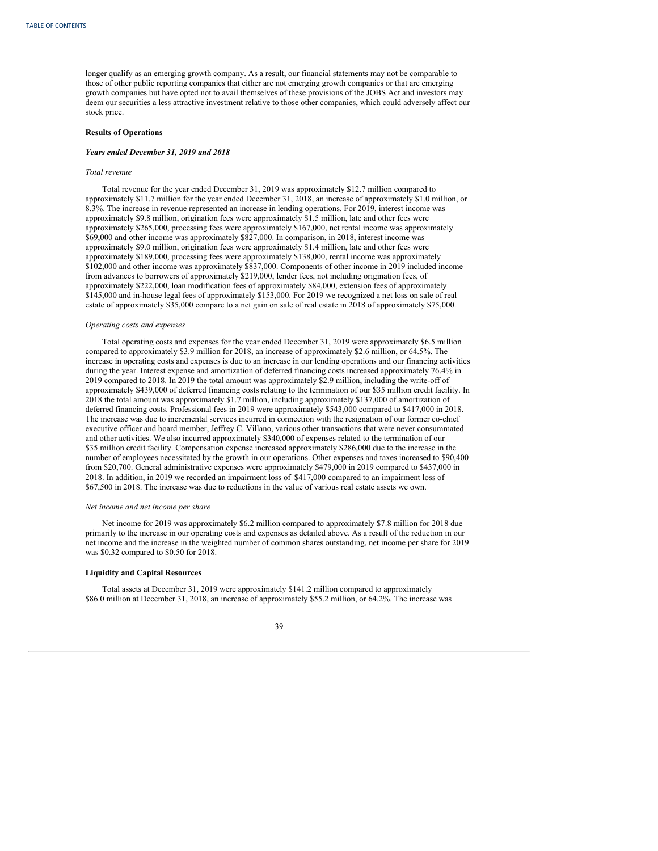longer qualify as an emerging growth company. As a result, our financial statements may not be comparable to those of other public reporting companies that either are not emerging growth companies or that are emerging growth companies but have opted not to avail themselves of these provisions of the JOBS Act and investors may deem our securities a less attractive investment relative to those other companies, which could adversely affect our stock price.

### **Results of Operations**

### *Years ended December 31, 2019 and 2018*

### *Total revenue*

Total revenue for the year ended December 31, 2019 was approximately \$12.7 million compared to approximately \$11.7 million for the year ended December 31, 2018, an increase of approximately \$1.0 million, or 8.3%. The increase in revenue represented an increase in lending operations. For 2019, interest income was approximately \$9.8 million, origination fees were approximately \$1.5 million, late and other fees were approximately \$265,000, processing fees were approximately \$167,000, net rental income was approximately \$69,000 and other income was approximately \$827,000. In comparison, in 2018, interest income was approximately \$9.0 million, origination fees were approximately \$1.4 million, late and other fees were approximately \$189,000, processing fees were approximately \$138,000, rental income was approximately \$102,000 and other income was approximately \$837,000. Components of other income in 2019 included income from advances to borrowers of approximately \$219,000, lender fees, not including origination fees, of approximately \$222,000, loan modification fees of approximately \$84,000, extension fees of approximately \$145,000 and in-house legal fees of approximately \$153,000. For 2019 we recognized a net loss on sale of real estate of approximately \$35,000 compare to a net gain on sale of real estate in 2018 of approximately \$75,000.

### *Operating costs and expenses*

Total operating costs and expenses for the year ended December 31, 2019 were approximately \$6.5 million compared to approximately \$3.9 million for 2018, an increase of approximately \$2.6 million, or 64.5%. The increase in operating costs and expenses is due to an increase in our lending operations and our financing activities during the year. Interest expense and amortization of deferred financing costs increased approximately 76.4% in 2019 compared to 2018. In 2019 the total amount was approximately \$2.9 million, including the write-off of approximately \$439,000 of deferred financing costs relating to the termination of our \$35 million credit facility. In 2018 the total amount was approximately \$1.7 million, including approximately \$137,000 of amortization of deferred financing costs. Professional fees in 2019 were approximately \$543,000 compared to \$417,000 in 2018. The increase was due to incremental services incurred in connection with the resignation of our former co-chief executive officer and board member, Jeffrey C. Villano, various other transactions that were never consummated and other activities. We also incurred approximately \$340,000 of expenses related to the termination of our \$35 million credit facility. Compensation expense increased approximately \$286,000 due to the increase in the number of employees necessitated by the growth in our operations. Other expenses and taxes increased to \$90,400 from \$20,700. General administrative expenses were approximately \$479,000 in 2019 compared to \$437,000 in 2018. In addition, in 2019 we recorded an impairment loss of \$417,000 compared to an impairment loss of \$67,500 in 2018. The increase was due to reductions in the value of various real estate assets we own.

### *Net income and net income per share*

Net income for 2019 was approximately \$6.2 million compared to approximately \$7.8 million for 2018 due primarily to the increase in our operating costs and expenses as detailed above. As a result of the reduction in our net income and the increase in the weighted number of common shares outstanding, net income per share for 2019 was \$0.32 compared to \$0.50 for 2018.

# **Liquidity and Capital Resources**

Total assets at December 31, 2019 were approximately \$141.2 million compared to approximately \$86.0 million at December 31, 2018, an increase of approximately \$55.2 million, or 64.2%. The increase was

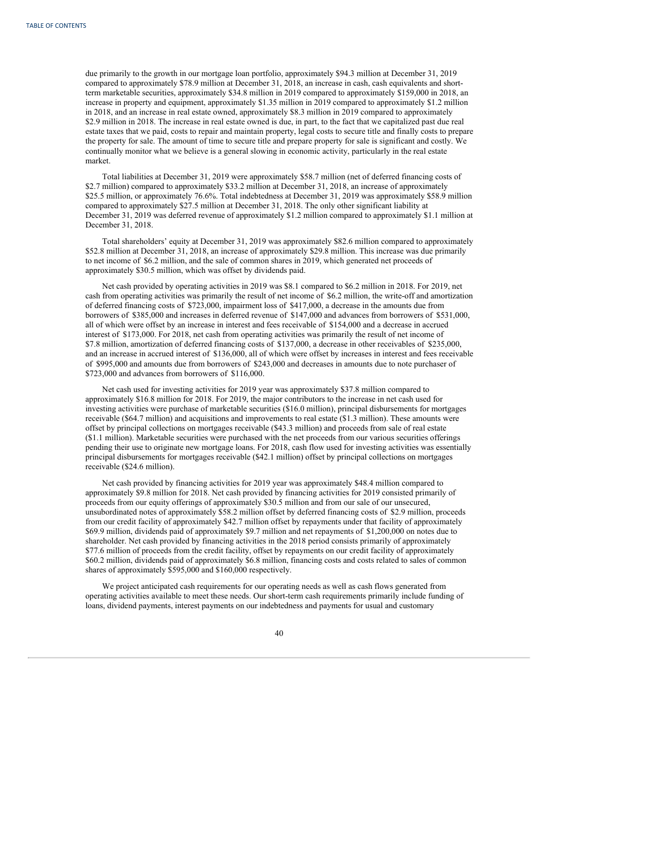due primarily to the growth in our mortgage loan portfolio, approximately \$94.3 million at December 31, 2019 compared to approximately \$78.9 million at December 31, 2018, an increase in cash, cash equivalents and shortterm marketable securities, approximately \$34.8 million in 2019 compared to approximately \$159,000 in 2018, an increase in property and equipment, approximately \$1.35 million in 2019 compared to approximately \$1.2 million in 2018, and an increase in real estate owned, approximately \$8.3 million in 2019 compared to approximately \$2.9 million in 2018. The increase in real estate owned is due, in part, to the fact that we capitalized past due real estate taxes that we paid, costs to repair and maintain property, legal costs to secure title and finally costs to prepare the property for sale. The amount of time to secure title and prepare property for sale is significant and costly. We continually monitor what we believe is a general slowing in economic activity, particularly in the real estate market.

Total liabilities at December 31, 2019 were approximately \$58.7 million (net of deferred financing costs of \$2.7 million) compared to approximately \$33.2 million at December 31, 2018, an increase of approximately \$25.5 million, or approximately 76.6%. Total indebtedness at December 31, 2019 was approximately \$58.9 million compared to approximately \$27.5 million at December 31, 2018. The only other significant liability at December 31, 2019 was deferred revenue of approximately \$1.2 million compared to approximately \$1.1 million at December 31, 2018.

Total shareholders' equity at December 31, 2019 was approximately \$82.6 million compared to approximately \$52.8 million at December 31, 2018, an increase of approximately \$29.8 million. This increase was due primarily to net income of \$6.2 million, and the sale of common shares in 2019, which generated net proceeds of approximately \$30.5 million, which was offset by dividends paid.

Net cash provided by operating activities in 2019 was \$8.1 compared to \$6.2 million in 2018. For 2019, net cash from operating activities was primarily the result of net income of \$6.2 million, the write-off and amortization of deferred financing costs of \$723,000, impairment loss of \$417,000, a decrease in the amounts due from borrowers of \$385,000 and increases in deferred revenue of \$147,000 and advances from borrowers of \$531,000, all of which were offset by an increase in interest and fees receivable of \$154,000 and a decrease in accrued interest of \$173,000. For 2018, net cash from operating activities was primarily the result of net income of \$7.8 million, amortization of deferred financing costs of \$137,000, a decrease in other receivables of \$235,000, and an increase in accrued interest of \$136,000, all of which were offset by increases in interest and fees receivable of \$995,000 and amounts due from borrowers of \$243,000 and decreases in amounts due to note purchaser of \$723,000 and advances from borrowers of \$116,000.

Net cash used for investing activities for 2019 year was approximately \$37.8 million compared to approximately \$16.8 million for 2018. For 2019, the major contributors to the increase in net cash used for investing activities were purchase of marketable securities (\$16.0 million), principal disbursements for mortgages receivable (\$64.7 million) and acquisitions and improvements to real estate (\$1.3 million). These amounts were offset by principal collections on mortgages receivable (\$43.3 million) and proceeds from sale of real estate (\$1.1 million). Marketable securities were purchased with the net proceeds from our various securities offerings pending their use to originate new mortgage loans. For 2018, cash flow used for investing activities was essentially principal disbursements for mortgages receivable (\$42.1 million) offset by principal collections on mortgages receivable (\$24.6 million).

Net cash provided by financing activities for 2019 year was approximately \$48.4 million compared to approximately \$9.8 million for 2018. Net cash provided by financing activities for 2019 consisted primarily of proceeds from our equity offerings of approximately \$30.5 million and from our sale of our unsecured, unsubordinated notes of approximately \$58.2 million offset by deferred financing costs of \$2.9 million, proceeds from our credit facility of approximately \$42.7 million offset by repayments under that facility of approximately \$69.9 million, dividends paid of approximately \$9.7 million and net repayments of \$1,200,000 on notes due to shareholder. Net cash provided by financing activities in the 2018 period consists primarily of approximately \$77.6 million of proceeds from the credit facility, offset by repayments on our credit facility of approximately \$60.2 million, dividends paid of approximately \$6.8 million, financing costs and costs related to sales of common shares of approximately \$595,000 and \$160,000 respectively.

We project anticipated cash requirements for our operating needs as well as cash flows generated from operating activities available to meet these needs. Our short-term cash requirements primarily include funding of loans, dividend payments, interest payments on our indebtedness and payments for usual and customary

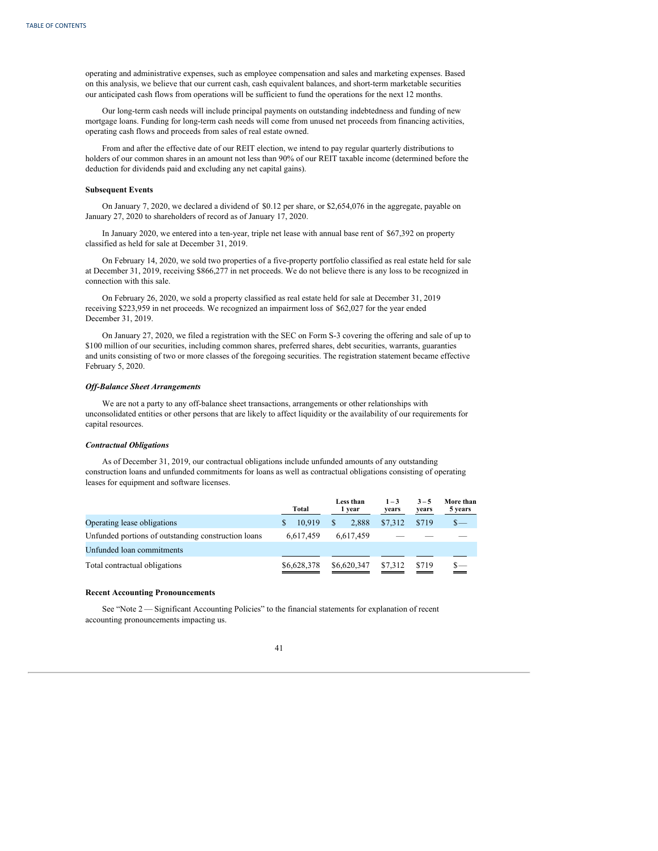operating and administrative expenses, such as employee compensation and sales and marketing expenses. Based on this analysis, we believe that our current cash, cash equivalent balances, and short-term marketable securities our anticipated cash flows from operations will be sufficient to fund the operations for the next 12 months.

Our long-term cash needs will include principal payments on outstanding indebtedness and funding of new mortgage loans. Funding for long-term cash needs will come from unused net proceeds from financing activities, operating cash flows and proceeds from sales of real estate owned.

From and after the effective date of our REIT election, we intend to pay regular quarterly distributions to holders of our common shares in an amount not less than 90% of our REIT taxable income (determined before the deduction for dividends paid and excluding any net capital gains).

## **Subsequent Events**

On January 7, 2020, we declared a dividend of \$0.12 per share, or \$2,654,076 in the aggregate, payable on January 27, 2020 to shareholders of record as of January 17, 2020.

In January 2020, we entered into a ten-year, triple net lease with annual base rent of \$67,392 on property classified as held for sale at December 31, 2019.

On February 14, 2020, we sold two properties of a five-property portfolio classified as real estate held for sale at December 31, 2019, receiving \$866,277 in net proceeds. We do not believe there is any loss to be recognized in connection with this sale.

On February 26, 2020, we sold a property classified as real estate held for sale at December 31, 2019 receiving \$223,959 in net proceeds. We recognized an impairment loss of \$62,027 for the year ended December 31, 2019.

On January 27, 2020, we filed a registration with the SEC on Form S-3 covering the offering and sale of up to \$100 million of our securities, including common shares, preferred shares, debt securities, warrants, guaranties and units consisting of two or more classes of the foregoing securities. The registration statement became effective February 5, 2020.

### *Of -Balance Sheet Arrangements*

We are not a party to any off-balance sheet transactions, arrangements or other relationships with unconsolidated entities or other persons that are likely to affect liquidity or the availability of our requirements for capital resources.

### *Contractual Obligations*

As of December 31, 2019, our contractual obligations include unfunded amounts of any outstanding construction loans and unfunded commitments for loans as well as contractual obligations consisting of operating leases for equipment and software licenses.

|                                                     | Total                  | Less than<br>1 year | $1 - 3$<br>years | $3 - 5$<br>years | More than<br>5 years |
|-----------------------------------------------------|------------------------|---------------------|------------------|------------------|----------------------|
| Operating lease obligations                         | 10.919<br><sup>S</sup> | 2.888               | \$7.312          | \$719            | $S-$                 |
| Unfunded portions of outstanding construction loans | 6.617.459              | 6,617,459           |                  |                  |                      |
| Unfunded loan commitments                           |                        |                     |                  |                  |                      |
| Total contractual obligations                       | \$6,628,378            | \$6,620,347         | \$7.312          | \$719            | $\mathbf{s}-$        |

### **Recent Accounting Pronouncements**

See "Note 2 — Significant Accounting Policies" to the financial statements for explanation of recent accounting pronouncements impacting us.

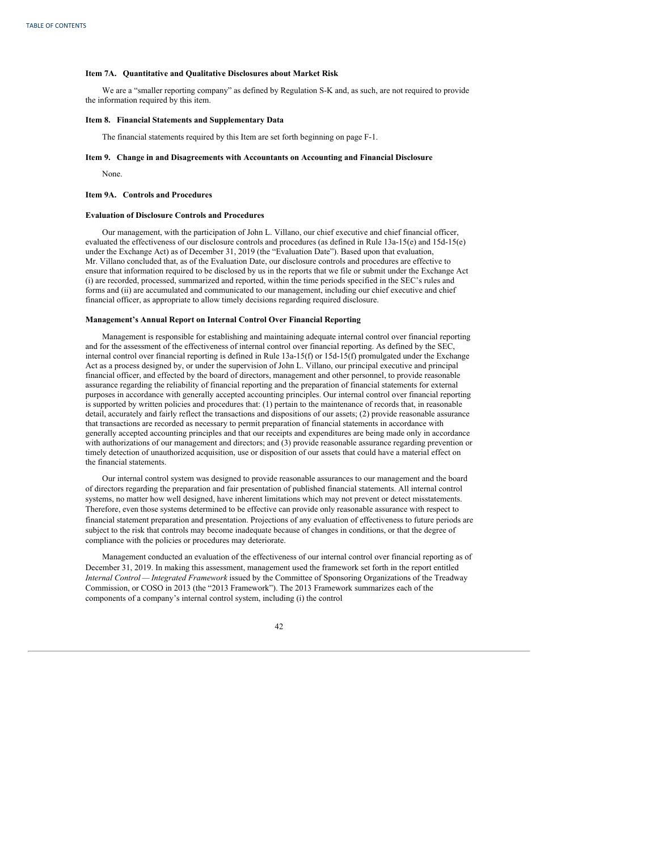#### **Item 7A. Quantitative and Qualitative Disclosures about Market Risk**

We are a "smaller reporting company" as defined by Regulation S-K and, as such, are not required to provide the information required by this item.

### **Item 8. Financial Statements and Supplementary Data**

The financial statements required by this Item are set forth beginning on page F-1.

### **Item 9. Change in and Disagreements with Accountants on Accounting and Financial Disclosure**

None.

#### **Item 9A. Controls and Procedures**

#### **Evaluation of Disclosure Controls and Procedures**

Our management, with the participation of John L. Villano, our chief executive and chief financial officer, evaluated the effectiveness of our disclosure controls and procedures (as defined in Rule 13a-15(e) and 15d-15(e) under the Exchange Act) as of December 31, 2019 (the "Evaluation Date"). Based upon that evaluation, Mr. Villano concluded that, as of the Evaluation Date, our disclosure controls and procedures are effective to ensure that information required to be disclosed by us in the reports that we file or submit under the Exchange Act (i) are recorded, processed, summarized and reported, within the time periods specified in the SEC's rules and forms and (ii) are accumulated and communicated to our management, including our chief executive and chief financial officer, as appropriate to allow timely decisions regarding required disclosure.

### **Management's Annual Report on Internal Control Over Financial Reporting**

Management is responsible for establishing and maintaining adequate internal control over financial reporting and for the assessment of the effectiveness of internal control over financial reporting. As defined by the SEC, internal control over financial reporting is defined in Rule 13a-15(f) or 15d-15(f) promulgated under the Exchange Act as a process designed by, or under the supervision of John L. Villano, our principal executive and principal financial officer, and effected by the board of directors, management and other personnel, to provide reasonable assurance regarding the reliability of financial reporting and the preparation of financial statements for external purposes in accordance with generally accepted accounting principles. Our internal control over financial reporting is supported by written policies and procedures that: (1) pertain to the maintenance of records that, in reasonable detail, accurately and fairly reflect the transactions and dispositions of our assets; (2) provide reasonable assurance that transactions are recorded as necessary to permit preparation of financial statements in accordance with generally accepted accounting principles and that our receipts and expenditures are being made only in accordance with authorizations of our management and directors; and (3) provide reasonable assurance regarding prevention or timely detection of unauthorized acquisition, use or disposition of our assets that could have a material effect on the financial statements.

Our internal control system was designed to provide reasonable assurances to our management and the board of directors regarding the preparation and fair presentation of published financial statements. All internal control systems, no matter how well designed, have inherent limitations which may not prevent or detect misstatements. Therefore, even those systems determined to be effective can provide only reasonable assurance with respect to financial statement preparation and presentation. Projections of any evaluation of effectiveness to future periods are subject to the risk that controls may become inadequate because of changes in conditions, or that the degree of compliance with the policies or procedures may deteriorate.

Management conducted an evaluation of the effectiveness of our internal control over financial reporting as of December 31, 2019. In making this assessment, management used the framework set forth in the report entitled *Internal Control — Integrated Framework* issued by the Committee of Sponsoring Organizations of the Treadway Commission, or COSO in 2013 (the "2013 Framework"). The 2013 Framework summarizes each of the components of a company's internal control system, including (i) the control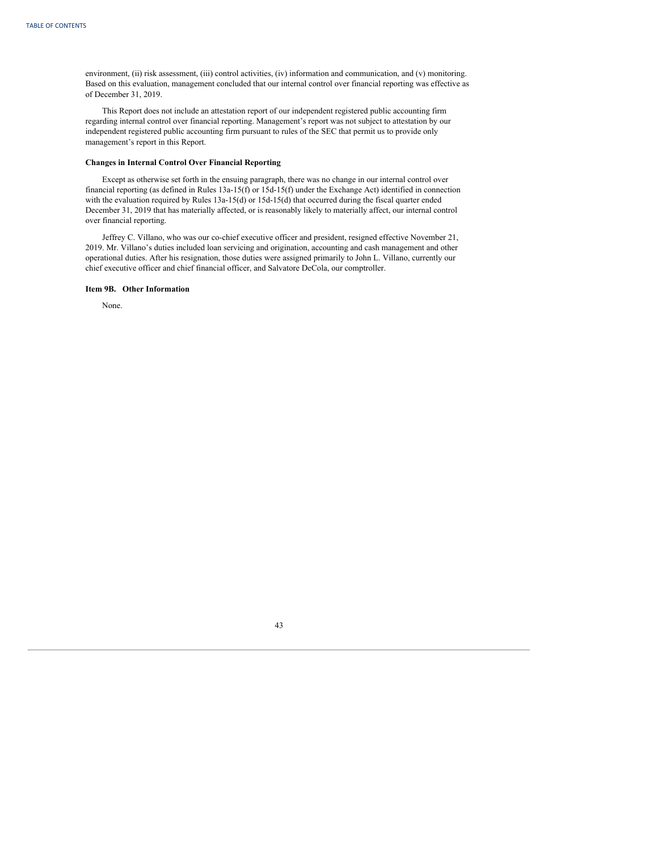environment, (ii) risk assessment, (iii) control activities, (iv) information and communication, and (v) monitoring. Based on this evaluation, management concluded that our internal control over financial reporting was effective as of December 31, 2019.

This Report does not include an attestation report of our independent registered public accounting firm regarding internal control over financial reporting. Management's report was not subject to attestation by our independent registered public accounting firm pursuant to rules of the SEC that permit us to provide only management's report in this Report.

# **Changes in Internal Control Over Financial Reporting**

Except as otherwise set forth in the ensuing paragraph, there was no change in our internal control over financial reporting (as defined in Rules 13a-15(f) or 15d-15(f) under the Exchange Act) identified in connection with the evaluation required by Rules 13a-15(d) or 15d-15(d) that occurred during the fiscal quarter ended December 31, 2019 that has materially affected, or is reasonably likely to materially affect, our internal control over financial reporting.

Jeffrey C. Villano, who was our co-chief executive officer and president, resigned effective November 21, 2019. Mr. Villano's duties included loan servicing and origination, accounting and cash management and other operational duties. After his resignation, those duties were assigned primarily to John L. Villano, currently our chief executive officer and chief financial officer, and Salvatore DeCola, our comptroller.

## **Item 9B. Other Information**

None.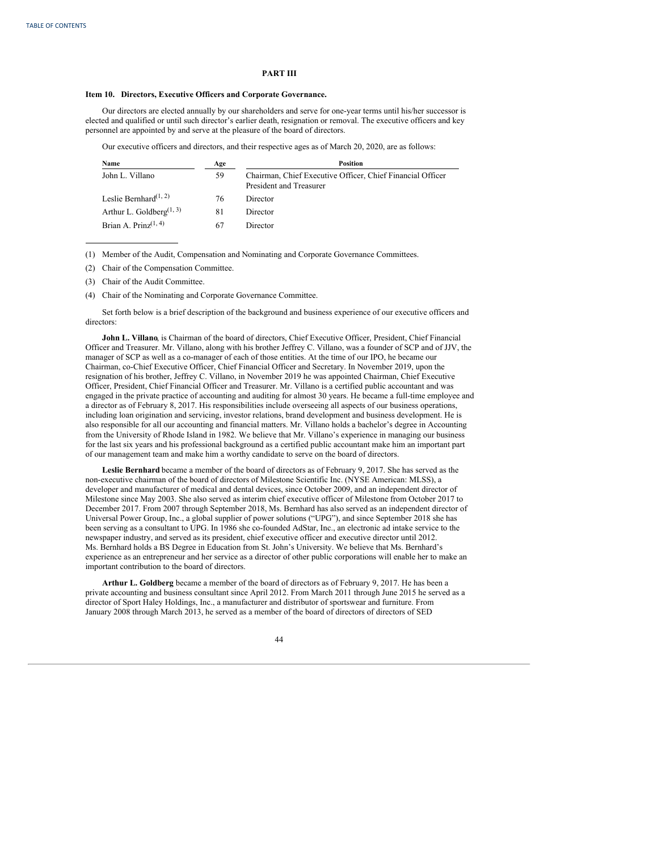## **PART III**

### **Item 10. Directors, Executive Officers and Corporate Governance.**

Our directors are elected annually by our shareholders and serve for one-year terms until his/her successor is elected and qualified or until such director's earlier death, resignation or removal. The executive officers and key personnel are appointed by and serve at the pleasure of the board of directors.

Our executive officers and directors, and their respective ages as of March 20, 2020, are as follows:

| Name                                              | Age | <b>Position</b>                                                                       |
|---------------------------------------------------|-----|---------------------------------------------------------------------------------------|
| John L. Villano                                   | 59  | Chairman, Chief Executive Officer, Chief Financial Officer<br>President and Treasurer |
| Leslie Bernhard <sup><math>(1, 2)</math></sup>    | 76  | Director                                                                              |
| Arthur L. Goldberg <sup><math>(1, 3)</math></sup> | 81  | Director                                                                              |
| Brian A. Prinz $(1, 4)$                           | 67  | Director                                                                              |

(1) Member of the Audit, Compensation and Nominating and Corporate Governance Committees.

(2) Chair of the Compensation Committee.

(3) Chair of the Audit Committee.

(4) Chair of the Nominating and Corporate Governance Committee.

Set forth below is a brief description of the background and business experience of our executive officers and directors:

**John L. Villano**, is Chairman of the board of directors, Chief Executive Officer, President, Chief Financial Officer and Treasurer. Mr. Villano, along with his brother Jeffrey C. Villano, was a founder of SCP and of JJV, the manager of SCP as well as a co-manager of each of those entities. At the time of our IPO, he became our Chairman, co-Chief Executive Officer, Chief Financial Officer and Secretary. In November 2019, upon the resignation of his brother, Jeffrey C. Villano, in November 2019 he was appointed Chairman, Chief Executive Officer, President, Chief Financial Officer and Treasurer. Mr. Villano is a certified public accountant and was engaged in the private practice of accounting and auditing for almost 30 years. He became a full-time employee and a director as of February 8, 2017. His responsibilities include overseeing all aspects of our business operations, including loan origination and servicing, investor relations, brand development and business development. He is also responsible for all our accounting and financial matters. Mr. Villano holds a bachelor's degree in Accounting from the University of Rhode Island in 1982. We believe that Mr. Villano's experience in managing our business for the last six years and his professional background as a certified public accountant make him an important part of our management team and make him a worthy candidate to serve on the board of directors.

**Leslie Bernhard** became a member of the board of directors as of February 9, 2017. She has served as the non-executive chairman of the board of directors of Milestone Scientific Inc. (NYSE American: MLSS), a developer and manufacturer of medical and dental devices, since October 2009, and an independent director of Milestone since May 2003. She also served as interim chief executive officer of Milestone from October 2017 to December 2017. From 2007 through September 2018, Ms. Bernhard has also served as an independent director of Universal Power Group, Inc., a global supplier of power solutions ("UPG"), and since September 2018 she has been serving as a consultant to UPG. In 1986 she co-founded AdStar, Inc., an electronic ad intake service to the newspaper industry, and served as its president, chief executive officer and executive director until 2012. Ms. Bernhard holds a BS Degree in Education from St. John's University. We believe that Ms. Bernhard's experience as an entrepreneur and her service as a director of other public corporations will enable her to make an important contribution to the board of directors.

**Arthur L. Goldberg** became a member of the board of directors as of February 9, 2017. He has been a private accounting and business consultant since April 2012. From March 2011 through June 2015 he served as a director of Sport Haley Holdings, Inc., a manufacturer and distributor of sportswear and furniture. From January 2008 through March 2013, he served as a member of the board of directors of directors of SED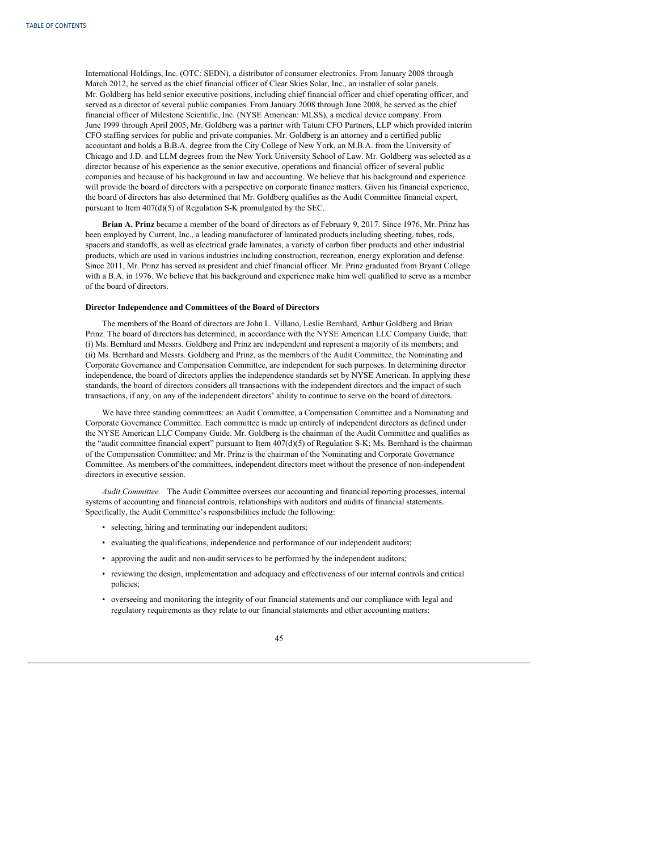International Holdings, Inc. (OTC: SEDN), a distributor of consumer electronics. From January 2008 through March 2012, he served as the chief financial officer of Clear Skies Solar, Inc., an installer of solar panels. Mr. Goldberg has held senior executive positions, including chief financial officer and chief operating officer, and served as a director of several public companies. From January 2008 through June 2008, he served as the chief financial officer of Milestone Scientific, Inc. (NYSE American: MLSS), a medical device company. From June 1999 through April 2005, Mr. Goldberg was a partner with Tatum CFO Partners, LLP which provided interim CFO staffing services for public and private companies. Mr. Goldberg is an attorney and a certified public accountant and holds a B.B.A. degree from the City College of New York, an M.B.A. from the University of Chicago and J.D. and LLM degrees from the New York University School of Law. Mr. Goldberg was selected as a director because of his experience as the senior executive, operations and financial officer of several public companies and because of his background in law and accounting. We believe that his background and experience will provide the board of directors with a perspective on corporate finance matters. Given his financial experience, the board of directors has also determined that Mr. Goldberg qualifies as the Audit Committee financial expert, pursuant to Item 407(d)(5) of Regulation S-K promulgated by the SEC.

**Brian A. Prinz** became a member of the board of directors as of February 9, 2017. Since 1976, Mr. Prinz has been employed by Current, Inc., a leading manufacturer of laminated products including sheeting, tubes, rods, spacers and standoffs, as well as electrical grade laminates, a variety of carbon fiber products and other industrial products, which are used in various industries including construction, recreation, energy exploration and defense. Since 2011, Mr. Prinz has served as president and chief financial officer. Mr. Prinz graduated from Bryant College with a B.A. in 1976. We believe that his background and experience make him well qualified to serve as a member of the board of directors.

### **Director Independence and Committees of the Board of Directors**

The members of the Board of directors are John L. Villano, Leslie Bernhard, Arthur Goldberg and Brian Prinz. The board of directors has determined, in accordance with the NYSE American LLC Company Guide, that: (i) Ms. Bernhard and Messrs. Goldberg and Prinz are independent and represent a majority of its members; and (ii) Ms. Bernhard and Messrs. Goldberg and Prinz, as the members of the Audit Committee, the Nominating and Corporate Governance and Compensation Committee, are independent for such purposes. In determining director independence, the board of directors applies the independence standards set by NYSE American. In applying these standards, the board of directors considers all transactions with the independent directors and the impact of such transactions, if any, on any of the independent directors' ability to continue to serve on the board of directors.

We have three standing committees: an Audit Committee, a Compensation Committee and a Nominating and Corporate Governance Committee. Each committee is made up entirely of independent directors as defined under the NYSE American LLC Company Guide. Mr. Goldberg is the chairman of the Audit Committee and qualifies as the "audit committee financial expert" pursuant to Item 407(d)(5) of Regulation S-K; Ms. Bernhard is the chairman of the Compensation Committee; and Mr. Prinz is the chairman of the Nominating and Corporate Governance Committee. As members of the committees, independent directors meet without the presence of non-independent directors in executive session.

*Audit Committee.* The Audit Committee oversees our accounting and financial reporting processes, internal systems of accounting and financial controls, relationships with auditors and audits of financial statements. Specifically, the Audit Committee's responsibilities include the following:

- selecting, hiring and terminating our independent auditors;
- evaluating the qualifications, independence and performance of our independent auditors;
- approving the audit and non-audit services to be performed by the independent auditors;
- reviewing the design, implementation and adequacy and effectiveness of our internal controls and critical policies;
- overseeing and monitoring the integrity of our financial statements and our compliance with legal and regulatory requirements as they relate to our financial statements and other accounting matters;

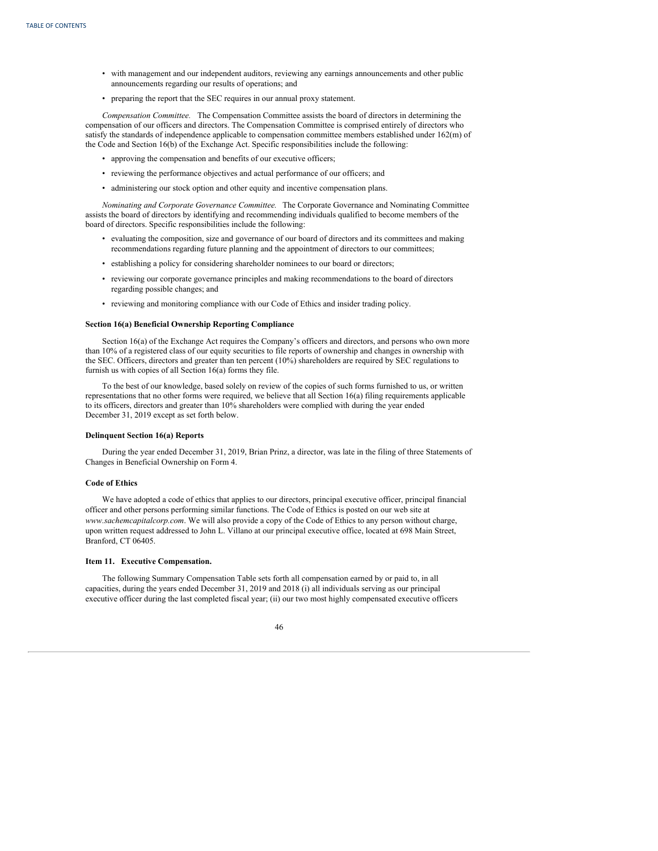- with management and our independent auditors, reviewing any earnings announcements and other public announcements regarding our results of operations; and
- preparing the report that the SEC requires in our annual proxy statement.

*Compensation Committee.* The Compensation Committee assists the board of directors in determining the compensation of our officers and directors. The Compensation Committee is comprised entirely of directors who satisfy the standards of independence applicable to compensation committee members established under 162(m) of the Code and Section 16(b) of the Exchange Act. Specific responsibilities include the following:

- approving the compensation and benefits of our executive officers;
- reviewing the performance objectives and actual performance of our officers; and
- administering our stock option and other equity and incentive compensation plans.

*Nominating and Corporate Governance Committee.* The Corporate Governance and Nominating Committee assists the board of directors by identifying and recommending individuals qualified to become members of the board of directors. Specific responsibilities include the following:

- evaluating the composition, size and governance of our board of directors and its committees and making recommendations regarding future planning and the appointment of directors to our committees;
- establishing a policy for considering shareholder nominees to our board or directors;
- reviewing our corporate governance principles and making recommendations to the board of directors regarding possible changes; and
- reviewing and monitoring compliance with our Code of Ethics and insider trading policy.

## **Section 16(a) Beneficial Ownership Reporting Compliance**

Section 16(a) of the Exchange Act requires the Company's officers and directors, and persons who own more than 10% of a registered class of our equity securities to file reports of ownership and changes in ownership with the SEC. Officers, directors and greater than ten percent (10%) shareholders are required by SEC regulations to furnish us with copies of all Section 16(a) forms they file.

To the best of our knowledge, based solely on review of the copies of such forms furnished to us, or written representations that no other forms were required, we believe that all Section 16(a) filing requirements applicable to its officers, directors and greater than 10% shareholders were complied with during the year ended December 31, 2019 except as set forth below.

## **Delinquent Section 16(a) Reports**

During the year ended December 31, 2019, Brian Prinz, a director, was late in the filing of three Statements of Changes in Beneficial Ownership on Form 4.

### **Code of Ethics**

We have adopted a code of ethics that applies to our directors, principal executive officer, principal financial officer and other persons performing similar functions. The Code of Ethics is posted on our web site at *www.sachemcapitalcorp.com*. We will also provide a copy of the Code of Ethics to any person without charge, upon written request addressed to John L. Villano at our principal executive office, located at 698 Main Street, Branford, CT 06405.

## **Item 11. Executive Compensation.**

The following Summary Compensation Table sets forth all compensation earned by or paid to, in all capacities, during the years ended December 31, 2019 and 2018 (i) all individuals serving as our principal executive officer during the last completed fiscal year; (ii) our two most highly compensated executive officers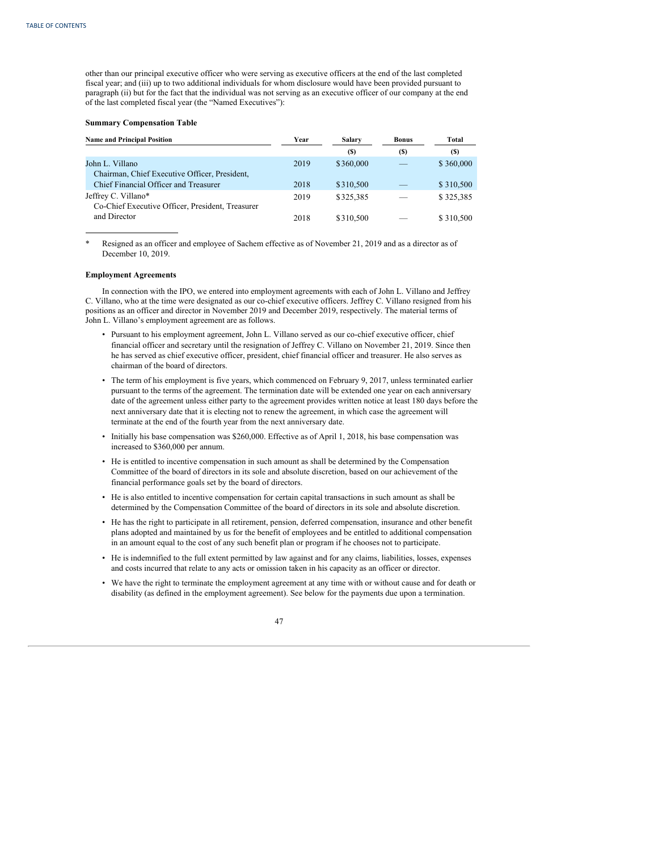other than our principal executive officer who were serving as executive officers at the end of the last completed fiscal year; and (iii) up to two additional individuals for whom disclosure would have been provided pursuant to paragraph (ii) but for the fact that the individual was not serving as an executive officer of our company at the end of the last completed fiscal year (the "Named Executives"):

# **Summary Compensation Table**

| <b>Name and Principal Position</b>                                      | Year | Salary    | <b>Bonus</b> | Total     |
|-------------------------------------------------------------------------|------|-----------|--------------|-----------|
|                                                                         |      | (S)       | (S)          | (S)       |
| John L. Villano<br>Chairman, Chief Executive Officer, President,        | 2019 | \$360,000 |              | \$360,000 |
| Chief Financial Officer and Treasurer                                   | 2018 | \$310,500 |              | \$310,500 |
| Jeffrey C. Villano*<br>Co-Chief Executive Officer, President, Treasurer | 2019 | \$325.385 |              | \$325,385 |
| and Director                                                            | 2018 | \$310,500 |              | \$310,500 |

\* Resigned as an officer and employee of Sachem effective as of November 21, 2019 and as a director as of December 10, 2019.

### **Employment Agreements**

In connection with the IPO, we entered into employment agreements with each of John L. Villano and Jeffrey C. Villano, who at the time were designated as our co-chief executive officers. Jeffrey C. Villano resigned from his positions as an officer and director in November 2019 and December 2019, respectively. The material terms of John L. Villano's employment agreement are as follows.

- Pursuant to his employment agreement, John L. Villano served as our co-chief executive officer, chief financial officer and secretary until the resignation of Jeffrey C. Villano on November 21, 2019. Since then he has served as chief executive officer, president, chief financial officer and treasurer. He also serves as chairman of the board of directors.
- The term of his employment is five years, which commenced on February 9, 2017, unless terminated earlier pursuant to the terms of the agreement. The termination date will be extended one year on each anniversary date of the agreement unless either party to the agreement provides written notice at least 180 days before the next anniversary date that it is electing not to renew the agreement, in which case the agreement will terminate at the end of the fourth year from the next anniversary date.
- Initially his base compensation was \$260,000. Effective as of April 1, 2018, his base compensation was increased to \$360,000 per annum.
- He is entitled to incentive compensation in such amount as shall be determined by the Compensation Committee of the board of directors in its sole and absolute discretion, based on our achievement of the financial performance goals set by the board of directors.
- He is also entitled to incentive compensation for certain capital transactions in such amount as shall be determined by the Compensation Committee of the board of directors in its sole and absolute discretion.
- He has the right to participate in all retirement, pension, deferred compensation, insurance and other benefit plans adopted and maintained by us for the benefit of employees and be entitled to additional compensation in an amount equal to the cost of any such benefit plan or program if he chooses not to participate.
- He is indemnified to the full extent permitted by law against and for any claims, liabilities, losses, expenses and costs incurred that relate to any acts or omission taken in his capacity as an officer or director.
- We have the right to terminate the employment agreement at any time with or without cause and for death or disability (as defined in the employment agreement). See below for the payments due upon a termination.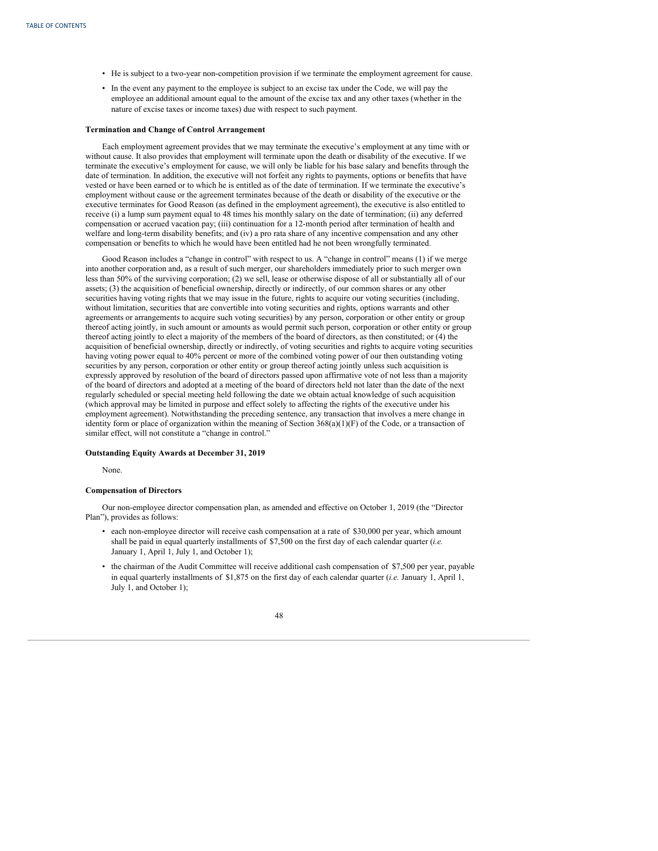- He is subject to a two-year non-competition provision if we terminate the employment agreement for cause.
- In the event any payment to the employee is subject to an excise tax under the Code, we will pay the employee an additional amount equal to the amount of the excise tax and any other taxes (whether in the nature of excise taxes or income taxes) due with respect to such payment.

### **Termination and Change of Control Arrangement**

Each employment agreement provides that we may terminate the executive's employment at any time with or without cause. It also provides that employment will terminate upon the death or disability of the executive. If we terminate the executive's employment for cause, we will only be liable for his base salary and benefits through the date of termination. In addition, the executive will not forfeit any rights to payments, options or benefits that have vested or have been earned or to which he is entitled as of the date of termination. If we terminate the executive's employment without cause or the agreement terminates because of the death or disability of the executive or the executive terminates for Good Reason (as defined in the employment agreement), the executive is also entitled to receive (i) a lump sum payment equal to 48 times his monthly salary on the date of termination; (ii) any deferred compensation or accrued vacation pay; (iii) continuation for a 12-month period after termination of health and welfare and long-term disability benefits; and (iv) a pro rata share of any incentive compensation and any other compensation or benefits to which he would have been entitled had he not been wrongfully terminated.

Good Reason includes a "change in control" with respect to us. A "change in control" means (1) if we merge into another corporation and, as a result of such merger, our shareholders immediately prior to such merger own less than 50% of the surviving corporation; (2) we sell, lease or otherwise dispose of all or substantially all of our assets; (3) the acquisition of beneficial ownership, directly or indirectly, of our common shares or any other securities having voting rights that we may issue in the future, rights to acquire our voting securities (including, without limitation, securities that are convertible into voting securities and rights, options warrants and other agreements or arrangements to acquire such voting securities) by any person, corporation or other entity or group thereof acting jointly, in such amount or amounts as would permit such person, corporation or other entity or group thereof acting jointly to elect a majority of the members of the board of directors, as then constituted; or (4) the acquisition of beneficial ownership, directly or indirectly, of voting securities and rights to acquire voting securities having voting power equal to 40% percent or more of the combined voting power of our then outstanding voting securities by any person, corporation or other entity or group thereof acting jointly unless such acquisition is expressly approved by resolution of the board of directors passed upon affirmative vote of not less than a majority of the board of directors and adopted at a meeting of the board of directors held not later than the date of the next regularly scheduled or special meeting held following the date we obtain actual knowledge of such acquisition (which approval may be limited in purpose and effect solely to affecting the rights of the executive under his employment agreement). Notwithstanding the preceding sentence, any transaction that involves a mere change in identity form or place of organization within the meaning of Section  $368(a)(1)(F)$  of the Code, or a transaction of similar effect, will not constitute a "change in control."

## **Outstanding Equity Awards at December 31, 2019**

None.

# **Compensation of Directors**

Our non-employee director compensation plan, as amended and effective on October 1, 2019 (the "Director Plan"), provides as follows:

- each non-employee director will receive cash compensation at a rate of \$30,000 per year, which amount shall be paid in equal quarterly installments of \$7,500 on the first day of each calendar quarter (*i.e.* January 1, April 1, July 1, and October 1);
- the chairman of the Audit Committee will receive additional cash compensation of \$7,500 per year, payable in equal quarterly installments of \$1,875 on the first day of each calendar quarter (*i.e.* January 1, April 1, July 1, and October 1);

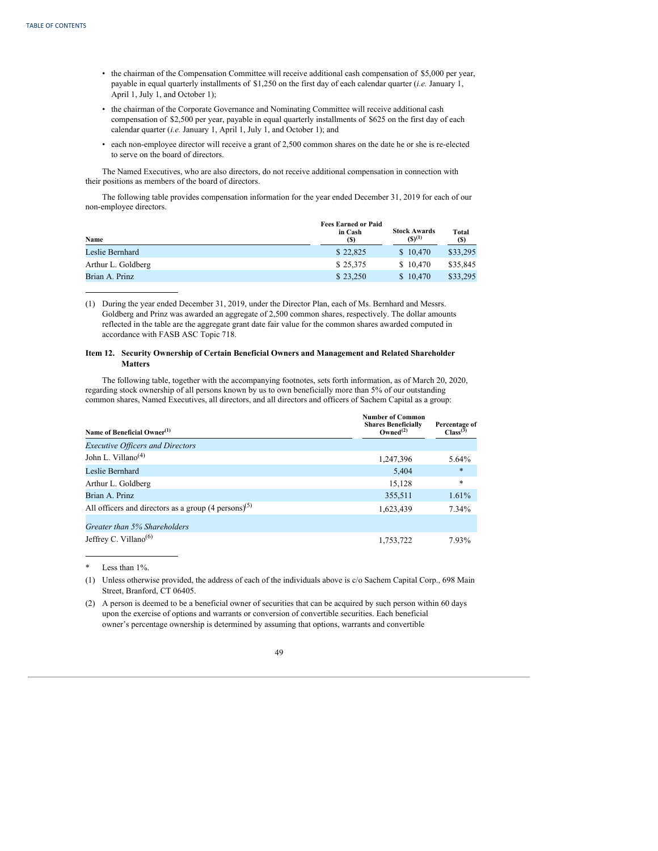- the chairman of the Compensation Committee will receive additional cash compensation of \$5,000 per year, payable in equal quarterly installments of \$1,250 on the first day of each calendar quarter (*i.e.* January 1, April 1, July 1, and October 1);
- the chairman of the Corporate Governance and Nominating Committee will receive additional cash compensation of \$2,500 per year, payable in equal quarterly installments of \$625 on the first day of each calendar quarter (*i.e.* January 1, April 1, July 1, and October 1); and
- each non-employee director will receive a grant of 2,500 common shares on the date he or she is re-elected to serve on the board of directors.

The Named Executives, who are also directors, do not receive additional compensation in connection with their positions as members of the board of directors.

The following table provides compensation information for the year ended December 31, 2019 for each of our non-employee directors.

| Name               | <b>Fees Earned or Paid</b><br>in Cash<br>(S) | <b>Stock Awards</b><br>$(S)^{(1)}$ | Total<br>(S) |
|--------------------|----------------------------------------------|------------------------------------|--------------|
| Leslie Bernhard    | \$22,825                                     | \$10.470                           | \$33,295     |
| Arthur L. Goldberg | \$25,375                                     | \$10.470                           | \$35,845     |
| Brian A. Prinz     | \$23,250                                     | \$10.470                           | \$33,295     |

(1) During the year ended December 31, 2019, under the Director Plan, each of Ms. Bernhard and Messrs. Goldberg and Prinz was awarded an aggregate of 2,500 common shares, respectively. The dollar amounts reflected in the table are the aggregate grant date fair value for the common shares awarded computed in accordance with FASB ASC Topic 718.

# **Item 12. Security Ownership of Certain Beneficial Owners and Management and Related Shareholder Matters**

The following table, together with the accompanying footnotes, sets forth information, as of March 20, 2020, regarding stock ownership of all persons known by us to own beneficially more than 5% of our outstanding common shares, Named Executives, all directors, and all directors and officers of Sachem Capital as a group:

| Name of Beneficial Owner <sup>(1)</sup>                           | <b>Number of Common</b><br><b>Shares Beneficially</b><br>Owned <sup>(2)</sup> | Percentage of<br>Class <sup>(3)</sup> |
|-------------------------------------------------------------------|-------------------------------------------------------------------------------|---------------------------------------|
| <b>Executive Officers and Directors</b>                           |                                                                               |                                       |
| John L. Villano <sup><math>(4)</math></sup>                       | 1,247,396                                                                     | 5.64%                                 |
| Leslie Bernhard                                                   | 5.404                                                                         | $\ast$                                |
| Arthur L. Goldberg                                                | 15,128                                                                        | $\ast$                                |
| Brian A. Prinz                                                    | 355,511                                                                       | 1.61%                                 |
| All officers and directors as a group $(4 \text{ persons})^{(5)}$ | 1,623,439                                                                     | 7.34%                                 |
| Greater than 5% Shareholders                                      |                                                                               |                                       |
| Jeffrey C. Villano <sup>(6)</sup>                                 | 1,753,722                                                                     | 7.93%                                 |

\* Less than 1%.

(1) Unless otherwise provided, the address of each of the individuals above is c/o Sachem Capital Corp., 698 Main Street, Branford, CT 06405.

(2) A person is deemed to be a beneficial owner of securities that can be acquired by such person within 60 days upon the exercise of options and warrants or conversion of convertible securities. Each beneficial owner's percentage ownership is determined by assuming that options, warrants and convertible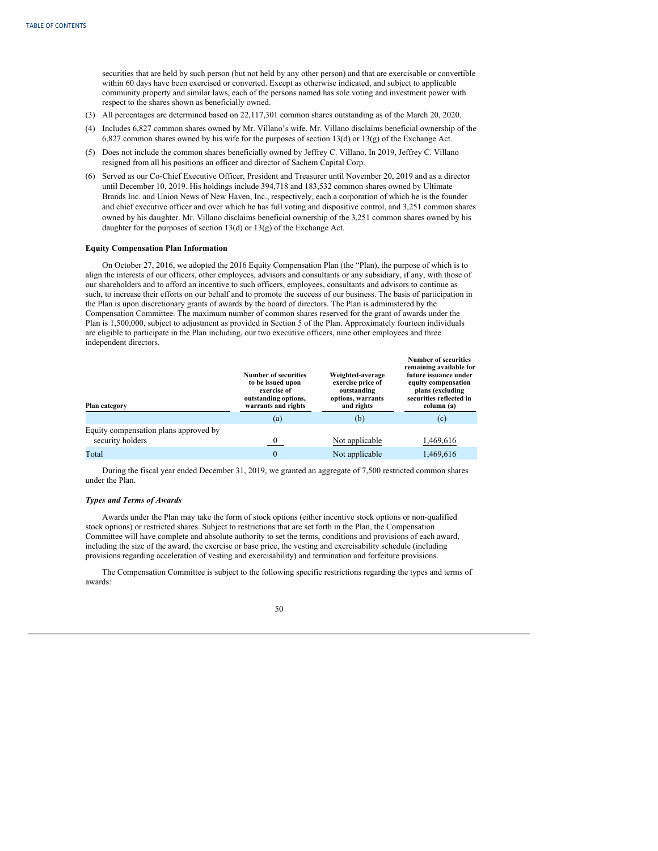securities that are held by such person (but not held by any other person) and that are exercisable or convertible within 60 days have been exercised or converted. Except as otherwise indicated, and subject to applicable community property and similar laws, each of the persons named has sole voting and investment power with respect to the shares shown as beneficially owned.

- (3) All percentages are determined based on 22,117,301 common shares outstanding as of the March 20, 2020.
- (4) Includes 6,827 common shares owned by Mr. Villano's wife. Mr. Villano disclaims beneficial ownership of the 6,827 common shares owned by his wife for the purposes of section 13(d) or 13(g) of the Exchange Act.
- (5) Does not include the common shares beneficially owned by Jeffrey C. Villano. In 2019, Jeffrey C. Villano resigned from all his positions an officer and director of Sachem Capital Corp.
- (6) Served as our Co-Chief Executive Officer, President and Treasurer until November 20, 2019 and as a director until December 10, 2019. His holdings include 394,718 and 183,532 common shares owned by Ultimate Brands Inc. and Union News of New Haven, Inc., respectively, each a corporation of which he is the founder and chief executive officer and over which he has full voting and dispositive control, and 3,251 common shares owned by his daughter. Mr. Villano disclaims beneficial ownership of the 3,251 common shares owned by his daughter for the purposes of section 13(d) or 13(g) of the Exchange Act.

### **Equity Compensation Plan Information**

On October 27, 2016, we adopted the 2016 Equity Compensation Plan (the "Plan), the purpose of which is to align the interests of our officers, other employees, advisors and consultants or any subsidiary, if any, with those of our shareholders and to afford an incentive to such officers, employees, consultants and advisors to continue as such, to increase their efforts on our behalf and to promote the success of our business. The basis of participation in the Plan is upon discretionary grants of awards by the board of directors. The Plan is administered by the Compensation Committee. The maximum number of common shares reserved for the grant of awards under the Plan is 1,500,000, subject to adjustment as provided in Section 5 of the Plan. Approximately fourteen individuals are eligible to participate in the Plan including, our two executive officers, nine other employees and three independent directors.

| Plan category                                             | <b>Number of securities</b><br>to be issued upon<br>exercise of<br>outstanding options,<br>warrants and rights | Weighted-average<br>exercise price of<br>outstanding<br>options, warrants<br>and rights | <b>Number of securities</b><br>remaining available for<br>future issuance under<br>equity compensation<br>plans (excluding<br>securities reflected in<br>column (a) |
|-----------------------------------------------------------|----------------------------------------------------------------------------------------------------------------|-----------------------------------------------------------------------------------------|---------------------------------------------------------------------------------------------------------------------------------------------------------------------|
|                                                           | (a)                                                                                                            | (b)                                                                                     | (c)                                                                                                                                                                 |
| Equity compensation plans approved by<br>security holders |                                                                                                                | Not applicable                                                                          | 1,469,616                                                                                                                                                           |
| Total                                                     | $\mathbf{0}$                                                                                                   | Not applicable                                                                          | 1,469,616                                                                                                                                                           |

During the fiscal year ended December 31, 2019, we granted an aggregate of 7,500 restricted common shares under the Plan.

# *Types and Terms of Awards*

Awards under the Plan may take the form of stock options (either incentive stock options or non-qualified stock options) or restricted shares. Subject to restrictions that are set forth in the Plan, the Compensation Committee will have complete and absolute authority to set the terms, conditions and provisions of each award, including the size of the award, the exercise or base price, the vesting and exercisability schedule (including provisions regarding acceleration of vesting and exercisability) and termination and forfeiture provisions.

The Compensation Committee is subject to the following specific restrictions regarding the types and terms of awards:

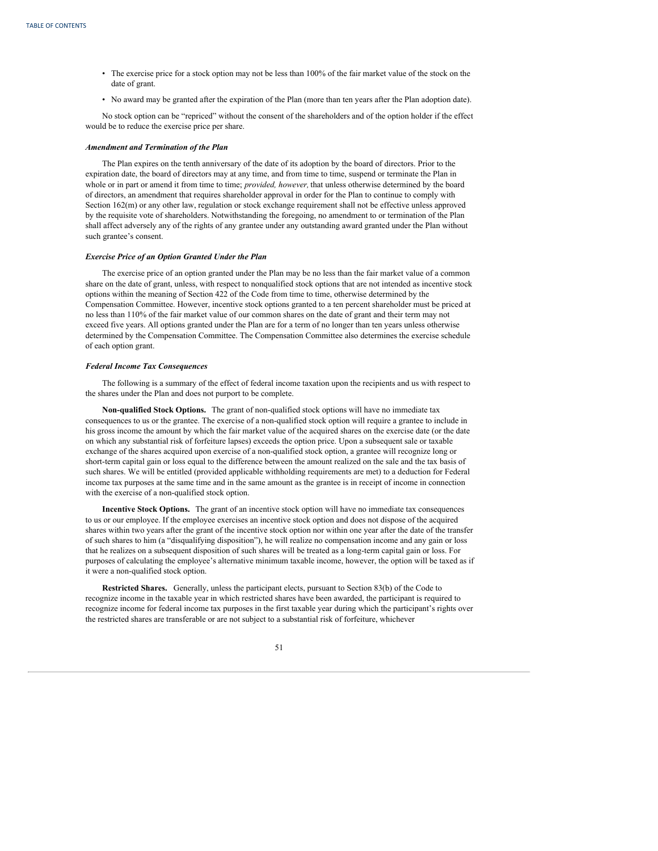- The exercise price for a stock option may not be less than 100% of the fair market value of the stock on the date of grant.
- No award may be granted after the expiration of the Plan (more than ten years after the Plan adoption date).

No stock option can be "repriced" without the consent of the shareholders and of the option holder if the effect would be to reduce the exercise price per share.

## *Amendment and Termination of the Plan*

The Plan expires on the tenth anniversary of the date of its adoption by the board of directors. Prior to the expiration date, the board of directors may at any time, and from time to time, suspend or terminate the Plan in whole or in part or amend it from time to time; *provided, however,* that unless otherwise determined by the board of directors, an amendment that requires shareholder approval in order for the Plan to continue to comply with Section 162(m) or any other law, regulation or stock exchange requirement shall not be effective unless approved by the requisite vote of shareholders. Notwithstanding the foregoing, no amendment to or termination of the Plan shall affect adversely any of the rights of any grantee under any outstanding award granted under the Plan without such grantee's consent.

### *Exercise Price of an Option Granted Under the Plan*

The exercise price of an option granted under the Plan may be no less than the fair market value of a common share on the date of grant, unless, with respect to nonqualified stock options that are not intended as incentive stock options within the meaning of Section 422 of the Code from time to time, otherwise determined by the Compensation Committee. However, incentive stock options granted to a ten percent shareholder must be priced at no less than 110% of the fair market value of our common shares on the date of grant and their term may not exceed five years. All options granted under the Plan are for a term of no longer than ten years unless otherwise determined by the Compensation Committee. The Compensation Committee also determines the exercise schedule of each option grant.

# *Federal Income Tax Consequences*

The following is a summary of the effect of federal income taxation upon the recipients and us with respect to the shares under the Plan and does not purport to be complete.

**Non-qualified Stock Options.** The grant of non-qualified stock options will have no immediate tax consequences to us or the grantee. The exercise of a non-qualified stock option will require a grantee to include in his gross income the amount by which the fair market value of the acquired shares on the exercise date (or the date on which any substantial risk of forfeiture lapses) exceeds the option price. Upon a subsequent sale or taxable exchange of the shares acquired upon exercise of a non-qualified stock option, a grantee will recognize long or short-term capital gain or loss equal to the difference between the amount realized on the sale and the tax basis of such shares. We will be entitled (provided applicable withholding requirements are met) to a deduction for Federal income tax purposes at the same time and in the same amount as the grantee is in receipt of income in connection with the exercise of a non-qualified stock option.

**Incentive Stock Options.** The grant of an incentive stock option will have no immediate tax consequences to us or our employee. If the employee exercises an incentive stock option and does not dispose of the acquired shares within two years after the grant of the incentive stock option nor within one year after the date of the transfer of such shares to him (a "disqualifying disposition"), he will realize no compensation income and any gain or loss that he realizes on a subsequent disposition of such shares will be treated as a long-term capital gain or loss. For purposes of calculating the employee's alternative minimum taxable income, however, the option will be taxed as if it were a non-qualified stock option.

**Restricted Shares.** Generally, unless the participant elects, pursuant to Section 83(b) of the Code to recognize income in the taxable year in which restricted shares have been awarded, the participant is required to recognize income for federal income tax purposes in the first taxable year during which the participant's rights over the restricted shares are transferable or are not subject to a substantial risk of forfeiture, whichever

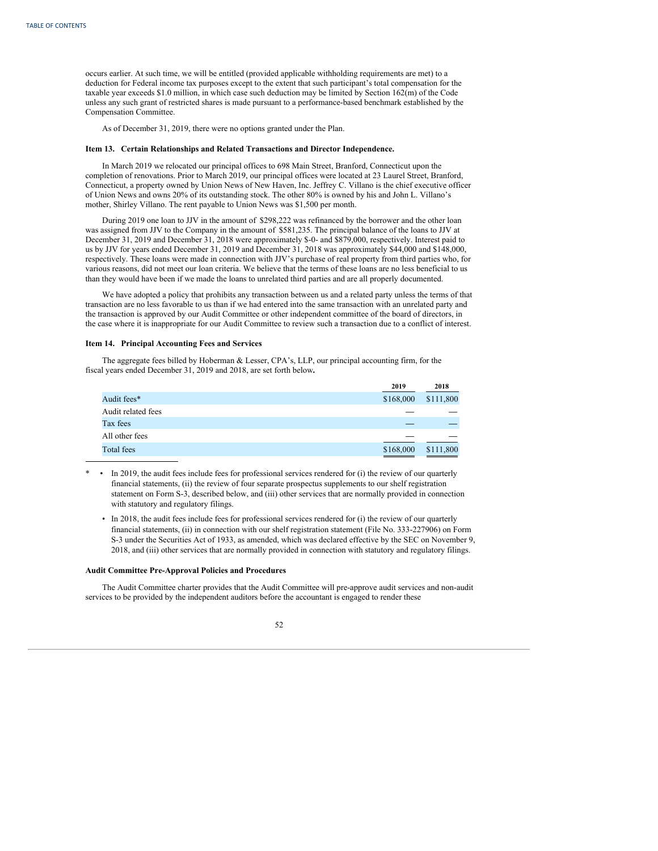occurs earlier. At such time, we will be entitled (provided applicable withholding requirements are met) to a deduction for Federal income tax purposes except to the extent that such participant's total compensation for the taxable year exceeds \$1.0 million, in which case such deduction may be limited by Section 162(m) of the Code unless any such grant of restricted shares is made pursuant to a performance-based benchmark established by the Compensation Committee.

As of December 31, 2019, there were no options granted under the Plan.

### **Item 13. Certain Relationships and Related Transactions and Director Independence.**

In March 2019 we relocated our principal offices to 698 Main Street, Branford, Connecticut upon the completion of renovations. Prior to March 2019, our principal offices were located at 23 Laurel Street, Branford, Connecticut, a property owned by Union News of New Haven, Inc. Jeffrey C. Villano is the chief executive officer of Union News and owns 20% of its outstanding stock. The other 80% is owned by his and John L. Villano's mother, Shirley Villano. The rent payable to Union News was \$1,500 per month.

During 2019 one loan to JJV in the amount of \$298,222 was refinanced by the borrower and the other loan was assigned from JJV to the Company in the amount of \$581,235. The principal balance of the loans to JJV at December 31, 2019 and December 31, 2018 were approximately \$-0- and \$879,000, respectively. Interest paid to us by JJV for years ended December 31, 2019 and December 31, 2018 was approximately \$44,000 and \$148,000, respectively. These loans were made in connection with JJV's purchase of real property from third parties who, for various reasons, did not meet our loan criteria. We believe that the terms of these loans are no less beneficial to us than they would have been if we made the loans to unrelated third parties and are all properly documented.

We have adopted a policy that prohibits any transaction between us and a related party unless the terms of that transaction are no less favorable to us than if we had entered into the same transaction with an unrelated party and the transaction is approved by our Audit Committee or other independent committee of the board of directors, in the case where it is inappropriate for our Audit Committee to review such a transaction due to a conflict of interest.

# **Item 14. Principal Accounting Fees and Services**

The aggregate fees billed by Hoberman & Lesser, CPA's, LLP, our principal accounting firm, for the fiscal years ended December 31, 2019 and 2018, are set forth below**.**

|                    | 2019      | 2018      |
|--------------------|-----------|-----------|
| Audit fees*        | \$168,000 | \$111,800 |
| Audit related fees |           |           |
| Tax fees           |           |           |
| All other fees     |           |           |
| Total fees         | \$168,000 | \$111,800 |

\* • In 2019, the audit fees include fees for professional services rendered for (i) the review of our quarterly financial statements, (ii) the review of four separate prospectus supplements to our shelf registration statement on Form S-3, described below, and (iii) other services that are normally provided in connection with statutory and regulatory filings.

• In 2018, the audit fees include fees for professional services rendered for (i) the review of our quarterly financial statements, (ii) in connection with our shelf registration statement (File No. 333-227906) on Form S-3 under the Securities Act of 1933, as amended, which was declared effective by the SEC on November 9, 2018, and (iii) other services that are normally provided in connection with statutory and regulatory filings.

# **Audit Committee Pre-Approval Policies and Procedures**

The Audit Committee charter provides that the Audit Committee will pre-approve audit services and non-audit services to be provided by the independent auditors before the accountant is engaged to render these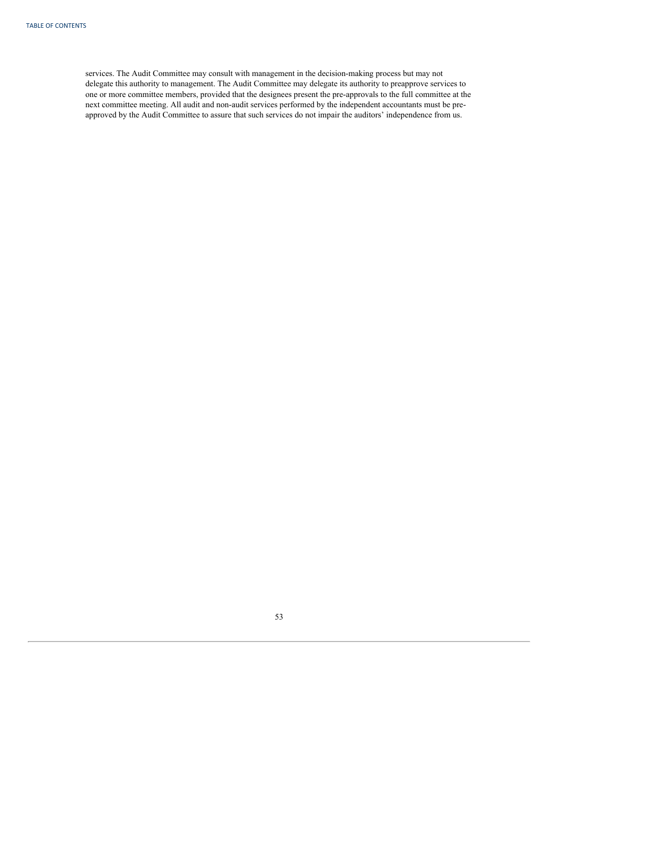services. The Audit Committee may consult with management in the decision-making process but may not delegate this authority to management. The Audit Committee may delegate its authority to preapprove services to one or more committee members, provided that the designees present the pre-approvals to the full committee at the next committee meeting. All audit and non-audit services performed by the independent accountants must be preapproved by the Audit Committee to assure that such services do not impair the auditors' independence from us.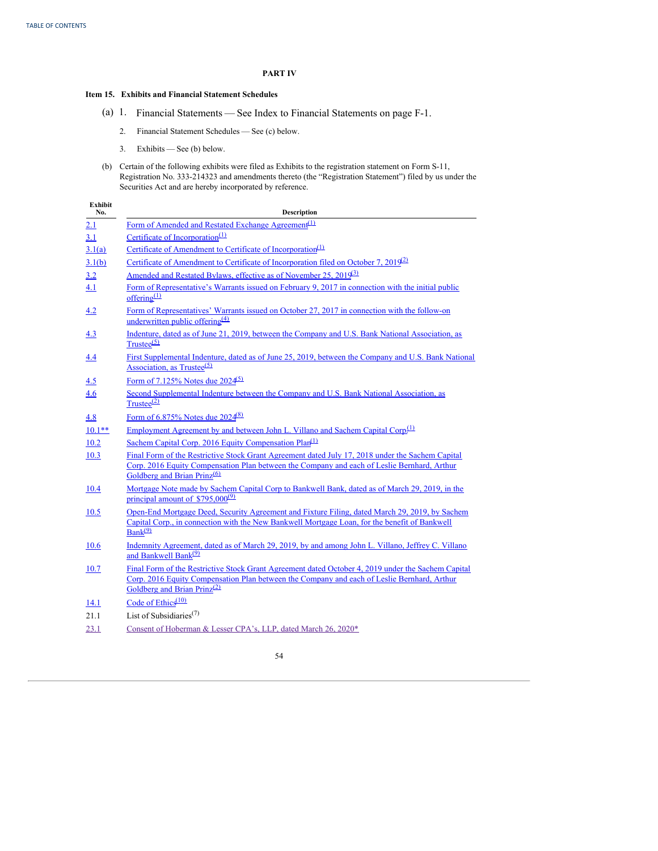# **PART IV**

# **Item 15. Exhibits and Financial Statement Schedules**

- (a) 1. Financial Statements See Index to Financial Statements on page F-1.
	- 2. Financial Statement Schedules See (c) below.
	- 3. Exhibits See (b) below.
- (b) Certain of the following exhibits were filed as Exhibits to the registration statement on Form S-11, Registration No. 333-214323 and amendments thereto (the "Registration Statement") filed by us under the Securities Act and are hereby incorporated by reference.

| <b>Exhibit</b><br>No. | Description                                                                                                                                                                                                                                  |
|-----------------------|----------------------------------------------------------------------------------------------------------------------------------------------------------------------------------------------------------------------------------------------|
| 2.1                   | Form of Amended and Restated Exchange Agreement <sup>(1)</sup>                                                                                                                                                                               |
| 3.1                   | Certificate of Incorporation <sup>(1)</sup>                                                                                                                                                                                                  |
| 3.1(a)                | Certificate of Amendment to Certificate of Incorporation <sup>(1)</sup>                                                                                                                                                                      |
| 3.1(b)                | Certificate of Amendment to Certificate of Incorporation filed on October 7, $2019^{(2)}$                                                                                                                                                    |
| 3.2                   | Amended and Restated Bylaws, effective as of November 25, 2019 <sup>31</sup>                                                                                                                                                                 |
| 4.1                   | Form of Representative's Warrants issued on February 9, 2017 in connection with the initial public<br>offering $(1)$                                                                                                                         |
| 4.2                   | Form of Representatives' Warrants issued on October 27, 2017 in connection with the follow-on<br>underwritten public offering <sup>(4)</sup>                                                                                                 |
| 4.3                   | Indenture, dated as of June 21, 2019, between the Company and U.S. Bank National Association, as<br>$Trustee^{(5)}$                                                                                                                          |
| <u>4.4</u>            | First Supplemental Indenture, dated as of June 25, 2019, between the Company and U.S. Bank National<br>Association, as Trustee $(5)$                                                                                                         |
| 4.5                   | Form of 7.125% Notes due 2024 <sup>(5)</sup>                                                                                                                                                                                                 |
| 4.6                   | Second Supplemental Indenture between the Company and U.S. Bank National Association, as<br>$Trustee^{(2)}$                                                                                                                                  |
| 4.8                   | Form of $6.875\%$ Notes due $2024\frac{(8)}{2}$                                                                                                                                                                                              |
| $10.1**$              | Employment Agreement by and between John L. Villano and Sachem Capital Corp. <sup>(1)</sup>                                                                                                                                                  |
| 10.2                  | Sachem Capital Corp. 2016 Equity Compensation Plan <sup>(1)</sup>                                                                                                                                                                            |
| 10.3                  | Final Form of the Restrictive Stock Grant Agreement dated July 17, 2018 under the Sachem Capital<br>Corp. 2016 Equity Compensation Plan between the Company and each of Leslie Bernhard, Arthur<br>Goldberg and Brian Prinz <sup>(6)</sup>   |
| <u>10.4</u>           | Mortgage Note made by Sachem Capital Corp to Bankwell Bank, dated as of March 29, 2019, in the<br>principal amount of $$795,000^{(9)}$                                                                                                       |
| 10.5                  | Open-End Mortgage Deed, Security Agreement and Fixture Filing, dated March 29, 2019, by Sachem<br>Capital Corp., in connection with the New Bankwell Mortgage Loan, for the benefit of Bankwell<br>$Bank^{(9)}$                              |
| <u>10.6</u>           | Indemnity Agreement, dated as of March 29, 2019, by and among John L. Villano, Jeffrey C. Villano<br>and Bankwell Bank <sup>(9)</sup>                                                                                                        |
| 10.7                  | Final Form of the Restrictive Stock Grant Agreement dated October 4, 2019 under the Sachem Capital<br>Corp. 2016 Equity Compensation Plan between the Company and each of Leslie Bernhard, Arthur<br>Goldberg and Brian Prinz <sup>(2)</sup> |
| <b>14.1</b>           | Code of Ethics $(10)$                                                                                                                                                                                                                        |
| 21.1                  | List of Subsidiaries <sup><math>(7)</math></sup>                                                                                                                                                                                             |
| 23.1                  | Consent of Hoberman & Lesser CPA's, LLP, dated March 26, 2020*                                                                                                                                                                               |
|                       |                                                                                                                                                                                                                                              |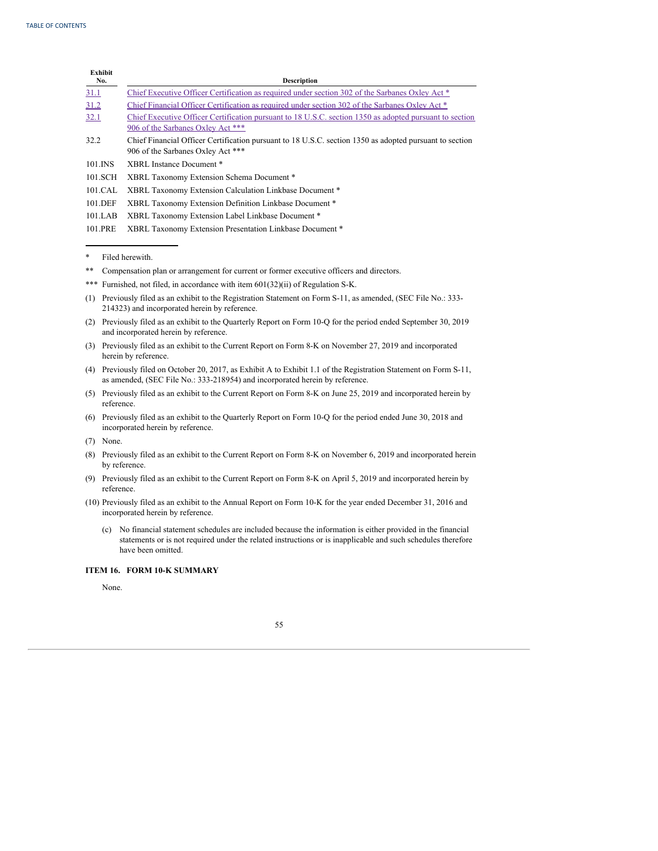| <b>Exhibit</b><br>No. | <b>Description</b>                                                                                                                           |
|-----------------------|----------------------------------------------------------------------------------------------------------------------------------------------|
| 31.1                  | Chief Executive Officer Certification as required under section 302 of the Sarbanes Oxley Act *                                              |
| 31.2                  | Chief Financial Officer Certification as required under section 302 of the Sarbanes Oxley Act *                                              |
| 32.1                  | Chief Executive Officer Certification pursuant to 18 U.S.C. section 1350 as adopted pursuant to section<br>906 of the Sarbanes Oxley Act *** |
| 32.2                  | Chief Financial Officer Certification pursuant to 18 U.S.C. section 1350 as adopted pursuant to section<br>906 of the Sarbanes Oxley Act *** |
| 101.INS               | XBRL Instance Document *                                                                                                                     |
| 101.SCH               | XBRL Taxonomy Extension Schema Document *                                                                                                    |
| 101.CAL               | XBRL Taxonomy Extension Calculation Linkbase Document *                                                                                      |
| 101.DEF               | XBRL Taxonomy Extension Definition Linkbase Document *                                                                                       |
| 101.LAB               | XBRL Taxonomy Extension Label Linkbase Document*                                                                                             |
| 101.PRE               | XBRL Taxonomy Extension Presentation Linkbase Document *                                                                                     |

\* Filed herewith.

- \*\* Compensation plan or arrangement for current or former executive officers and directors.
- \*\*\* Furnished, not filed, in accordance with item 601(32)(ii) of Regulation S-K.
- (1) Previously filed as an exhibit to the Registration Statement on Form S-11, as amended, (SEC File No.: 333- 214323) and incorporated herein by reference.
- (2) Previously filed as an exhibit to the Quarterly Report on Form 10-Q for the period ended September 30, 2019 and incorporated herein by reference.
- (3) Previously filed as an exhibit to the Current Report on Form 8-K on November 27, 2019 and incorporated herein by reference.
- (4) Previously filed on October 20, 2017, as Exhibit A to Exhibit 1.1 of the Registration Statement on Form S-11, as amended, (SEC File No.: 333-218954) and incorporated herein by reference.
- (5) Previously filed as an exhibit to the Current Report on Form 8-K on June 25, 2019 and incorporated herein by reference.
- (6) Previously filed as an exhibit to the Quarterly Report on Form 10-Q for the period ended June 30, 2018 and incorporated herein by reference.

- (8) Previously filed as an exhibit to the Current Report on Form 8-K on November 6, 2019 and incorporated herein by reference.
- (9) Previously filed as an exhibit to the Current Report on Form 8-K on April 5, 2019 and incorporated herein by reference.
- (10) Previously filed as an exhibit to the Annual Report on Form 10-K for the year ended December 31, 2016 and incorporated herein by reference.
	- (c) No financial statement schedules are included because the information is either provided in the financial statements or is not required under the related instructions or is inapplicable and such schedules therefore have been omitted.

# **ITEM 16. FORM 10-K SUMMARY**

None.

<sup>(7)</sup> None.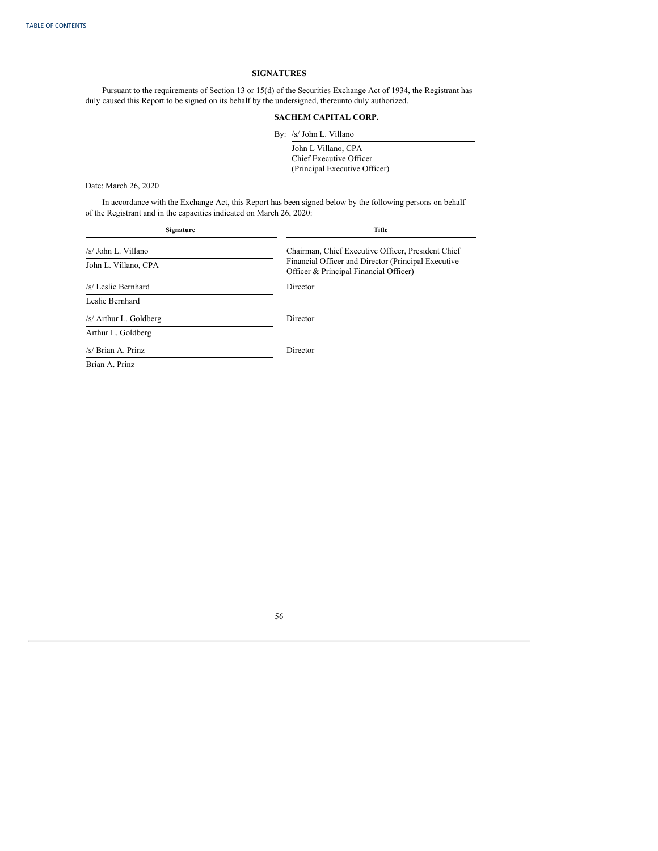### **SIGNATURES**

Pursuant to the requirements of Section 13 or 15(d) of the Securities Exchange Act of 1934, the Registrant has duly caused this Report to be signed on its behalf by the undersigned, thereunto duly authorized.

# **SACHEM CAPITAL CORP.**

By: /s/ John L. Villano

John L Villano, CPA Chief Executive Officer (Principal Executive Officer)

Date: March 26, 2020

In accordance with the Exchange Act, this Report has been signed below by the following persons on behalf of the Registrant and in the capacities indicated on March 26, 2020:

| Signature              | Title                                                                                         |
|------------------------|-----------------------------------------------------------------------------------------------|
| /s/ John L. Villano    | Chairman, Chief Executive Officer, President Chief                                            |
| John L. Villano, CPA   | Financial Officer and Director (Principal Executive<br>Officer & Principal Financial Officer) |
| /s/ Leslie Bernhard    | Director                                                                                      |
| Leslie Bernhard        |                                                                                               |
| /s/ Arthur L. Goldberg | Director                                                                                      |
| Arthur L. Goldberg     |                                                                                               |
| /s/ Brian A. Prinz     | Director                                                                                      |
| Brian A. Prinz         |                                                                                               |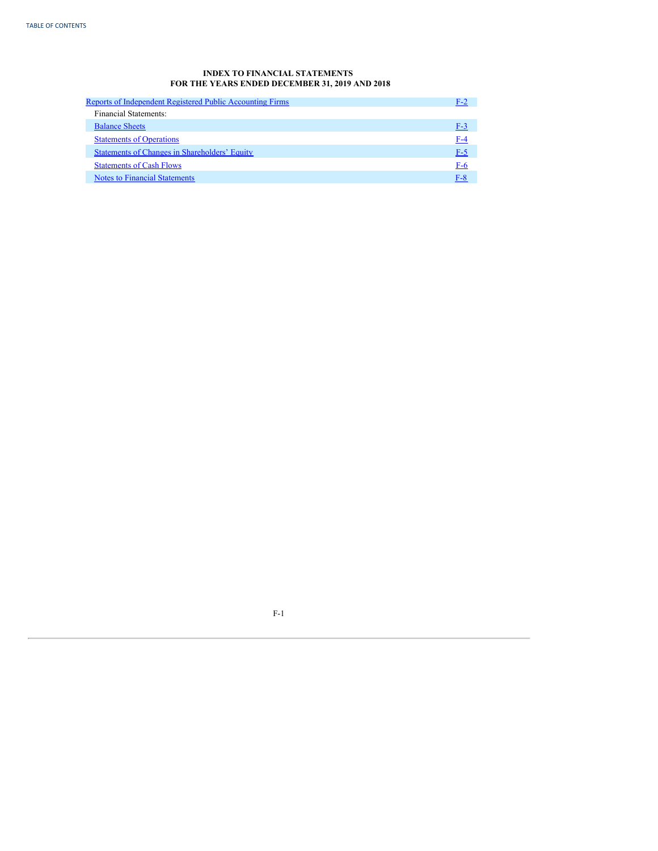# **INDEX TO FINANCIAL STATEMENTS FOR THE YEARS ENDED DECEMBER 31, 2019 AND 2018**

<span id="page-59-0"></span>

| Reports of Independent Registered Public Accounting Firms | F-2   |
|-----------------------------------------------------------|-------|
| Financial Statements:                                     |       |
| <b>Balance Sheets</b>                                     | $F-3$ |
| <b>Statements of Operations</b>                           | F-4   |
| Statements of Changes in Shareholders' Equity             | $F-5$ |
| <b>Statements of Cash Flows</b>                           | F-6   |
| <b>Notes to Financial Statements</b>                      | $F-8$ |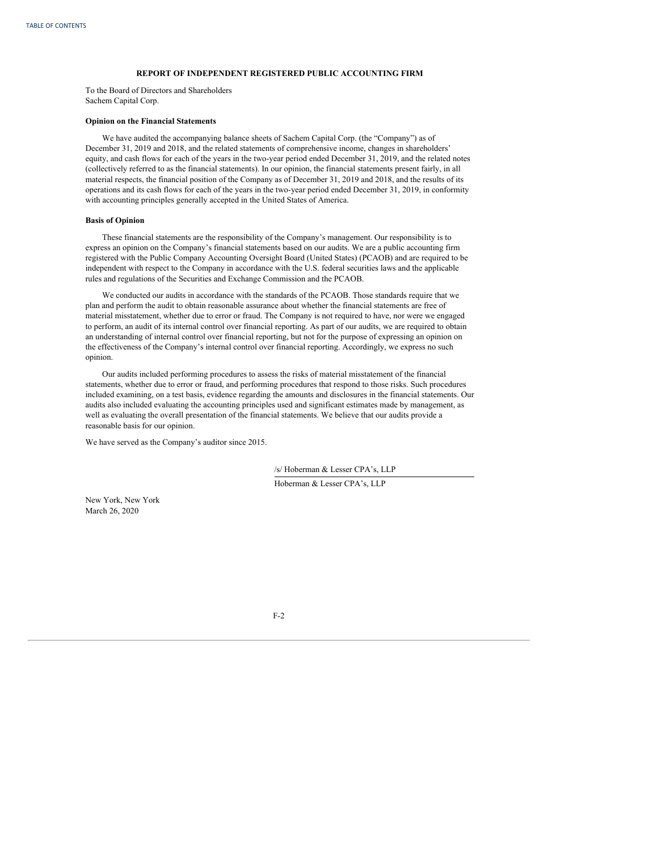# **REPORT OF INDEPENDENT REGISTERED PUBLIC ACCOUNTING FIRM**

<span id="page-60-0"></span>To the Board of Directors and Shareholders Sachem Capital Corp.

### **Opinion on the Financial Statements**

We have audited the accompanying balance sheets of Sachem Capital Corp. (the "Company") as of December 31, 2019 and 2018, and the related statements of comprehensive income, changes in shareholders' equity, and cash flows for each of the years in the two-year period ended December 31, 2019, and the related notes (collectively referred to as the financial statements). In our opinion, the financial statements present fairly, in all material respects, the financial position of the Company as of December 31, 2019 and 2018, and the results of its operations and its cash flows for each of the years in the two-year period ended December 31, 2019, in conformity with accounting principles generally accepted in the United States of America.

### **Basis of Opinion**

These financial statements are the responsibility of the Company's management. Our responsibility is to express an opinion on the Company's financial statements based on our audits. We are a public accounting firm registered with the Public Company Accounting Oversight Board (United States) (PCAOB) and are required to be independent with respect to the Company in accordance with the U.S. federal securities laws and the applicable rules and regulations of the Securities and Exchange Commission and the PCAOB.

We conducted our audits in accordance with the standards of the PCAOB. Those standards require that we plan and perform the audit to obtain reasonable assurance about whether the financial statements are free of material misstatement, whether due to error or fraud. The Company is not required to have, nor were we engaged to perform, an audit of its internal control over financial reporting. As part of our audits, we are required to obtain an understanding of internal control over financial reporting, but not for the purpose of expressing an opinion on the effectiveness of the Company's internal control over financial reporting. Accordingly, we express no such opinion.

Our audits included performing procedures to assess the risks of material misstatement of the financial statements, whether due to error or fraud, and performing procedures that respond to those risks. Such procedures included examining, on a test basis, evidence regarding the amounts and disclosures in the financial statements. Our audits also included evaluating the accounting principles used and significant estimates made by management, as well as evaluating the overall presentation of the financial statements. We believe that our audits provide a reasonable basis for our opinion.

We have served as the Company's auditor since 2015.

/s/ Hoberman & Lesser CPA's, LLP

Hoberman & Lesser CPA's, LLP

New York, New York March 26, 2020

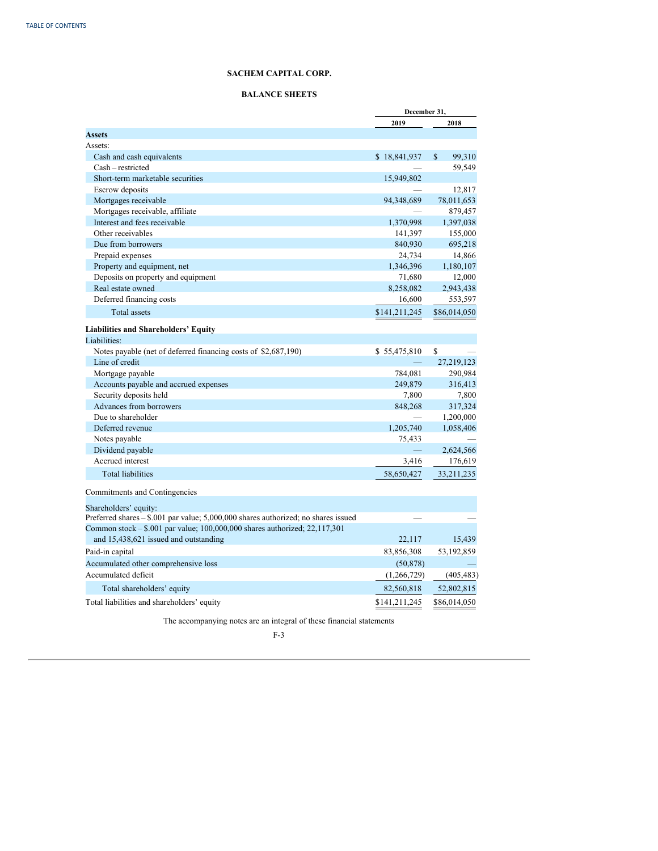# **BALANCE SHEETS**

<span id="page-61-0"></span>

|                                                                                    | December 31,  |              |
|------------------------------------------------------------------------------------|---------------|--------------|
|                                                                                    | 2019          | 2018         |
| <b>Assets</b>                                                                      |               |              |
| Assets:                                                                            |               |              |
| Cash and cash equivalents                                                          | \$18,841,937  | S<br>99,310  |
| Cash - restricted                                                                  |               | 59,549       |
| Short-term marketable securities                                                   | 15,949,802    |              |
| Escrow deposits                                                                    |               | 12,817       |
| Mortgages receivable                                                               | 94,348,689    | 78,011,653   |
| Mortgages receivable, affiliate                                                    |               | 879,457      |
| Interest and fees receivable                                                       | 1,370,998     | 1,397,038    |
| Other receivables                                                                  | 141,397       | 155,000      |
| Due from borrowers                                                                 | 840,930       | 695,218      |
| Prepaid expenses                                                                   | 24,734        | 14,866       |
| Property and equipment, net                                                        | 1,346,396     | 1,180,107    |
| Deposits on property and equipment                                                 | 71,680        | 12,000       |
| Real estate owned                                                                  | 8,258,082     | 2,943,438    |
| Deferred financing costs                                                           | 16,600        | 553,597      |
| <b>Total assets</b>                                                                | \$141,211,245 | \$86,014,050 |
| Liabilities and Shareholders' Equity                                               |               |              |
| Liabilities:                                                                       |               |              |
| Notes payable (net of deferred financing costs of \$2,687,190)                     | \$55,475,810  | \$           |
| Line of credit                                                                     |               | 27,219,123   |
| Mortgage payable                                                                   | 784,081       | 290,984      |
| Accounts payable and accrued expenses                                              | 249,879       | 316,413      |
| Security deposits held                                                             | 7,800         | 7,800        |
| <b>Advances from borrowers</b>                                                     | 848,268       | 317,324      |
| Due to shareholder                                                                 |               | 1,200,000    |
| Deferred revenue                                                                   | 1,205,740     | 1,058,406    |
| Notes payable                                                                      | 75,433        |              |
| Dividend payable                                                                   |               | 2,624,566    |
| Accrued interest                                                                   | 3,416         | 176,619      |
| <b>Total liabilities</b>                                                           | 58,650,427    | 33,211,235   |
| Commitments and Contingencies                                                      |               |              |
| Shareholders' equity:                                                              |               |              |
| Preferred shares - \$.001 par value; 5,000,000 shares authorized; no shares issued |               |              |
| Common stock - \$.001 par value; 100,000,000 shares authorized; 22,117,301         |               |              |
| and 15,438,621 issued and outstanding                                              | 22,117        | 15,439       |
| Paid-in capital                                                                    | 83,856,308    | 53,192,859   |
| Accumulated other comprehensive loss                                               | (50, 878)     |              |
| Accumulated deficit                                                                | (1,266,729)   | (405, 483)   |
| Total shareholders' equity                                                         | 82,560,818    | 52,802,815   |
| Total liabilities and shareholders' equity                                         | \$141,211,245 | \$86,014,050 |
|                                                                                    |               |              |

The accompanying notes are an integral of these financial statements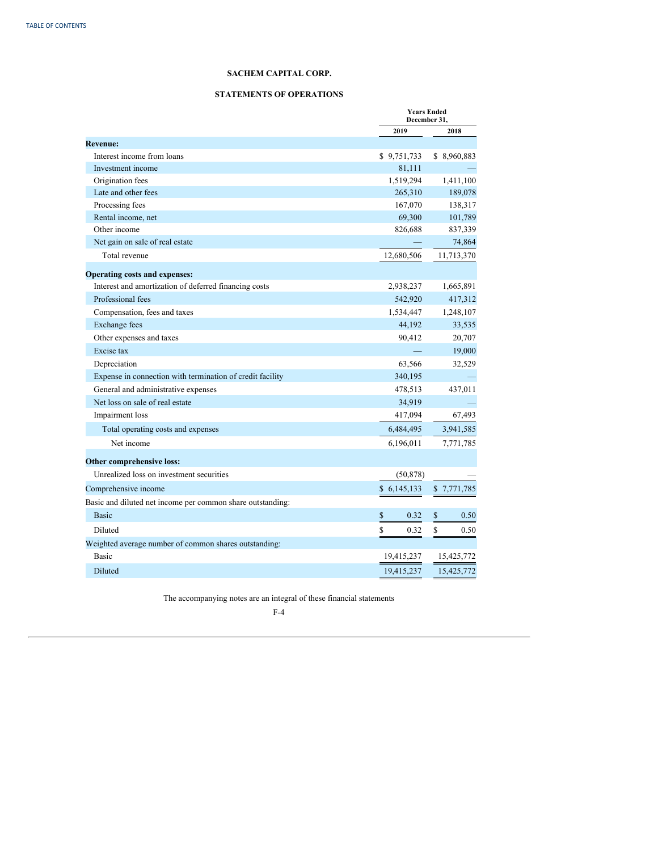# **STATEMENTS OF OPERATIONS**

<span id="page-62-0"></span>

|                                                            | <b>Years Ended</b><br>December 31, |              |
|------------------------------------------------------------|------------------------------------|--------------|
|                                                            | 2019                               | 2018         |
| <b>Revenue:</b>                                            |                                    |              |
| Interest income from loans                                 | \$9,751,733                        | \$ 8,960,883 |
| Investment income                                          | 81,111                             |              |
| Origination fees                                           | 1,519,294                          | 1,411,100    |
| Late and other fees                                        | 265,310                            | 189,078      |
| Processing fees                                            | 167,070                            | 138,317      |
| Rental income, net                                         | 69,300                             | 101,789      |
| Other income                                               | 826,688                            | 837,339      |
| Net gain on sale of real estate                            |                                    | 74,864       |
| Total revenue                                              | 12,680,506                         | 11,713,370   |
| <b>Operating costs and expenses:</b>                       |                                    |              |
| Interest and amortization of deferred financing costs      | 2,938,237                          | 1,665,891    |
| Professional fees                                          | 542,920                            | 417,312      |
| Compensation, fees and taxes                               | 1,534,447                          | 1,248,107    |
| <b>Exchange fees</b>                                       | 44,192                             | 33,535       |
| Other expenses and taxes                                   | 90,412                             | 20,707       |
| Excise tax                                                 |                                    | 19,000       |
| Depreciation                                               | 63,566                             | 32,529       |
| Expense in connection with termination of credit facility  | 340,195                            |              |
| General and administrative expenses                        | 478,513                            | 437,011      |
| Net loss on sale of real estate                            | 34,919                             |              |
| Impairment loss                                            | 417,094                            | 67,493       |
| Total operating costs and expenses                         | 6,484,495                          | 3,941,585    |
| Net income                                                 | 6,196,011                          | 7,771,785    |
| Other comprehensive loss:                                  |                                    |              |
| Unrealized loss on investment securities                   | (50, 878)                          |              |
| Comprehensive income                                       | \$6,145,133                        | \$7,771,785  |
| Basic and diluted net income per common share outstanding: |                                    |              |
| <b>Basic</b>                                               | \$<br>0.32                         | \$<br>0.50   |
|                                                            |                                    |              |
| Diluted                                                    | \$<br>0.32                         | \$<br>0.50   |
| Weighted average number of common shares outstanding:      |                                    |              |
| <b>Basic</b>                                               | 19,415,237                         | 15,425,772   |
| Diluted                                                    | 19,415,237                         | 15,425,772   |

The accompanying notes are an integral of these financial statements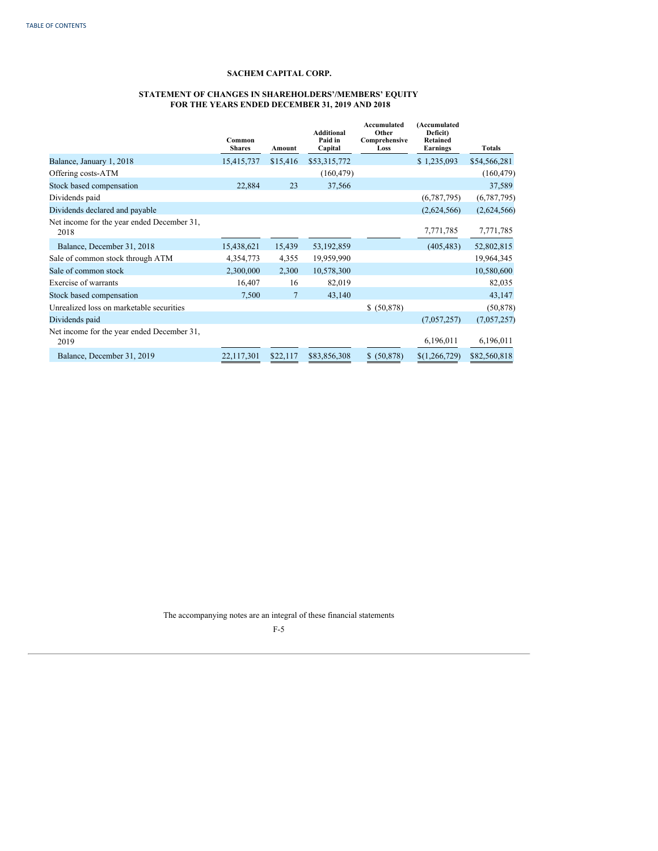### <span id="page-63-0"></span>**STATEMENT OF CHANGES IN SHAREHOLDERS'/MEMBERS' EQUITY FOR THE YEARS ENDED DECEMBER 31, 2019 AND 2018**

|                                                    | Common<br><b>Shares</b> | Amount   | <b>Additional</b><br>Paid in<br>Capital | Accumulated<br>Other<br>Comprehensive<br>Loss | (Accumulated<br>Deficit)<br>Retained<br>Earnings | <b>Totals</b> |
|----------------------------------------------------|-------------------------|----------|-----------------------------------------|-----------------------------------------------|--------------------------------------------------|---------------|
| Balance, January 1, 2018                           | 15,415,737              | \$15,416 | \$53,315,772                            |                                               | \$1,235,093                                      | \$54,566,281  |
| Offering costs-ATM                                 |                         |          | (160, 479)                              |                                               |                                                  | (160, 479)    |
| Stock based compensation                           | 22,884                  | 23       | 37,566                                  |                                               |                                                  | 37,589        |
| Dividends paid                                     |                         |          |                                         |                                               | (6,787,795)                                      | (6,787,795)   |
| Dividends declared and payable                     |                         |          |                                         |                                               | (2,624,566)                                      | (2,624,566)   |
| Net income for the year ended December 31,<br>2018 |                         |          |                                         |                                               | 7,771,785                                        | 7,771,785     |
| Balance, December 31, 2018                         | 15,438,621              | 15,439   | 53, 192, 859                            |                                               | (405, 483)                                       | 52,802,815    |
| Sale of common stock through ATM                   | 4,354,773               | 4,355    | 19,959,990                              |                                               |                                                  | 19,964,345    |
| Sale of common stock                               | 2,300,000               | 2,300    | 10,578,300                              |                                               |                                                  | 10,580,600    |
| Exercise of warrants                               | 16,407                  | 16       | 82,019                                  |                                               |                                                  | 82,035        |
| Stock based compensation                           | 7,500                   | 7        | 43,140                                  |                                               |                                                  | 43,147        |
| Unrealized loss on marketable securities           |                         |          |                                         | \$ (50,878)                                   |                                                  | (50, 878)     |
| Dividends paid                                     |                         |          |                                         |                                               | (7,057,257)                                      | (7,057,257)   |
| Net income for the year ended December 31,<br>2019 |                         |          |                                         |                                               | 6,196,011                                        | 6,196,011     |
| Balance, December 31, 2019                         | 22,117,301              | \$22,117 | \$83,856,308                            | (50, 878)<br>S.                               | \$(1,266,729)                                    | \$82,560,818  |

The accompanying notes are an integral of these financial statements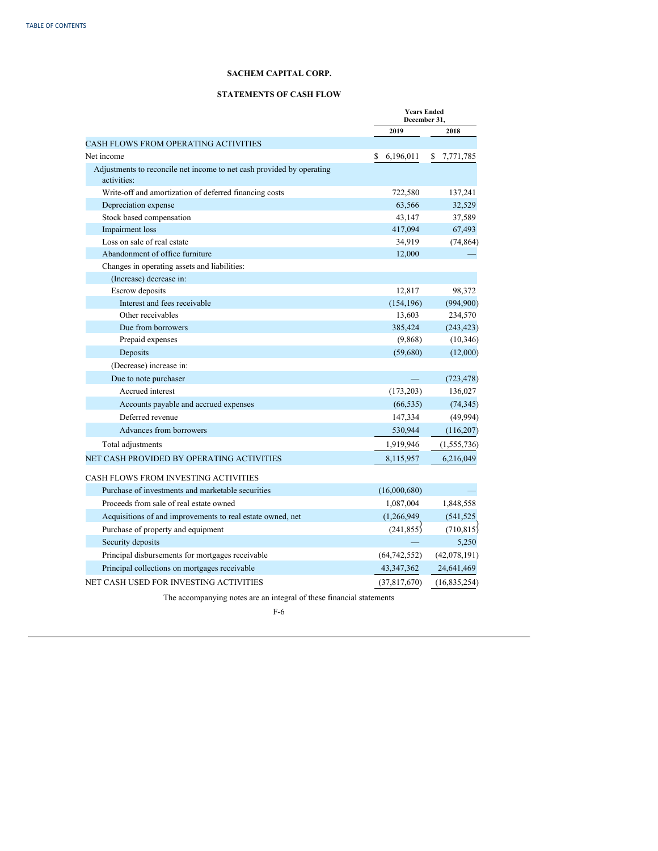# **STATEMENTS OF CASH FLOW**

<span id="page-64-0"></span>

|                                                                                      | <b>Years Ended</b><br>December 31. |                |   |                |
|--------------------------------------------------------------------------------------|------------------------------------|----------------|---|----------------|
|                                                                                      |                                    | 2019           |   | 2018           |
| <b>CASH FLOWS FROM OPERATING ACTIVITIES</b>                                          |                                    |                |   |                |
| Net income                                                                           | S                                  | 6,196,011      | S | 7,771,785      |
| Adjustments to reconcile net income to net cash provided by operating<br>activities: |                                    |                |   |                |
| Write-off and amortization of deferred financing costs                               |                                    | 722,580        |   | 137,241        |
| Depreciation expense                                                                 |                                    | 63,566         |   | 32,529         |
| Stock based compensation                                                             |                                    | 43,147         |   | 37,589         |
| Impairment loss                                                                      |                                    | 417,094        |   | 67,493         |
| Loss on sale of real estate                                                          |                                    | 34,919         |   | (74, 864)      |
| Abandonment of office furniture                                                      |                                    | 12,000         |   |                |
| Changes in operating assets and liabilities:                                         |                                    |                |   |                |
| (Increase) decrease in:                                                              |                                    |                |   |                |
| Escrow deposits                                                                      |                                    | 12,817         |   | 98,372         |
| Interest and fees receivable                                                         |                                    | (154, 196)     |   | (994,900)      |
| Other receivables                                                                    |                                    | 13,603         |   | 234,570        |
| Due from borrowers                                                                   |                                    | 385,424        |   | (243, 423)     |
| Prepaid expenses                                                                     |                                    | (9,868)        |   | (10, 346)      |
| Deposits                                                                             |                                    | (59,680)       |   | (12,000)       |
| (Decrease) increase in:                                                              |                                    |                |   |                |
| Due to note purchaser                                                                |                                    |                |   | (723, 478)     |
| Accrued interest                                                                     |                                    | (173,203)      |   | 136,027        |
| Accounts payable and accrued expenses                                                |                                    | (66, 535)      |   | (74, 345)      |
| Deferred revenue                                                                     |                                    | 147,334        |   | (49, 994)      |
| Advances from borrowers                                                              |                                    | 530,944        |   | (116,207)      |
| Total adjustments                                                                    |                                    | 1,919,946      |   | (1, 555, 736)  |
| NET CASH PROVIDED BY OPERATING ACTIVITIES                                            |                                    | 8,115,957      |   | 6,216,049      |
| CASH FLOWS FROM INVESTING ACTIVITIES                                                 |                                    |                |   |                |
| Purchase of investments and marketable securities                                    |                                    | (16,000,680)   |   |                |
| Proceeds from sale of real estate owned                                              |                                    | 1,087,004      |   | 1,848,558      |
| Acquisitions of and improvements to real estate owned, net                           |                                    | (1, 266, 949)  |   | (541, 525)     |
| Purchase of property and equipment                                                   |                                    | (241, 855)     |   | (710, 815)     |
| Security deposits                                                                    |                                    |                |   | 5.250          |
| Principal disbursements for mortgages receivable                                     |                                    | (64, 742, 552) |   | (42,078,191)   |
| Principal collections on mortgages receivable                                        |                                    | 43, 347, 362   |   | 24,641,469     |
| NET CASH USED FOR INVESTING ACTIVITIES                                               |                                    | (37,817,670)   |   | (16, 835, 254) |
|                                                                                      |                                    |                |   |                |
| The accompanying notes are an integral of these financial statements                 |                                    |                |   |                |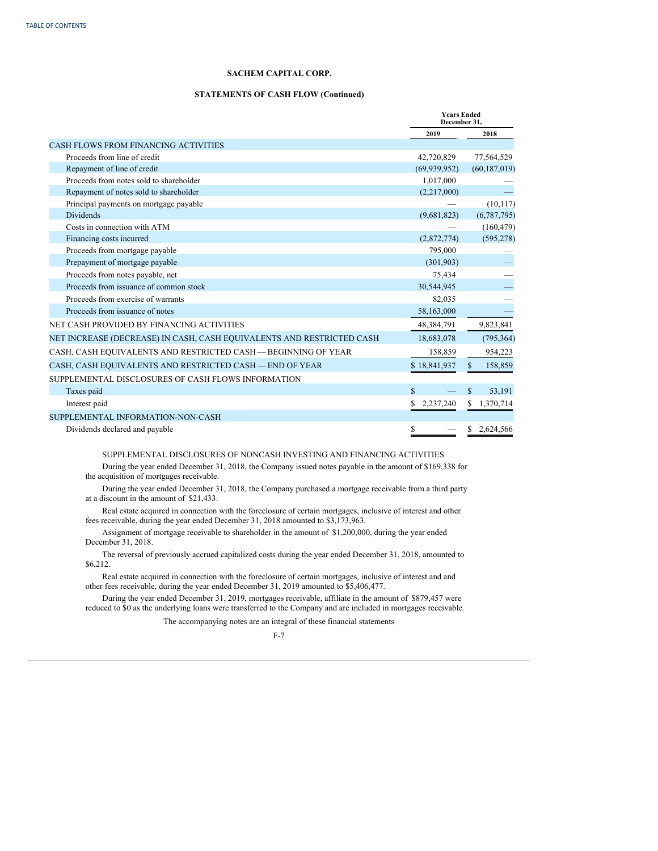# **STATEMENTS OF CASH FLOW (Continued)**

|                                                                       | <b>Years Ended</b><br>December 31. |                         |
|-----------------------------------------------------------------------|------------------------------------|-------------------------|
|                                                                       | 2019                               | 2018                    |
| <b>CASH FLOWS FROM FINANCING ACTIVITIES</b>                           |                                    |                         |
| Proceeds from line of credit                                          | 42,720,829                         | 77,564,529              |
| Repayment of line of credit                                           | (69, 939, 952)                     | (60, 187, 019)          |
| Proceeds from notes sold to shareholder                               | 1,017,000                          |                         |
| Repayment of notes sold to shareholder                                | (2,217,000)                        |                         |
| Principal payments on mortgage payable                                |                                    | (10, 117)               |
| <b>Dividends</b>                                                      | (9,681,823)                        | (6,787,795)             |
| Costs in connection with ATM                                          |                                    | (160, 479)              |
| Financing costs incurred                                              | (2,872,774)                        | (595, 278)              |
| Proceeds from mortgage payable                                        | 795,000                            |                         |
| Prepayment of mortgage payable                                        | (301, 903)                         |                         |
| Proceeds from notes payable, net                                      | 75,434                             |                         |
| Proceeds from issuance of common stock                                | 30,544,945                         |                         |
| Proceeds from exercise of warrants                                    | 82,035                             |                         |
| Proceeds from issuance of notes                                       | 58,163,000                         |                         |
| NET CASH PROVIDED BY FINANCING ACTIVITIES                             | 48,384,791                         | 9,823,841               |
| NET INCREASE (DECREASE) IN CASH, CASH EQUIVALENTS AND RESTRICTED CASH | 18,683,078                         | (795, 364)              |
| CASH, CASH EQUIVALENTS AND RESTRICTED CASH — BEGINNING OF YEAR        | 158,859                            | 954,223                 |
| CASH, CASH EQUIVALENTS AND RESTRICTED CASH - END OF YEAR              | \$18,841,937                       | 158,859<br>$\mathbf{s}$ |
| SUPPLEMENTAL DISCLOSURES OF CASH FLOWS INFORMATION                    |                                    |                         |
| Taxes paid                                                            | $\mathbf S$                        | \$<br>53,191            |
| Interest paid                                                         | 2,237,240<br>S                     | 1,370,714<br>S.         |
| SUPPLEMENTAL INFORMATION-NON-CASH                                     |                                    |                         |
| Dividends declared and payable                                        | \$                                 | S.<br>2.624.566         |

SUPPLEMENTAL DISCLOSURES OF NONCASH INVESTING AND FINANCING ACTIVITIES

During the year ended December 31, 2018, the Company issued notes payable in the amount of \$169,338 for the acquisition of mortgages receivable.

During the year ended December 31, 2018, the Company purchased a mortgage receivable from a third party at a discount in the amount of \$21,433.

Real estate acquired in connection with the foreclosure of certain mortgages, inclusive of interest and other fees receivable, during the year ended December 31, 2018 amounted to \$3,173,963.

Assignment of mortgage receivable to shareholder in the amount of \$1,200,000, during the year ended December 31, 2018.

The reversal of previously accrued capitalized costs during the year ended December 31, 2018, amounted to \$6,212.

Real estate acquired in connection with the foreclosure of certain mortgages, inclusive of interest and and other fees receivable, during the year ended December 31, 2019 amounted to \$5,406,477.

During the year ended December 31, 2019, mortgages receivable, affiliate in the amount of \$879,457 were reduced to \$0 as the underlying loans were transferred to the Company and are included in mortgages receivable.

The accompanying notes are an integral of these financial statements

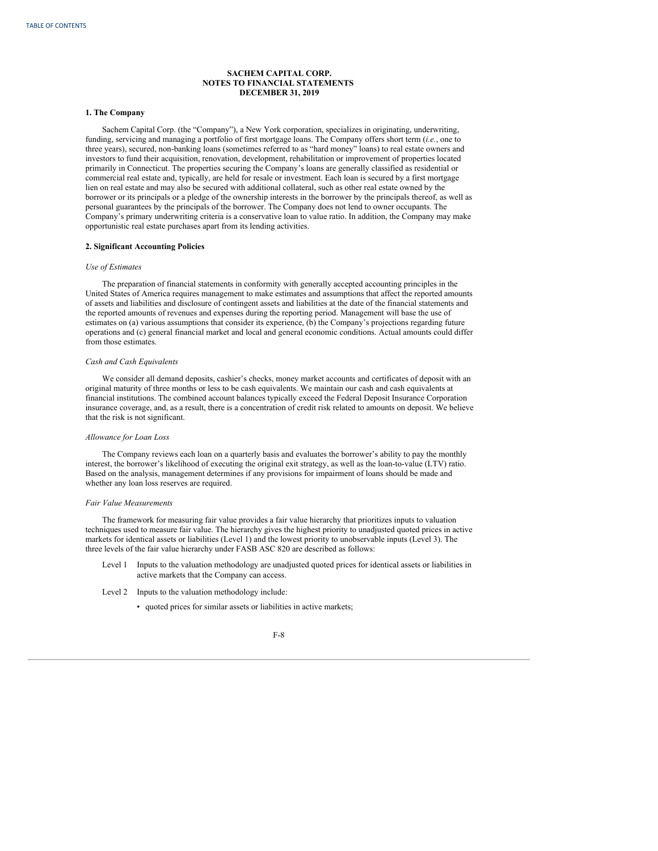# <span id="page-66-0"></span>**1. The Company**

Sachem Capital Corp. (the "Company"), a New York corporation, specializes in originating, underwriting, funding, servicing and managing a portfolio of first mortgage loans. The Company offers short term (*i.e.*, one to three years), secured, non-banking loans (sometimes referred to as "hard money" loans) to real estate owners and investors to fund their acquisition, renovation, development, rehabilitation or improvement of properties located primarily in Connecticut. The properties securing the Company's loans are generally classified as residential or commercial real estate and, typically, are held for resale or investment. Each loan is secured by a first mortgage lien on real estate and may also be secured with additional collateral, such as other real estate owned by the borrower or its principals or a pledge of the ownership interests in the borrower by the principals thereof, as well as personal guarantees by the principals of the borrower. The Company does not lend to owner occupants. The Company's primary underwriting criteria is a conservative loan to value ratio. In addition, the Company may make opportunistic real estate purchases apart from its lending activities.

# **2. Significant Accounting Policies**

## *Use of Estimates*

The preparation of financial statements in conformity with generally accepted accounting principles in the United States of America requires management to make estimates and assumptions that affect the reported amounts of assets and liabilities and disclosure of contingent assets and liabilities at the date of the financial statements and the reported amounts of revenues and expenses during the reporting period. Management will base the use of estimates on (a) various assumptions that consider its experience, (b) the Company's projections regarding future operations and (c) general financial market and local and general economic conditions. Actual amounts could differ from those estimates.

### *Cash and Cash Equivalents*

We consider all demand deposits, cashier's checks, money market accounts and certificates of deposit with an original maturity of three months or less to be cash equivalents. We maintain our cash and cash equivalents at financial institutions. The combined account balances typically exceed the Federal Deposit Insurance Corporation insurance coverage, and, as a result, there is a concentration of credit risk related to amounts on deposit. We believe that the risk is not significant.

# *Allowance for Loan Loss*

The Company reviews each loan on a quarterly basis and evaluates the borrower's ability to pay the monthly interest, the borrower's likelihood of executing the original exit strategy, as well as the loan-to-value (LTV) ratio. Based on the analysis, management determines if any provisions for impairment of loans should be made and whether any loan loss reserves are required.

#### *Fair Value Measurements*

The framework for measuring fair value provides a fair value hierarchy that prioritizes inputs to valuation techniques used to measure fair value. The hierarchy gives the highest priority to unadjusted quoted prices in active markets for identical assets or liabilities (Level 1) and the lowest priority to unobservable inputs (Level 3). The three levels of the fair value hierarchy under FASB ASC 820 are described as follows:

- Level 1 Inputs to the valuation methodology are unadjusted quoted prices for identical assets or liabilities in active markets that the Company can access.
- Level 2 Inputs to the valuation methodology include:
	- quoted prices for similar assets or liabilities in active markets;

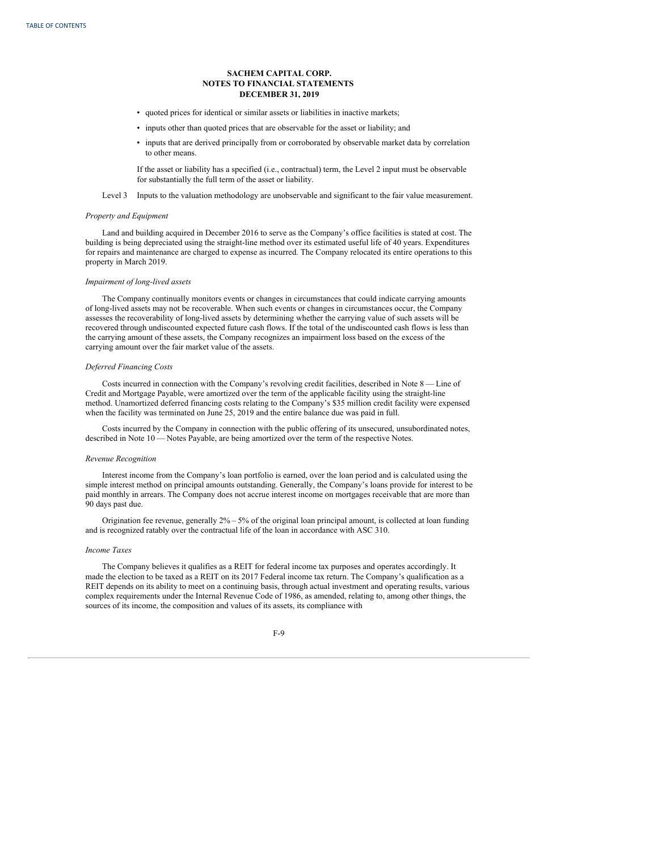- quoted prices for identical or similar assets or liabilities in inactive markets;
- inputs other than quoted prices that are observable for the asset or liability; and
- inputs that are derived principally from or corroborated by observable market data by correlation to other means.

If the asset or liability has a specified (i.e., contractual) term, the Level 2 input must be observable for substantially the full term of the asset or liability.

Level 3 Inputs to the valuation methodology are unobservable and significant to the fair value measurement.

### *Property and Equipment*

Land and building acquired in December 2016 to serve as the Company's office facilities is stated at cost. The building is being depreciated using the straight-line method over its estimated useful life of 40 years. Expenditures for repairs and maintenance are charged to expense as incurred. The Company relocated its entire operations to this property in March 2019.

# *Impairment of long-lived assets*

The Company continually monitors events or changes in circumstances that could indicate carrying amounts of long-lived assets may not be recoverable. When such events or changes in circumstances occur, the Company assesses the recoverability of long-lived assets by determining whether the carrying value of such assets will be recovered through undiscounted expected future cash flows. If the total of the undiscounted cash flows is less than the carrying amount of these assets, the Company recognizes an impairment loss based on the excess of the carrying amount over the fair market value of the assets.

### *Deferred Financing Costs*

Costs incurred in connection with the Company's revolving credit facilities, described in Note 8 — Line of Credit and Mortgage Payable, were amortized over the term of the applicable facility using the straight-line method. Unamortized deferred financing costs relating to the Company's \$35 million credit facility were expensed when the facility was terminated on June 25, 2019 and the entire balance due was paid in full.

Costs incurred by the Company in connection with the public offering of its unsecured, unsubordinated notes, described in Note 10 — Notes Payable, are being amortized over the term of the respective Notes.

### *Revenue Recognition*

Interest income from the Company's loan portfolio is earned, over the loan period and is calculated using the simple interest method on principal amounts outstanding. Generally, the Company's loans provide for interest to be paid monthly in arrears. The Company does not accrue interest income on mortgages receivable that are more than 90 days past due.

Origination fee revenue, generally 2% – 5% of the original loan principal amount, is collected at loan funding and is recognized ratably over the contractual life of the loan in accordance with ASC 310.

# *Income Taxes*

The Company believes it qualifies as a REIT for federal income tax purposes and operates accordingly. It made the election to be taxed as a REIT on its 2017 Federal income tax return. The Company's qualification as a REIT depends on its ability to meet on a continuing basis, through actual investment and operating results, various complex requirements under the Internal Revenue Code of 1986, as amended, relating to, among other things, the sources of its income, the composition and values of its assets, its compliance with

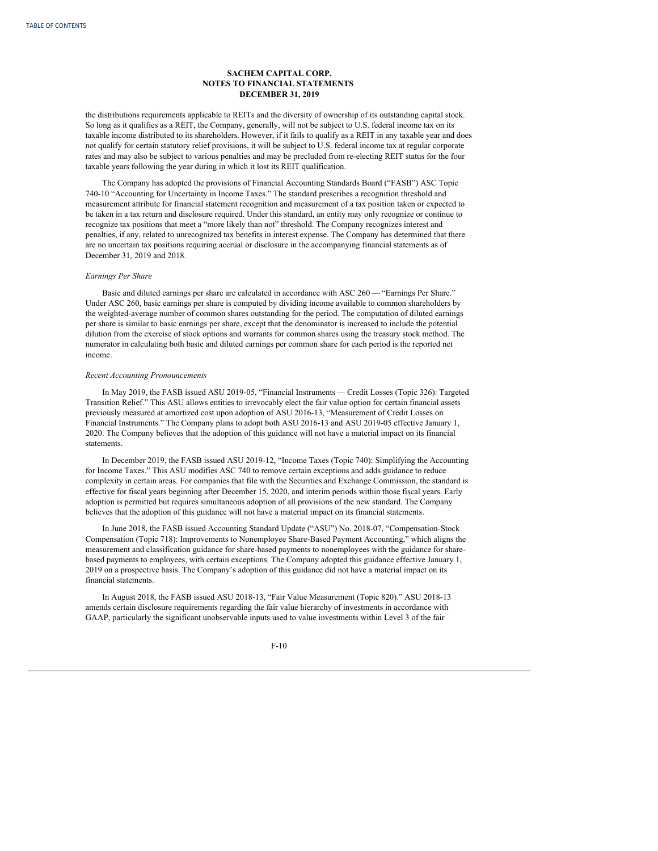the distributions requirements applicable to REITs and the diversity of ownership of its outstanding capital stock. So long as it qualifies as a REIT, the Company, generally, will not be subject to U.S. federal income tax on its taxable income distributed to its shareholders. However, if it fails to qualify as a REIT in any taxable year and does not qualify for certain statutory relief provisions, it will be subject to U.S. federal income tax at regular corporate rates and may also be subject to various penalties and may be precluded from re-electing REIT status for the four taxable years following the year during in which it lost its REIT qualification.

The Company has adopted the provisions of Financial Accounting Standards Board ("FASB") ASC Topic 740-10 "Accounting for Uncertainty in Income Taxes." The standard prescribes a recognition threshold and measurement attribute for financial statement recognition and measurement of a tax position taken or expected to be taken in a tax return and disclosure required. Under this standard, an entity may only recognize or continue to recognize tax positions that meet a "more likely than not" threshold. The Company recognizes interest and penalties, if any, related to unrecognized tax benefits in interest expense. The Company has determined that there are no uncertain tax positions requiring accrual or disclosure in the accompanying financial statements as of December 31, 2019 and 2018.

### *Earnings Per Share*

Basic and diluted earnings per share are calculated in accordance with ASC 260 — "Earnings Per Share." Under ASC 260, basic earnings per share is computed by dividing income available to common shareholders by the weighted-average number of common shares outstanding for the period. The computation of diluted earnings per share is similar to basic earnings per share, except that the denominator is increased to include the potential dilution from the exercise of stock options and warrants for common shares using the treasury stock method. The numerator in calculating both basic and diluted earnings per common share for each period is the reported net income.

#### *Recent Accounting Pronouncements*

In May 2019, the FASB issued ASU 2019-05, "Financial Instruments — Credit Losses (Topic 326): Targeted Transition Relief." This ASU allows entities to irrevocably elect the fair value option for certain financial assets previously measured at amortized cost upon adoption of ASU 2016-13, "Measurement of Credit Losses on Financial Instruments." The Company plans to adopt both ASU 2016-13 and ASU 2019-05 effective January 1, 2020. The Company believes that the adoption of this guidance will not have a material impact on its financial statements.

In December 2019, the FASB issued ASU 2019-12, "Income Taxes (Topic 740): Simplifying the Accounting for Income Taxes." This ASU modifies ASC 740 to remove certain exceptions and adds guidance to reduce complexity in certain areas. For companies that file with the Securities and Exchange Commission, the standard is effective for fiscal years beginning after December 15, 2020, and interim periods within those fiscal years. Early adoption is permitted but requires simultaneous adoption of all provisions of the new standard. The Company believes that the adoption of this guidance will not have a material impact on its financial statements.

In June 2018, the FASB issued Accounting Standard Update ("ASU") No. 2018-07, "Compensation-Stock Compensation (Topic 718): Improvements to Nonemployee Share-Based Payment Accounting," which aligns the measurement and classification guidance for share-based payments to nonemployees with the guidance for sharebased payments to employees, with certain exceptions. The Company adopted this guidance effective January 1, 2019 on a prospective basis. The Company's adoption of this guidance did not have a material impact on its financial statements.

In August 2018, the FASB issued ASU 2018-13, "Fair Value Measurement (Topic 820)." ASU 2018-13 amends certain disclosure requirements regarding the fair value hierarchy of investments in accordance with GAAP, particularly the significant unobservable inputs used to value investments within Level 3 of the fair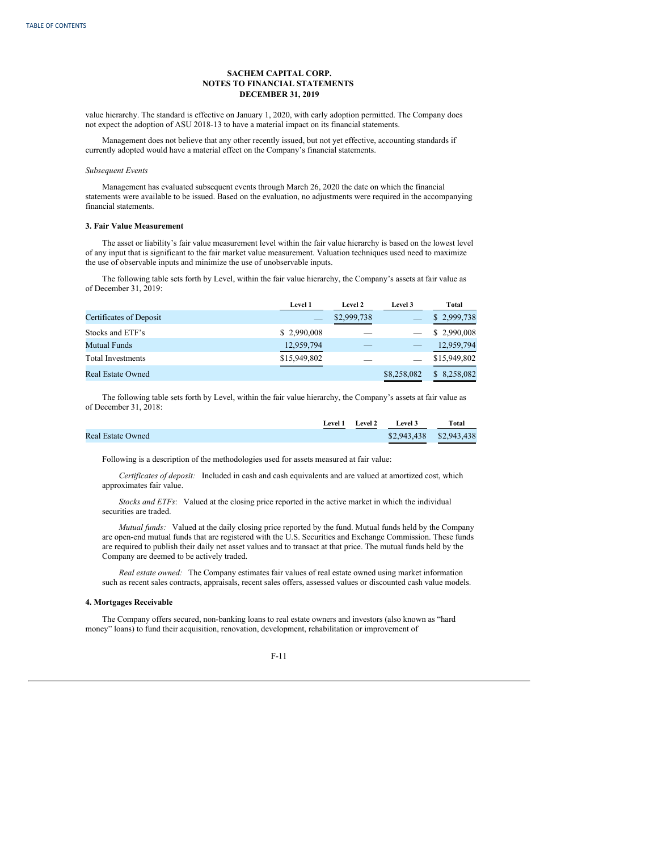value hierarchy. The standard is effective on January 1, 2020, with early adoption permitted. The Company does not expect the adoption of ASU 2018-13 to have a material impact on its financial statements.

Management does not believe that any other recently issued, but not yet effective, accounting standards if currently adopted would have a material effect on the Company's financial statements.

### *Subsequent Events*

Management has evaluated subsequent events through March 26, 2020 the date on which the financial statements were available to be issued. Based on the evaluation, no adjustments were required in the accompanying financial statements.

### **3. Fair Value Measurement**

The asset or liability's fair value measurement level within the fair value hierarchy is based on the lowest level of any input that is significant to the fair market value measurement. Valuation techniques used need to maximize the use of observable inputs and minimize the use of unobservable inputs.

The following table sets forth by Level, within the fair value hierarchy, the Company's assets at fair value as of December 31, 2019:

|                          | <b>Level 1</b> | Level 2     | <b>Level 3</b> | Total        |
|--------------------------|----------------|-------------|----------------|--------------|
| Certificates of Deposit  |                | \$2,999,738 |                | \$2,999,738  |
| Stocks and ETF's         | \$2,990,008    |             |                | \$2,990,008  |
| <b>Mutual Funds</b>      | 12,959,794     |             |                | 12,959,794   |
| <b>Total Investments</b> | \$15,949,802   |             |                | \$15,949,802 |
| <b>Real Estate Owned</b> |                |             | \$8,258,082    | \$8,258,082  |

The following table sets forth by Level, within the fair value hierarchy, the Company's assets at fair value as of December 31, 2018:

|                          | Level 1 | Level 2 | Level 3                 | Total |
|--------------------------|---------|---------|-------------------------|-------|
| <b>Real Estate Owned</b> |         |         | \$2,943,438 \$2,943,438 |       |

Following is a description of the methodologies used for assets measured at fair value:

*Certificates of deposit:* Included in cash and cash equivalents and are valued at amortized cost, which approximates fair value.

*Stocks and ETFs*: Valued at the closing price reported in the active market in which the individual securities are traded.

*Mutual funds:* Valued at the daily closing price reported by the fund. Mutual funds held by the Company are open-end mutual funds that are registered with the U.S. Securities and Exchange Commission. These funds are required to publish their daily net asset values and to transact at that price. The mutual funds held by the Company are deemed to be actively traded.

*Real estate owned:* The Company estimates fair values of real estate owned using market information such as recent sales contracts, appraisals, recent sales offers, assessed values or discounted cash value models.

### **4. Mortgages Receivable**

The Company offers secured, non-banking loans to real estate owners and investors (also known as "hard money" loans) to fund their acquisition, renovation, development, rehabilitation or improvement of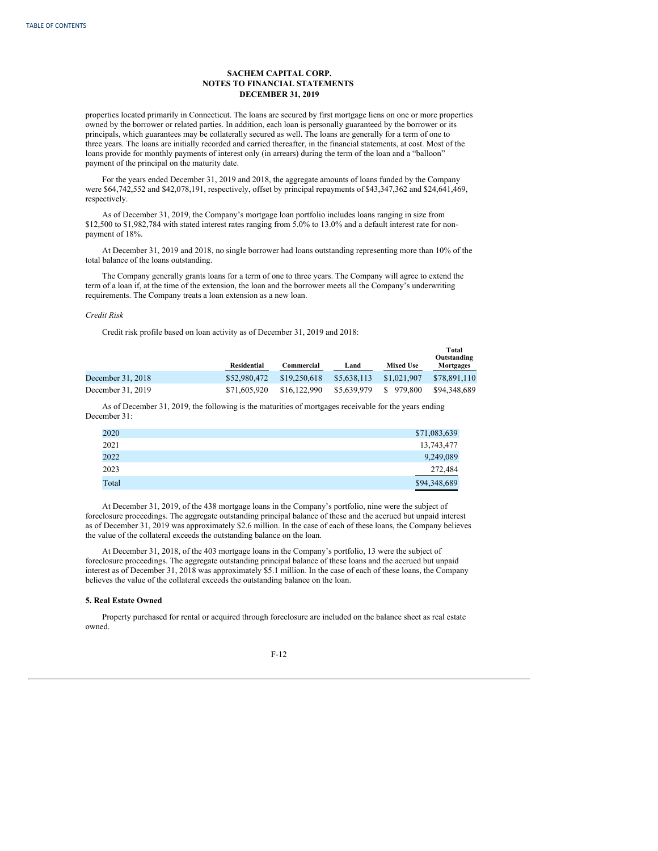properties located primarily in Connecticut. The loans are secured by first mortgage liens on one or more properties owned by the borrower or related parties. In addition, each loan is personally guaranteed by the borrower or its principals, which guarantees may be collaterally secured as well. The loans are generally for a term of one to three years. The loans are initially recorded and carried thereafter, in the financial statements, at cost. Most of the loans provide for monthly payments of interest only (in arrears) during the term of the loan and a "balloon" payment of the principal on the maturity date.

For the years ended December 31, 2019 and 2018, the aggregate amounts of loans funded by the Company were \$64,742,552 and \$42,078,191, respectively, offset by principal repayments of \$43,347,362 and \$24,641,469, respectively.

As of December 31, 2019, the Company's mortgage loan portfolio includes loans ranging in size from \$12,500 to \$1,982,784 with stated interest rates ranging from 5.0% to 13.0% and a default interest rate for nonpayment of 18%.

At December 31, 2019 and 2018, no single borrower had loans outstanding representing more than 10% of the total balance of the loans outstanding.

The Company generally grants loans for a term of one to three years. The Company will agree to extend the term of a loan if, at the time of the extension, the loan and the borrower meets all the Company's underwriting requirements. The Company treats a loan extension as a new loan.

### *Credit Risk*

Credit risk profile based on loan activity as of December 31, 2019 and 2018:

|                   | Residential  | Commercial   | Land        | <b>Mixed Use</b> | Total<br>Outstanding<br>Mortgages |
|-------------------|--------------|--------------|-------------|------------------|-----------------------------------|
| December 31, 2018 | \$52,980,472 | \$19,250,618 | \$5,638,113 | \$1,021,907      | \$78,891,110                      |
| December 31, 2019 | \$71,605,920 | \$16,122,990 | \$5,639,979 | \$979,800        | \$94.348.689                      |

As of December 31, 2019, the following is the maturities of mortgages receivable for the years ending December 31:

| 2020  | \$71,083,639 |
|-------|--------------|
| 2021  | 13,743,477   |
| 2022  | 9,249,089    |
| 2023  | 272,484      |
| Total | \$94,348,689 |

At December 31, 2019, of the 438 mortgage loans in the Company's portfolio, nine were the subject of foreclosure proceedings. The aggregate outstanding principal balance of these and the accrued but unpaid interest as of December 31, 2019 was approximately \$2.6 million. In the case of each of these loans, the Company believes the value of the collateral exceeds the outstanding balance on the loan.

At December 31, 2018, of the 403 mortgage loans in the Company's portfolio, 13 were the subject of foreclosure proceedings. The aggregate outstanding principal balance of these loans and the accrued but unpaid interest as of December 31, 2018 was approximately \$5.1 million. In the case of each of these loans, the Company believes the value of the collateral exceeds the outstanding balance on the loan.

### **5. Real Estate Owned**

Property purchased for rental or acquired through foreclosure are included on the balance sheet as real estate owned.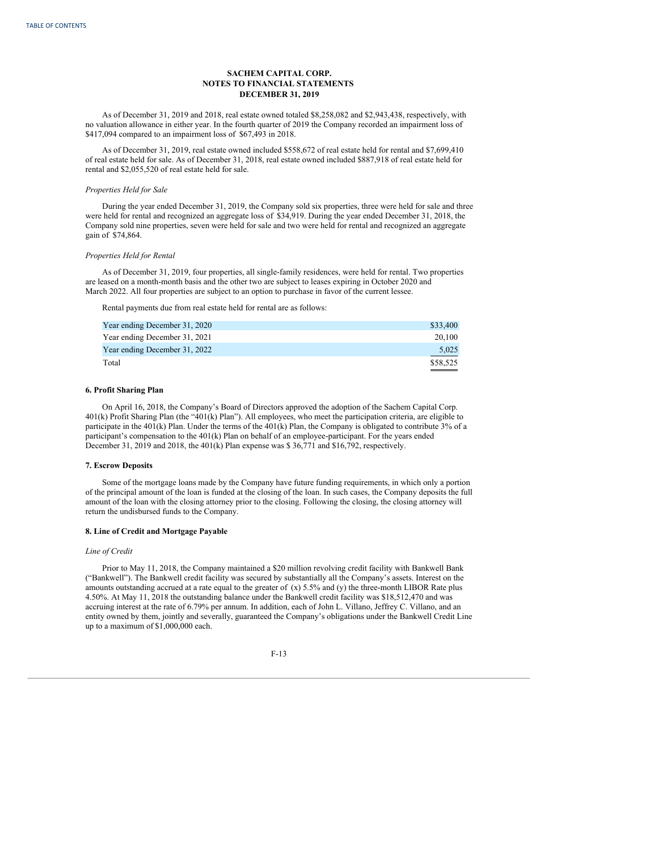As of December 31, 2019 and 2018, real estate owned totaled \$8,258,082 and \$2,943,438, respectively, with no valuation allowance in either year. In the fourth quarter of 2019 the Company recorded an impairment loss of \$417,094 compared to an impairment loss of \$67,493 in 2018.

As of December 31, 2019, real estate owned included \$558,672 of real estate held for rental and \$7,699,410 of real estate held for sale. As of December 31, 2018, real estate owned included \$887,918 of real estate held for rental and \$2,055,520 of real estate held for sale.

# *Properties Held for Sale*

During the year ended December 31, 2019, the Company sold six properties, three were held for sale and three were held for rental and recognized an aggregate loss of \$34,919. During the year ended December 31, 2018, the Company sold nine properties, seven were held for sale and two were held for rental and recognized an aggregate gain of \$74,864.

## *Properties Held for Rental*

As of December 31, 2019, four properties, all single-family residences, were held for rental. Two properties are leased on a month-month basis and the other two are subject to leases expiring in October 2020 and March 2022. All four properties are subject to an option to purchase in favor of the current lessee.

Rental payments due from real estate held for rental are as follows:

| Year ending December 31, 2020 | \$33,400 |
|-------------------------------|----------|
| Year ending December 31, 2021 | 20,100   |
| Year ending December 31, 2022 | 5.025    |
| Total                         | \$58,525 |

# **6. Profit Sharing Plan**

On April 16, 2018, the Company's Board of Directors approved the adoption of the Sachem Capital Corp. 401(k) Profit Sharing Plan (the "401(k) Plan"). All employees, who meet the participation criteria, are eligible to participate in the 401(k) Plan. Under the terms of the 401(k) Plan, the Company is obligated to contribute 3% of a participant's compensation to the 401(k) Plan on behalf of an employee-participant. For the years ended December 31, 2019 and 2018, the 401(k) Plan expense was \$ 36,771 and \$16,792, respectively.

# **7. Escrow Deposits**

Some of the mortgage loans made by the Company have future funding requirements, in which only a portion of the principal amount of the loan is funded at the closing of the loan. In such cases, the Company deposits the full amount of the loan with the closing attorney prior to the closing. Following the closing, the closing attorney will return the undisbursed funds to the Company.

# **8. Line of Credit and Mortgage Payable**

# *Line of Credit*

Prior to May 11, 2018, the Company maintained a \$20 million revolving credit facility with Bankwell Bank ("Bankwell"). The Bankwell credit facility was secured by substantially all the Company's assets. Interest on the amounts outstanding accrued at a rate equal to the greater of  $(x)$  5.5% and  $(y)$  the three-month LIBOR Rate plus 4.50%. At May 11, 2018 the outstanding balance under the Bankwell credit facility was \$18,512,470 and was accruing interest at the rate of 6.79% per annum. In addition, each of John L. Villano, Jeffrey C. Villano, and an entity owned by them, jointly and severally, guaranteed the Company's obligations under the Bankwell Credit Line up to a maximum of \$1,000,000 each.

$$
F-13
$$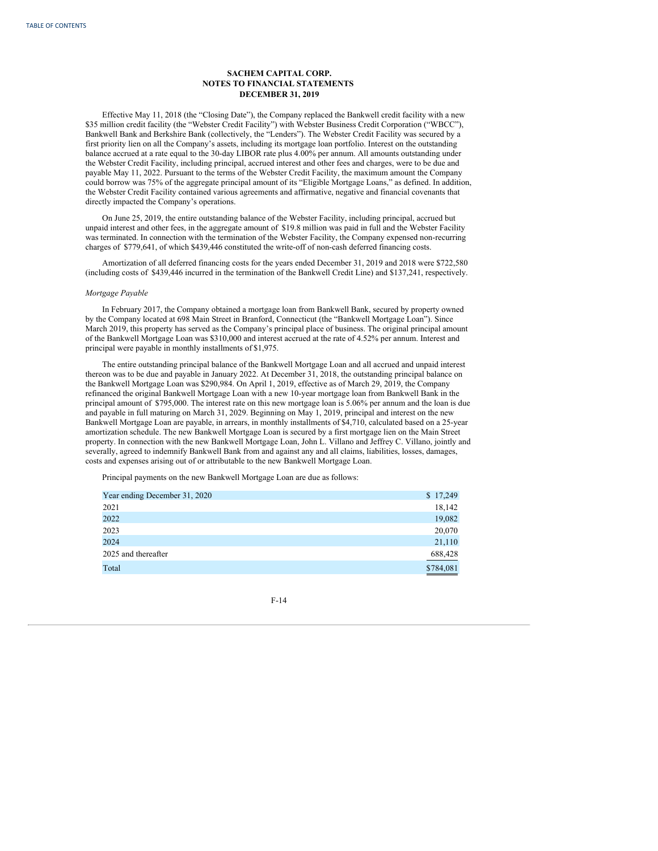Effective May 11, 2018 (the "Closing Date"), the Company replaced the Bankwell credit facility with a new \$35 million credit facility (the "Webster Credit Facility") with Webster Business Credit Corporation ("WBCC"), Bankwell Bank and Berkshire Bank (collectively, the "Lenders"). The Webster Credit Facility was secured by a first priority lien on all the Company's assets, including its mortgage loan portfolio. Interest on the outstanding balance accrued at a rate equal to the 30-day LIBOR rate plus 4.00% per annum. All amounts outstanding under the Webster Credit Facility, including principal, accrued interest and other fees and charges, were to be due and payable May 11, 2022. Pursuant to the terms of the Webster Credit Facility, the maximum amount the Company could borrow was 75% of the aggregate principal amount of its "Eligible Mortgage Loans," as defined. In addition, the Webster Credit Facility contained various agreements and affirmative, negative and financial covenants that directly impacted the Company's operations.

On June 25, 2019, the entire outstanding balance of the Webster Facility, including principal, accrued but unpaid interest and other fees, in the aggregate amount of \$19.8 million was paid in full and the Webster Facility was terminated. In connection with the termination of the Webster Facility, the Company expensed non-recurring charges of \$779,641, of which \$439,446 constituted the write-off of non-cash deferred financing costs.

Amortization of all deferred financing costs for the years ended December 31, 2019 and 2018 were \$722,580 (including costs of \$439,446 incurred in the termination of the Bankwell Credit Line) and \$137,241, respectively.

#### *Mortgage Payable*

In February 2017, the Company obtained a mortgage loan from Bankwell Bank, secured by property owned by the Company located at 698 Main Street in Branford, Connecticut (the "Bankwell Mortgage Loan"). Since March 2019, this property has served as the Company's principal place of business. The original principal amount of the Bankwell Mortgage Loan was \$310,000 and interest accrued at the rate of 4.52% per annum. Interest and principal were payable in monthly installments of \$1,975.

The entire outstanding principal balance of the Bankwell Mortgage Loan and all accrued and unpaid interest thereon was to be due and payable in January 2022. At December 31, 2018, the outstanding principal balance on the Bankwell Mortgage Loan was \$290,984. On April 1, 2019, effective as of March 29, 2019, the Company refinanced the original Bankwell Mortgage Loan with a new 10-year mortgage loan from Bankwell Bank in the principal amount of \$795,000. The interest rate on this new mortgage loan is 5.06% per annum and the loan is due and payable in full maturing on March 31, 2029. Beginning on May 1, 2019, principal and interest on the new Bankwell Mortgage Loan are payable, in arrears, in monthly installments of \$4,710, calculated based on a 25-year amortization schedule. The new Bankwell Mortgage Loan is secured by a first mortgage lien on the Main Street property. In connection with the new Bankwell Mortgage Loan, John L. Villano and Jeffrey C. Villano, jointly and severally, agreed to indemnify Bankwell Bank from and against any and all claims, liabilities, losses, damages, costs and expenses arising out of or attributable to the new Bankwell Mortgage Loan.

Principal payments on the new Bankwell Mortgage Loan are due as follows:

| Year ending December 31, 2020 | \$17,249  |
|-------------------------------|-----------|
| 2021                          | 18,142    |
| 2022                          | 19,082    |
| 2023                          | 20,070    |
| 2024                          | 21,110    |
| 2025 and thereafter           | 688,428   |
| Total                         | \$784,081 |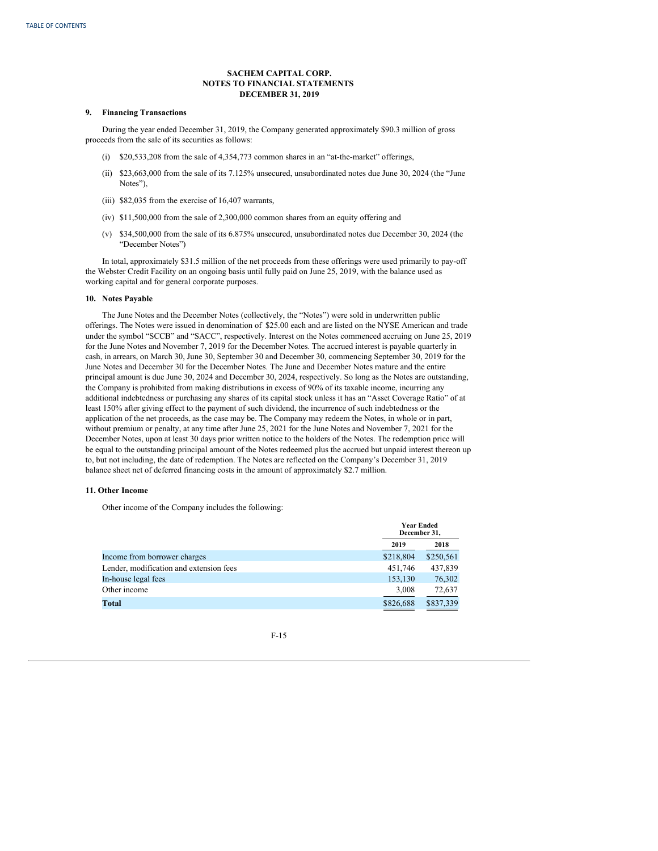### **9. Financing Transactions**

During the year ended December 31, 2019, the Company generated approximately \$90.3 million of gross proceeds from the sale of its securities as follows:

- (i) \$20,533,208 from the sale of 4,354,773 common shares in an "at-the-market" offerings,
- (ii) \$23,663,000 from the sale of its 7.125% unsecured, unsubordinated notes due June 30, 2024 (the "June Notes"),
- (iii) \$82,035 from the exercise of 16,407 warrants,
- (iv) \$11,500,000 from the sale of 2,300,000 common shares from an equity offering and
- (v) \$34,500,000 from the sale of its 6.875% unsecured, unsubordinated notes due December 30, 2024 (the "December Notes")

In total, approximately \$31.5 million of the net proceeds from these offerings were used primarily to pay-off the Webster Credit Facility on an ongoing basis until fully paid on June 25, 2019, with the balance used as working capital and for general corporate purposes.

### **10. Notes Payable**

The June Notes and the December Notes (collectively, the "Notes") were sold in underwritten public offerings. The Notes were issued in denomination of \$25.00 each and are listed on the NYSE American and trade under the symbol "SCCB" and "SACC", respectively. Interest on the Notes commenced accruing on June 25, 2019 for the June Notes and November 7, 2019 for the December Notes. The accrued interest is payable quarterly in cash, in arrears, on March 30, June 30, September 30 and December 30, commencing September 30, 2019 for the June Notes and December 30 for the December Notes. The June and December Notes mature and the entire principal amount is due June 30, 2024 and December 30, 2024, respectively. So long as the Notes are outstanding, the Company is prohibited from making distributions in excess of 90% of its taxable income, incurring any additional indebtedness or purchasing any shares of its capital stock unless it has an "Asset Coverage Ratio" of at least 150% after giving effect to the payment of such dividend, the incurrence of such indebtedness or the application of the net proceeds, as the case may be. The Company may redeem the Notes, in whole or in part, without premium or penalty, at any time after June 25, 2021 for the June Notes and November 7, 2021 for the December Notes, upon at least 30 days prior written notice to the holders of the Notes. The redemption price will be equal to the outstanding principal amount of the Notes redeemed plus the accrued but unpaid interest thereon up to, but not including, the date of redemption. The Notes are reflected on the Company's December 31, 2019 balance sheet net of deferred financing costs in the amount of approximately \$2.7 million.

## **11. Other Income**

Other income of the Company includes the following:

|                                         | <b>Year Ended</b><br>December 31, |           |
|-----------------------------------------|-----------------------------------|-----------|
|                                         | 2019                              | 2018      |
| Income from borrower charges            | \$218,804                         | \$250,561 |
| Lender, modification and extension fees | 451,746                           | 437,839   |
| In-house legal fees                     | 153,130                           | 76,302    |
| Other income                            | 3,008                             | 72,637    |
| Total                                   | \$826,688                         | \$837,339 |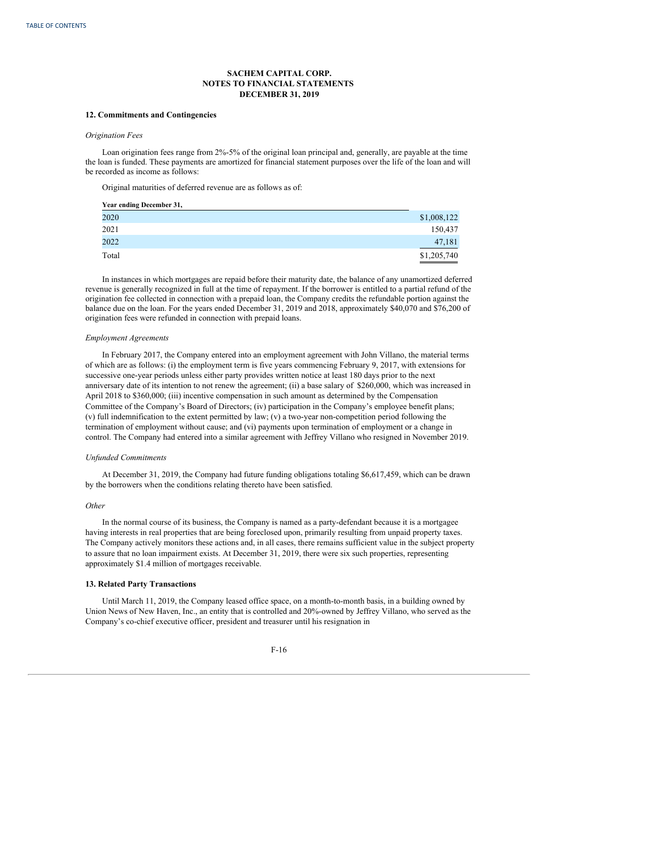### **12. Commitments and Contingencies**

### *Origination Fees*

Loan origination fees range from 2%-5% of the original loan principal and, generally, are payable at the time the loan is funded. These payments are amortized for financial statement purposes over the life of the loan and will be recorded as income as follows:

Original maturities of deferred revenue are as follows as of:

| Year ending December 31, |             |
|--------------------------|-------------|
| 2020                     | \$1,008,122 |
| 2021                     | 150,437     |
| 2022                     | 47,181      |
| Total                    | \$1,205,740 |

In instances in which mortgages are repaid before their maturity date, the balance of any unamortized deferred revenue is generally recognized in full at the time of repayment. If the borrower is entitled to a partial refund of the origination fee collected in connection with a prepaid loan, the Company credits the refundable portion against the balance due on the loan. For the years ended December 31, 2019 and 2018, approximately \$40,070 and \$76,200 of origination fees were refunded in connection with prepaid loans.

### *Employment Agreements*

In February 2017, the Company entered into an employment agreement with John Villano, the material terms of which are as follows: (i) the employment term is five years commencing February 9, 2017, with extensions for successive one-year periods unless either party provides written notice at least 180 days prior to the next anniversary date of its intention to not renew the agreement; (ii) a base salary of \$260,000, which was increased in April 2018 to \$360,000; (iii) incentive compensation in such amount as determined by the Compensation Committee of the Company's Board of Directors; (iv) participation in the Company's employee benefit plans; (v) full indemnification to the extent permitted by law; (v) a two-year non-competition period following the termination of employment without cause; and (vi) payments upon termination of employment or a change in control. The Company had entered into a similar agreement with Jeffrey Villano who resigned in November 2019.

### *Unfunded Commitments*

At December 31, 2019, the Company had future funding obligations totaling \$6,617,459, which can be drawn by the borrowers when the conditions relating thereto have been satisfied.

## *Other*

In the normal course of its business, the Company is named as a party-defendant because it is a mortgagee having interests in real properties that are being foreclosed upon, primarily resulting from unpaid property taxes. The Company actively monitors these actions and, in all cases, there remains sufficient value in the subject property to assure that no loan impairment exists. At December 31, 2019, there were six such properties, representing approximately \$1.4 million of mortgages receivable.

## **13. Related Party Transactions**

Until March 11, 2019, the Company leased office space, on a month-to-month basis, in a building owned by Union News of New Haven, Inc., an entity that is controlled and 20%-owned by Jeffrey Villano, who served as the Company's co-chief executive officer, president and treasurer until his resignation in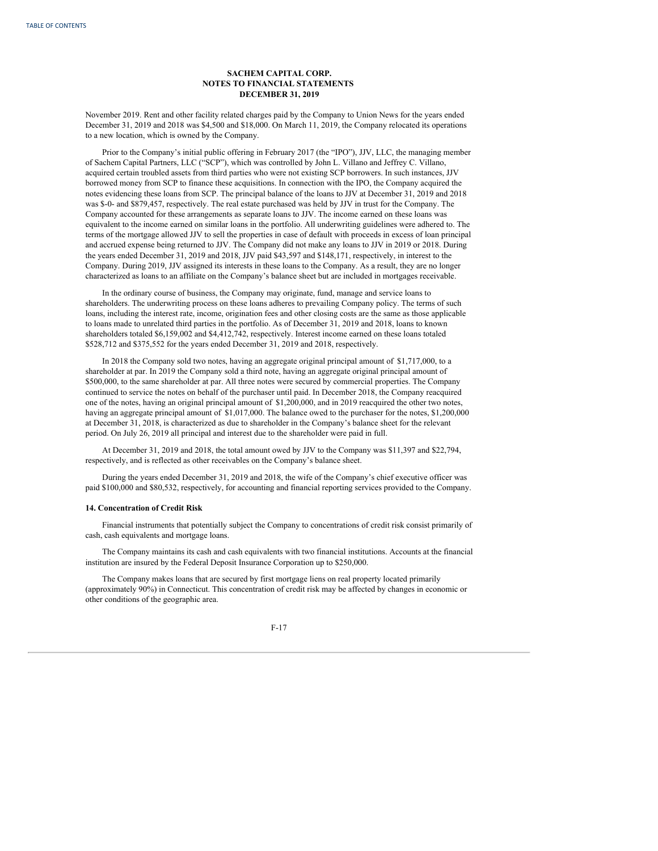November 2019. Rent and other facility related charges paid by the Company to Union News for the years ended December 31, 2019 and 2018 was \$4,500 and \$18,000. On March 11, 2019, the Company relocated its operations to a new location, which is owned by the Company.

Prior to the Company's initial public offering in February 2017 (the "IPO"), JJV, LLC, the managing member of Sachem Capital Partners, LLC ("SCP"), which was controlled by John L. Villano and Jeffrey C. Villano, acquired certain troubled assets from third parties who were not existing SCP borrowers. In such instances, JJV borrowed money from SCP to finance these acquisitions. In connection with the IPO, the Company acquired the notes evidencing these loans from SCP. The principal balance of the loans to JJV at December 31, 2019 and 2018 was \$-0- and \$879,457, respectively. The real estate purchased was held by JJV in trust for the Company. The Company accounted for these arrangements as separate loans to JJV. The income earned on these loans was equivalent to the income earned on similar loans in the portfolio. All underwriting guidelines were adhered to. The terms of the mortgage allowed JJV to sell the properties in case of default with proceeds in excess of loan principal and accrued expense being returned to JJV. The Company did not make any loans to JJV in 2019 or 2018. During the years ended December 31, 2019 and 2018, JJV paid \$43,597 and \$148,171, respectively, in interest to the Company. During 2019, JJV assigned its interests in these loans to the Company. As a result, they are no longer characterized as loans to an affiliate on the Company's balance sheet but are included in mortgages receivable.

In the ordinary course of business, the Company may originate, fund, manage and service loans to shareholders. The underwriting process on these loans adheres to prevailing Company policy. The terms of such loans, including the interest rate, income, origination fees and other closing costs are the same as those applicable to loans made to unrelated third parties in the portfolio. As of December 31, 2019 and 2018, loans to known shareholders totaled \$6,159,002 and \$4,412,742, respectively. Interest income earned on these loans totaled \$528,712 and \$375,552 for the years ended December 31, 2019 and 2018, respectively.

In 2018 the Company sold two notes, having an aggregate original principal amount of \$1,717,000, to a shareholder at par. In 2019 the Company sold a third note, having an aggregate original principal amount of \$500,000, to the same shareholder at par. All three notes were secured by commercial properties. The Company continued to service the notes on behalf of the purchaser until paid. In December 2018, the Company reacquired one of the notes, having an original principal amount of \$1,200,000, and in 2019 reacquired the other two notes, having an aggregate principal amount of \$1,017,000. The balance owed to the purchaser for the notes, \$1,200,000 at December 31, 2018, is characterized as due to shareholder in the Company's balance sheet for the relevant period. On July 26, 2019 all principal and interest due to the shareholder were paid in full.

At December 31, 2019 and 2018, the total amount owed by JJV to the Company was \$11,397 and \$22,794, respectively, and is reflected as other receivables on the Company's balance sheet.

During the years ended December 31, 2019 and 2018, the wife of the Company's chief executive officer was paid \$100,000 and \$80,532, respectively, for accounting and financial reporting services provided to the Company.

## **14. Concentration of Credit Risk**

Financial instruments that potentially subject the Company to concentrations of credit risk consist primarily of cash, cash equivalents and mortgage loans.

The Company maintains its cash and cash equivalents with two financial institutions. Accounts at the financial institution are insured by the Federal Deposit Insurance Corporation up to \$250,000.

The Company makes loans that are secured by first mortgage liens on real property located primarily (approximately 90%) in Connecticut. This concentration of credit risk may be affected by changes in economic or other conditions of the geographic area.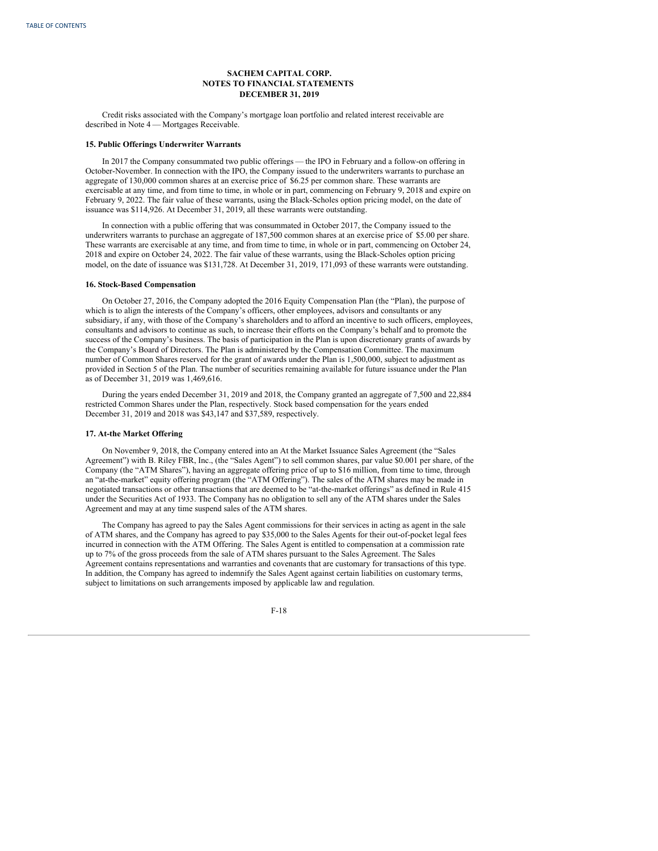Credit risks associated with the Company's mortgage loan portfolio and related interest receivable are described in Note 4 — Mortgages Receivable.

### **15. Public Offerings Underwriter Warrants**

In 2017 the Company consummated two public offerings — the IPO in February and a follow-on offering in October-November. In connection with the IPO, the Company issued to the underwriters warrants to purchase an aggregate of 130,000 common shares at an exercise price of \$6.25 per common share. These warrants are exercisable at any time, and from time to time, in whole or in part, commencing on February 9, 2018 and expire on February 9, 2022. The fair value of these warrants, using the Black-Scholes option pricing model, on the date of issuance was \$114,926. At December 31, 2019, all these warrants were outstanding.

In connection with a public offering that was consummated in October 2017, the Company issued to the underwriters warrants to purchase an aggregate of 187,500 common shares at an exercise price of \$5.00 per share. These warrants are exercisable at any time, and from time to time, in whole or in part, commencing on October 24, 2018 and expire on October 24, 2022. The fair value of these warrants, using the Black-Scholes option pricing model, on the date of issuance was \$131,728. At December 31, 2019, 171,093 of these warrants were outstanding.

## **16. Stock-Based Compensation**

On October 27, 2016, the Company adopted the 2016 Equity Compensation Plan (the "Plan), the purpose of which is to align the interests of the Company's officers, other employees, advisors and consultants or any subsidiary, if any, with those of the Company's shareholders and to afford an incentive to such officers, employees, consultants and advisors to continue as such, to increase their efforts on the Company's behalf and to promote the success of the Company's business. The basis of participation in the Plan is upon discretionary grants of awards by the Company's Board of Directors. The Plan is administered by the Compensation Committee. The maximum number of Common Shares reserved for the grant of awards under the Plan is 1,500,000, subject to adjustment as provided in Section 5 of the Plan. The number of securities remaining available for future issuance under the Plan as of December 31, 2019 was 1,469,616.

During the years ended December 31, 2019 and 2018, the Company granted an aggregate of 7,500 and 22,884 restricted Common Shares under the Plan, respectively. Stock based compensation for the years ended December 31, 2019 and 2018 was \$43,147 and \$37,589, respectively.

### **17. At-the Market Offering**

On November 9, 2018, the Company entered into an At the Market Issuance Sales Agreement (the "Sales Agreement") with B. Riley FBR, Inc., (the "Sales Agent") to sell common shares, par value \$0.001 per share, of the Company (the "ATM Shares"), having an aggregate offering price of up to \$16 million, from time to time, through an "at-the-market" equity offering program (the "ATM Offering"). The sales of the ATM shares may be made in negotiated transactions or other transactions that are deemed to be "at-the-market offerings" as defined in Rule 415 under the Securities Act of 1933. The Company has no obligation to sell any of the ATM shares under the Sales Agreement and may at any time suspend sales of the ATM shares.

The Company has agreed to pay the Sales Agent commissions for their services in acting as agent in the sale of ATM shares, and the Company has agreed to pay \$35,000 to the Sales Agents for their out-of-pocket legal fees incurred in connection with the ATM Offering. The Sales Agent is entitled to compensation at a commission rate up to 7% of the gross proceeds from the sale of ATM shares pursuant to the Sales Agreement. The Sales Agreement contains representations and warranties and covenants that are customary for transactions of this type. In addition, the Company has agreed to indemnify the Sales Agent against certain liabilities on customary terms, subject to limitations on such arrangements imposed by applicable law and regulation.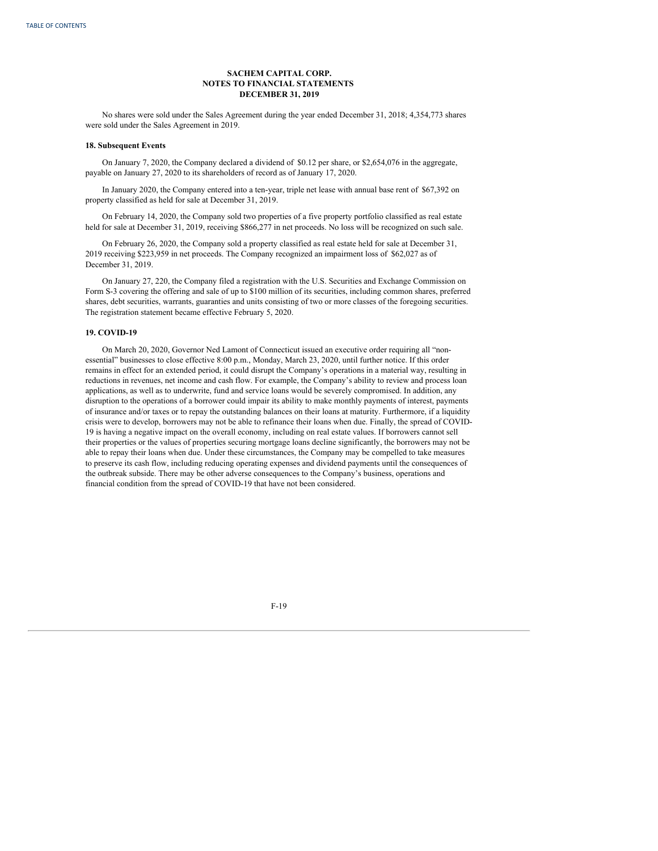No shares were sold under the Sales Agreement during the year ended December 31, 2018; 4,354,773 shares were sold under the Sales Agreement in 2019.

#### **18. Subsequent Events**

On January 7, 2020, the Company declared a dividend of \$0.12 per share, or \$2,654,076 in the aggregate, payable on January 27, 2020 to its shareholders of record as of January 17, 2020.

In January 2020, the Company entered into a ten-year, triple net lease with annual base rent of \$67,392 on property classified as held for sale at December 31, 2019.

On February 14, 2020, the Company sold two properties of a five property portfolio classified as real estate held for sale at December 31, 2019, receiving \$866,277 in net proceeds. No loss will be recognized on such sale.

On February 26, 2020, the Company sold a property classified as real estate held for sale at December 31, 2019 receiving \$223,959 in net proceeds. The Company recognized an impairment loss of \$62,027 as of December 31, 2019.

On January 27, 220, the Company filed a registration with the U.S. Securities and Exchange Commission on Form S-3 covering the offering and sale of up to \$100 million of its securities, including common shares, preferred shares, debt securities, warrants, guaranties and units consisting of two or more classes of the foregoing securities. The registration statement became effective February 5, 2020.

### **19. COVID-19**

On March 20, 2020, Governor Ned Lamont of Connecticut issued an executive order requiring all "nonessential" businesses to close effective 8:00 p.m., Monday, March 23, 2020, until further notice. If this order remains in effect for an extended period, it could disrupt the Company's operations in a material way, resulting in reductions in revenues, net income and cash flow. For example, the Company's ability to review and process loan applications, as well as to underwrite, fund and service loans would be severely compromised. In addition, any disruption to the operations of a borrower could impair its ability to make monthly payments of interest, payments of insurance and/or taxes or to repay the outstanding balances on their loans at maturity. Furthermore, if a liquidity crisis were to develop, borrowers may not be able to refinance their loans when due. Finally, the spread of COVID-19 is having a negative impact on the overall economy, including on real estate values. If borrowers cannot sell their properties or the values of properties securing mortgage loans decline significantly, the borrowers may not be able to repay their loans when due. Under these circumstances, the Company may be compelled to take measures to preserve its cash flow, including reducing operating expenses and dividend payments until the consequences of the outbreak subside. There may be other adverse consequences to the Company's business, operations and financial condition from the spread of COVID-19 that have not been considered.

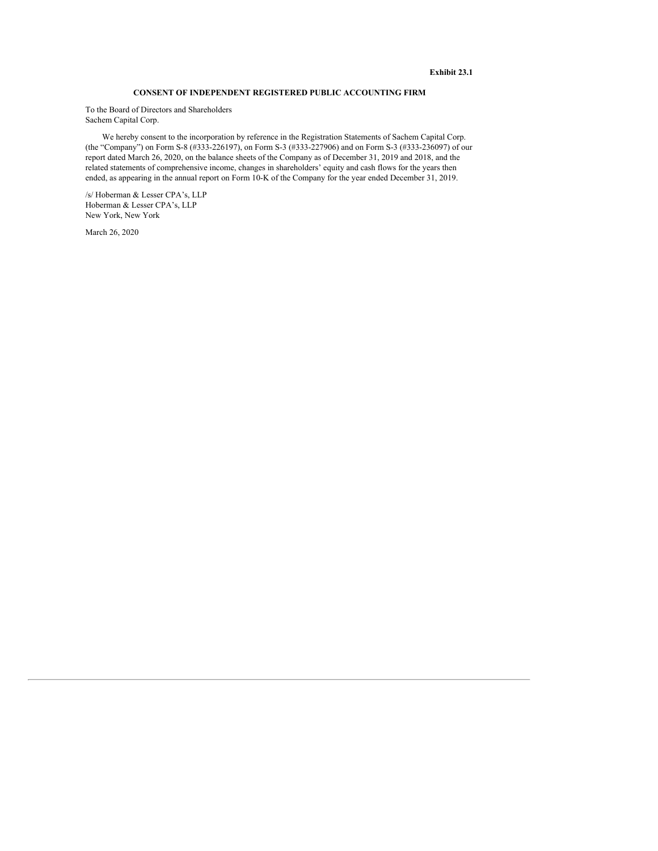# **Exhibit 23.1**

# **CONSENT OF INDEPENDENT REGISTERED PUBLIC ACCOUNTING FIRM**

To the Board of Directors and Shareholders Sachem Capital Corp.

We hereby consent to the incorporation by reference in the Registration Statements of Sachem Capital Corp. (the "Company") on Form S-8 (#333-226197), on Form S-3 (#333-227906) and on Form S-3 (#333-236097) of our report dated March 26, 2020, on the balance sheets of the Company as of December 31, 2019 and 2018, and the related statements of comprehensive income, changes in shareholders' equity and cash flows for the years then ended, as appearing in the annual report on Form 10-K of the Company for the year ended December 31, 2019.

/s/ Hoberman & Lesser CPA's, LLP Hoberman & Lesser CPA's, LLP New York, New York

March 26, 2020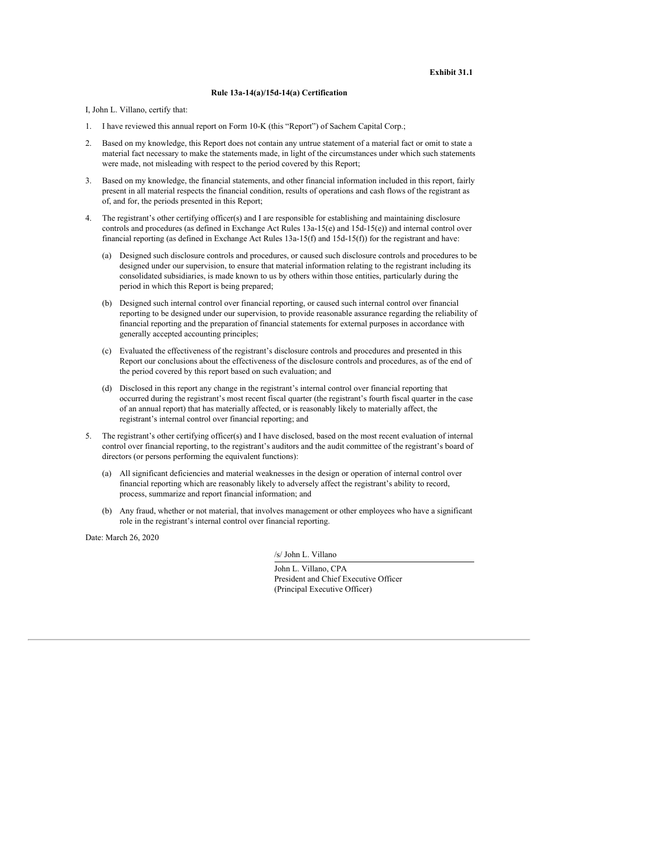## **Rule 13a-14(a)/15d-14(a) Certification**

I, John L. Villano, certify that:

- 1. I have reviewed this annual report on Form 10-K (this "Report") of Sachem Capital Corp.;
- 2. Based on my knowledge, this Report does not contain any untrue statement of a material fact or omit to state a material fact necessary to make the statements made, in light of the circumstances under which such statements were made, not misleading with respect to the period covered by this Report;
- 3. Based on my knowledge, the financial statements, and other financial information included in this report, fairly present in all material respects the financial condition, results of operations and cash flows of the registrant as of, and for, the periods presented in this Report;
- 4. The registrant's other certifying officer(s) and I are responsible for establishing and maintaining disclosure controls and procedures (as defined in Exchange Act Rules 13a-15(e) and 15d-15(e)) and internal control over financial reporting (as defined in Exchange Act Rules 13a-15(f) and 15d-15(f)) for the registrant and have:
	- (a) Designed such disclosure controls and procedures, or caused such disclosure controls and procedures to be designed under our supervision, to ensure that material information relating to the registrant including its consolidated subsidiaries, is made known to us by others within those entities, particularly during the period in which this Report is being prepared;
	- (b) Designed such internal control over financial reporting, or caused such internal control over financial reporting to be designed under our supervision, to provide reasonable assurance regarding the reliability of financial reporting and the preparation of financial statements for external purposes in accordance with generally accepted accounting principles;
	- (c) Evaluated the effectiveness of the registrant's disclosure controls and procedures and presented in this Report our conclusions about the effectiveness of the disclosure controls and procedures, as of the end of the period covered by this report based on such evaluation; and
	- (d) Disclosed in this report any change in the registrant's internal control over financial reporting that occurred during the registrant's most recent fiscal quarter (the registrant's fourth fiscal quarter in the case of an annual report) that has materially affected, or is reasonably likely to materially affect, the registrant's internal control over financial reporting; and
- 5. The registrant's other certifying officer(s) and I have disclosed, based on the most recent evaluation of internal control over financial reporting, to the registrant's auditors and the audit committee of the registrant's board of directors (or persons performing the equivalent functions):
	- (a) All significant deficiencies and material weaknesses in the design or operation of internal control over financial reporting which are reasonably likely to adversely affect the registrant's ability to record, process, summarize and report financial information; and
	- (b) Any fraud, whether or not material, that involves management or other employees who have a significant role in the registrant's internal control over financial reporting.

Date: March 26, 2020

/s/ John L. Villano

| John L. Villano, CPA                  |
|---------------------------------------|
| President and Chief Executive Officer |
| (Principal Executive Officer)         |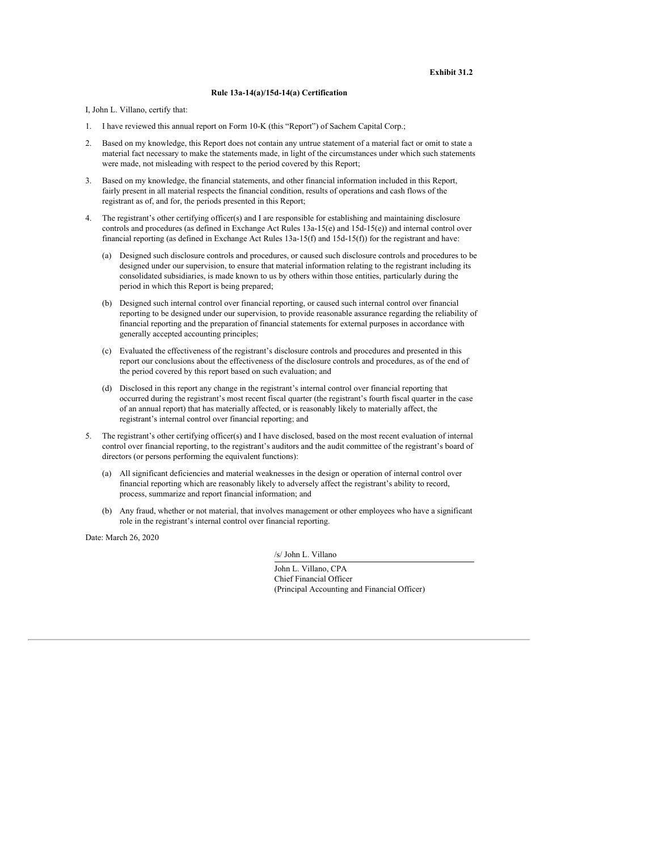## **Rule 13a-14(a)/15d-14(a) Certification**

I, John L. Villano, certify that:

- 1. I have reviewed this annual report on Form 10-K (this "Report") of Sachem Capital Corp.;
- 2. Based on my knowledge, this Report does not contain any untrue statement of a material fact or omit to state a material fact necessary to make the statements made, in light of the circumstances under which such statements were made, not misleading with respect to the period covered by this Report;
- 3. Based on my knowledge, the financial statements, and other financial information included in this Report, fairly present in all material respects the financial condition, results of operations and cash flows of the registrant as of, and for, the periods presented in this Report;
- 4. The registrant's other certifying officer(s) and I are responsible for establishing and maintaining disclosure controls and procedures (as defined in Exchange Act Rules 13a-15(e) and 15d-15(e)) and internal control over financial reporting (as defined in Exchange Act Rules 13a-15(f) and 15d-15(f)) for the registrant and have:
	- (a) Designed such disclosure controls and procedures, or caused such disclosure controls and procedures to be designed under our supervision, to ensure that material information relating to the registrant including its consolidated subsidiaries, is made known to us by others within those entities, particularly during the period in which this Report is being prepared;
	- (b) Designed such internal control over financial reporting, or caused such internal control over financial reporting to be designed under our supervision, to provide reasonable assurance regarding the reliability of financial reporting and the preparation of financial statements for external purposes in accordance with generally accepted accounting principles;
	- (c) Evaluated the effectiveness of the registrant's disclosure controls and procedures and presented in this report our conclusions about the effectiveness of the disclosure controls and procedures, as of the end of the period covered by this report based on such evaluation; and
	- (d) Disclosed in this report any change in the registrant's internal control over financial reporting that occurred during the registrant's most recent fiscal quarter (the registrant's fourth fiscal quarter in the case of an annual report) that has materially affected, or is reasonably likely to materially affect, the registrant's internal control over financial reporting; and
- 5. The registrant's other certifying officer(s) and I have disclosed, based on the most recent evaluation of internal control over financial reporting, to the registrant's auditors and the audit committee of the registrant's board of directors (or persons performing the equivalent functions):
	- (a) All significant deficiencies and material weaknesses in the design or operation of internal control over financial reporting which are reasonably likely to adversely affect the registrant's ability to record, process, summarize and report financial information; and
	- (b) Any fraud, whether or not material, that involves management or other employees who have a significant role in the registrant's internal control over financial reporting.

Date: March 26, 2020

/s/ John L. Villano

John L. Villano, CPA Chief Financial Officer (Principal Accounting and Financial Officer)